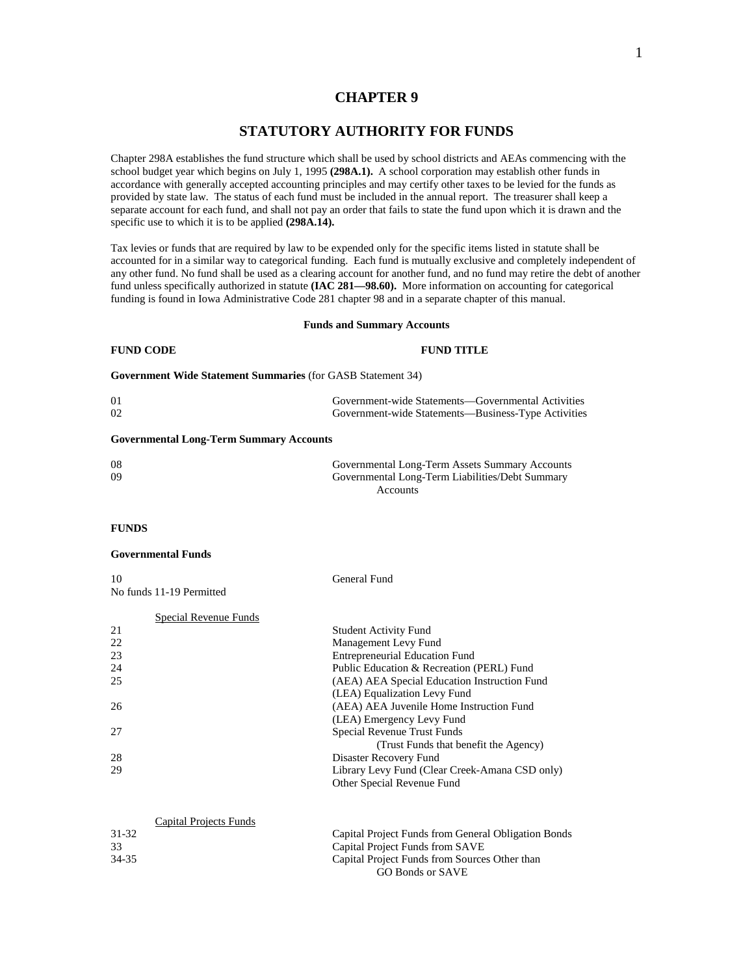# **CHAPTER 9**

# **STATUTORY AUTHORITY FOR FUNDS**

Chapter 298A establishes the fund structure which shall be used by school districts and AEAs commencing with the school budget year which begins on July 1, 1995 **(298A.1).** A school corporation may establish other funds in accordance with generally accepted accounting principles and may certify other taxes to be levied for the funds as provided by state law. The status of each fund must be included in the annual report. The treasurer shall keep a separate account for each fund, and shall not pay an order that fails to state the fund upon which it is drawn and the specific use to which it is to be applied **(298A.14).**

Tax levies or funds that are required by law to be expended only for the specific items listed in statute shall be accounted for in a similar way to categorical funding. Each fund is mutually exclusive and completely independent of any other fund. No fund shall be used as a clearing account for another fund, and no fund may retire the debt of another fund unless specifically authorized in statute **(IAC 281—98.60).** More information on accounting for categorical funding is found in Iowa Administrative Code 281 chapter 98 and in a separate chapter of this manual.

### **Funds and Summary Accounts**

# **FUND CODE FUND TITLE Government Wide Statement Summaries** (for GASB Statement 34) 01 Government-wide Statements—Governmental Activities<br>02 Government-wide Statements—Business-Type Activities 02 Government-wide Statements—Business-Type Activities **Governmental Long-Term Summary Accounts**

| 08 | Governmental Long-Term Assets Summary Accounts  |
|----|-------------------------------------------------|
| 09 | Governmental Long-Term Liabilities/Debt Summary |
|    | Accounts                                        |

# **FUNDS**

#### **Governmental Funds**

| 10                       | General Fund                                   |
|--------------------------|------------------------------------------------|
| No funds 11-19 Permitted |                                                |
| Special Revenue Funds    |                                                |
| 21                       | <b>Student Activity Fund</b>                   |
| 22                       | Management Levy Fund                           |
| 23                       | <b>Entrepreneurial Education Fund</b>          |
| 24                       | Public Education & Recreation (PERL) Fund      |
| 25                       | (AEA) AEA Special Education Instruction Fund   |
|                          | (LEA) Equalization Levy Fund                   |
| 26                       | (AEA) AEA Juvenile Home Instruction Fund       |
|                          | (LEA) Emergency Levy Fund                      |
| 27                       | Special Revenue Trust Funds                    |
|                          | (Trust Funds that benefit the Agency)          |
| 28                       | Disaster Recovery Fund                         |
| 29                       | Library Levy Fund (Clear Creek-Amana CSD only) |
|                          | Other Special Revenue Fund                     |
|                          |                                                |

|       | Capital Projects Funds                              |  |
|-------|-----------------------------------------------------|--|
| 31-32 | Capital Project Funds from General Obligation Bonds |  |
| 33    | Capital Project Funds from SAVE                     |  |
| 34-35 | Capital Project Funds from Sources Other than       |  |
|       | <b>GO Bonds or SAVE</b>                             |  |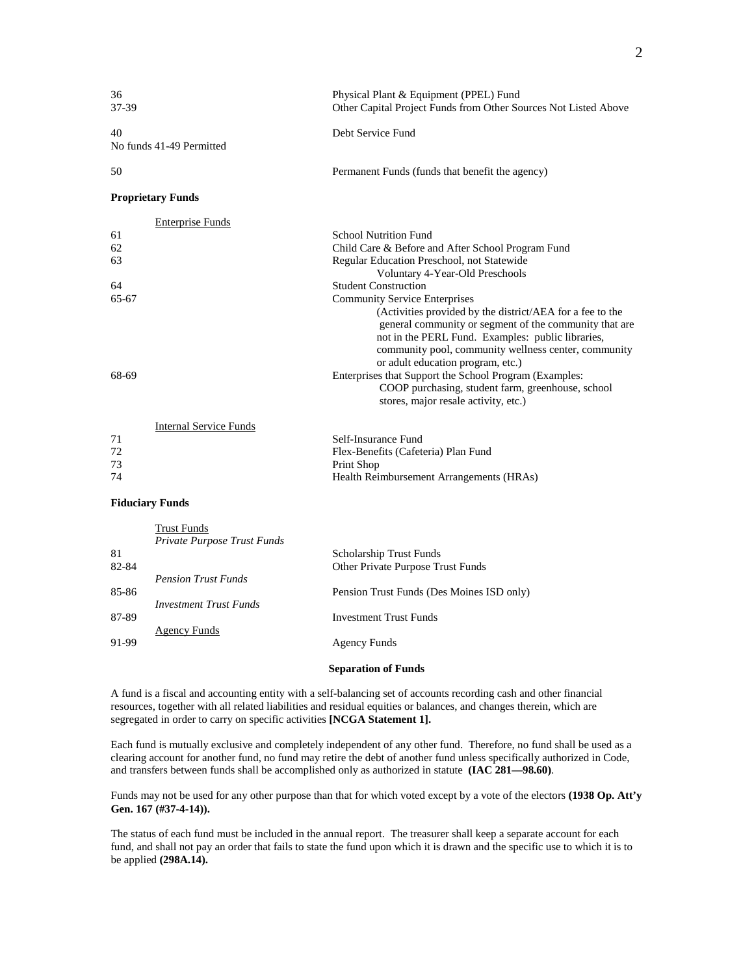| 36<br>37-39                    | Physical Plant & Equipment (PPEL) Fund<br>Other Capital Project Funds from Other Sources Not Listed Above |
|--------------------------------|-----------------------------------------------------------------------------------------------------------|
| 40<br>No funds 41-49 Permitted | Debt Service Fund                                                                                         |
| 50                             | Permanent Funds (funds that benefit the agency)                                                           |

### **Proprietary Funds**

|       | <b>Enterprise Funds</b>       |                                                                                                                                                                                                                                                                       |  |
|-------|-------------------------------|-----------------------------------------------------------------------------------------------------------------------------------------------------------------------------------------------------------------------------------------------------------------------|--|
| 61    |                               | <b>School Nutrition Fund</b>                                                                                                                                                                                                                                          |  |
| 62    |                               | Child Care & Before and After School Program Fund                                                                                                                                                                                                                     |  |
| 63    |                               | Regular Education Preschool, not Statewide                                                                                                                                                                                                                            |  |
|       |                               | Voluntary 4-Year-Old Preschools                                                                                                                                                                                                                                       |  |
| 64    |                               | <b>Student Construction</b>                                                                                                                                                                                                                                           |  |
| 65-67 |                               | <b>Community Service Enterprises</b>                                                                                                                                                                                                                                  |  |
|       |                               | (Activities provided by the district/AEA for a fee to the<br>general community or segment of the community that are<br>not in the PERL Fund. Examples: public libraries,<br>community pool, community wellness center, community<br>or adult education program, etc.) |  |
| 68-69 |                               | Enterprises that Support the School Program (Examples:<br>COOP purchasing, student farm, greenhouse, school<br>stores, major resale activity, etc.)                                                                                                                   |  |
|       | <b>Internal Service Funds</b> |                                                                                                                                                                                                                                                                       |  |
| 71    |                               | Self-Insurance Fund                                                                                                                                                                                                                                                   |  |

| 71 | Self-Insurance Fund                      |
|----|------------------------------------------|
| 72 | Flex-Benefits (Cafeteria) Plan Fund      |
| 73 | Print Shop                               |
| 74 | Health Reimbursement Arrangements (HRAs) |

#### **Fiduciary Funds**

|       | <b>Trust Funds</b>            |                                           |
|-------|-------------------------------|-------------------------------------------|
|       | Private Purpose Trust Funds   |                                           |
| 81    |                               | <b>Scholarship Trust Funds</b>            |
| 82-84 |                               | Other Private Purpose Trust Funds         |
|       | <b>Pension Trust Funds</b>    |                                           |
| 85-86 |                               | Pension Trust Funds (Des Moines ISD only) |
|       | <b>Investment Trust Funds</b> |                                           |
| 87-89 |                               | <b>Investment Trust Funds</b>             |
|       | Agency Funds                  |                                           |
| 91-99 |                               | Agency Funds                              |
|       |                               |                                           |

### **Separation of Funds**

A fund is a fiscal and accounting entity with a self-balancing set of accounts recording cash and other financial resources, together with all related liabilities and residual equities or balances, and changes therein, which are segregated in order to carry on specific activities **[NCGA Statement 1].**

Each fund is mutually exclusive and completely independent of any other fund. Therefore, no fund shall be used as a clearing account for another fund, no fund may retire the debt of another fund unless specifically authorized in Code, and transfers between funds shall be accomplished only as authorized in statute **(IAC 281—98.60)**.

Funds may not be used for any other purpose than that for which voted except by a vote of the electors **(1938 Op. Att'y Gen. 167 (#37-4-14)).**

The status of each fund must be included in the annual report. The treasurer shall keep a separate account for each fund, and shall not pay an order that fails to state the fund upon which it is drawn and the specific use to which it is to be applied **(298A.14).**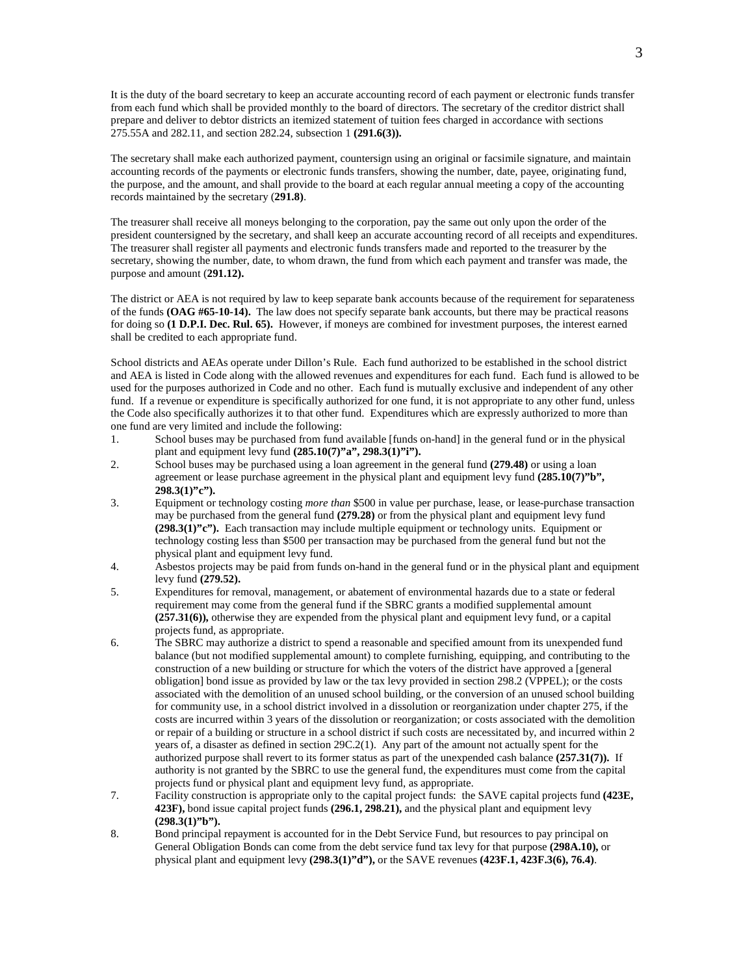It is the duty of the board secretary to keep an accurate accounting record of each payment or electronic funds transfer from each fund which shall be provided monthly to the board of directors. The secretary of the creditor district shall prepare and deliver to debtor districts an itemized statement of tuition fees charged in accordance with sections 275.55A and 282.11, and section 282.24, subsection 1 **(291.6(3)).**

The secretary shall make each authorized payment, countersign using an original or facsimile signature, and maintain accounting records of the payments or electronic funds transfers, showing the number, date, payee, originating fund, the purpose, and the amount, and shall provide to the board at each regular annual meeting a copy of the accounting records maintained by the secretary (**291.8)**.

The treasurer shall receive all moneys belonging to the corporation, pay the same out only upon the order of the president countersigned by the secretary, and shall keep an accurate accounting record of all receipts and expenditures. The treasurer shall register all payments and electronic funds transfers made and reported to the treasurer by the secretary, showing the number, date, to whom drawn, the fund from which each payment and transfer was made, the purpose and amount (**291.12).**

The district or AEA is not required by law to keep separate bank accounts because of the requirement for separateness of the funds **(OAG #65-10-14).** The law does not specify separate bank accounts, but there may be practical reasons for doing so **(1 D.P.I. Dec. Rul. 65).** However, if moneys are combined for investment purposes, the interest earned shall be credited to each appropriate fund.

School districts and AEAs operate under Dillon's Rule. Each fund authorized to be established in the school district and AEA is listed in Code along with the allowed revenues and expenditures for each fund. Each fund is allowed to be used for the purposes authorized in Code and no other. Each fund is mutually exclusive and independent of any other fund. If a revenue or expenditure is specifically authorized for one fund, it is not appropriate to any other fund, unless the Code also specifically authorizes it to that other fund. Expenditures which are expressly authorized to more than one fund are very limited and include the following:

- 1. School buses may be purchased from fund available [funds on-hand] in the general fund or in the physical plant and equipment levy fund **(285.10(7)"a", 298.3(1)"i").**
- 2. School buses may be purchased using a loan agreement in the general fund **(279.48)** or using a loan agreement or lease purchase agreement in the physical plant and equipment levy fund **(285.10(7)"b", 298.3(1)"c").**
- 3. Equipment or technology costing *more than* \$500 in value per purchase, lease, or lease-purchase transaction may be purchased from the general fund **(279.28)** or from the physical plant and equipment levy fund **(298.3(1)"c").** Each transaction may include multiple equipment or technology units. Equipment or technology costing less than \$500 per transaction may be purchased from the general fund but not the physical plant and equipment levy fund.
- 4. Asbestos projects may be paid from funds on-hand in the general fund or in the physical plant and equipment levy fund **(279.52).**
- 5. Expenditures for removal, management, or abatement of environmental hazards due to a state or federal requirement may come from the general fund if the SBRC grants a modified supplemental amount **(257.31(6)),** otherwise they are expended from the physical plant and equipment levy fund, or a capital projects fund, as appropriate.
- 6. The SBRC may authorize a district to spend a reasonable and specified amount from its unexpended fund balance (but not modified supplemental amount) to complete furnishing, equipping, and contributing to the construction of a new building or structure for which the voters of the district have approved a [general obligation] bond issue as provided by law or the tax levy provided in section 298.2 (VPPEL); or the costs associated with the demolition of an unused school building, or the conversion of an unused school building for community use, in a school district involved in a dissolution or reorganization under chapter 275, if the costs are incurred within 3 years of the dissolution or reorganization; or costs associated with the demolition or repair of a building or structure in a school district if such costs are necessitated by, and incurred within 2 years of, a disaster as defined in section 29C.2(1). Any part of the amount not actually spent for the authorized purpose shall revert to its former status as part of the unexpended cash balance **(257.31(7)).** If authority is not granted by the SBRC to use the general fund, the expenditures must come from the capital projects fund or physical plant and equipment levy fund, as appropriate.
- 7. Facility construction is appropriate only to the capital project funds: the SAVE capital projects fund **(423E, 423F),** bond issue capital project funds **(296.1, 298.21),** and the physical plant and equipment levy **(298.3(1)"b").**
- 8. Bond principal repayment is accounted for in the Debt Service Fund, but resources to pay principal on General Obligation Bonds can come from the debt service fund tax levy for that purpose **(298A.10),** or physical plant and equipment levy **(298.3(1)"d"),** or the SAVE revenues **(423F.1, 423F.3(6), 76.4)**.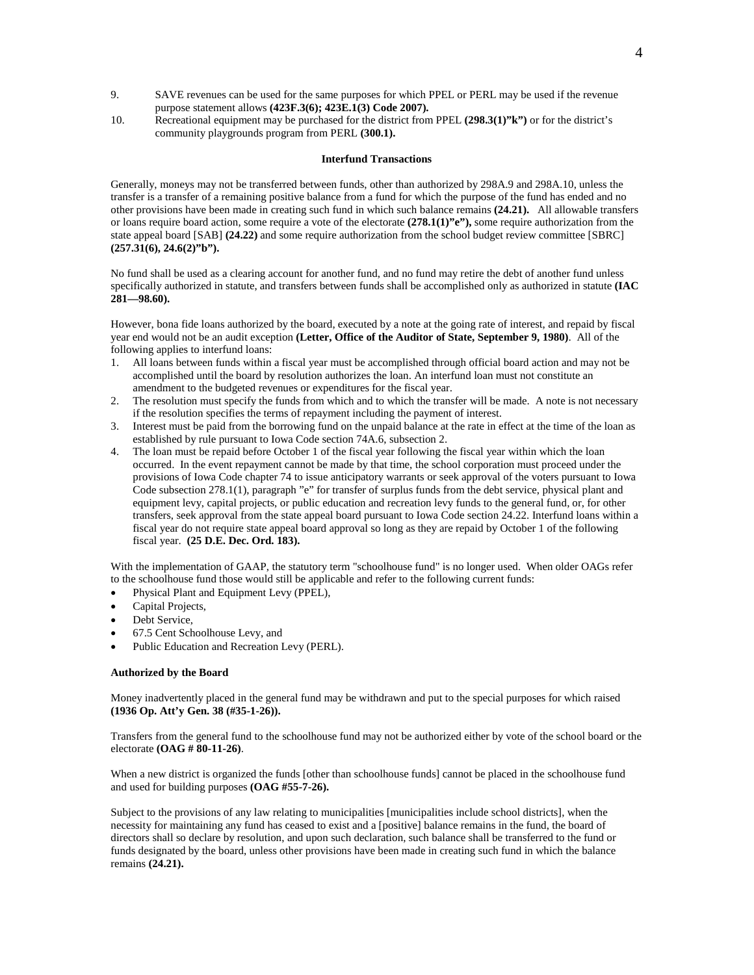- 9. SAVE revenues can be used for the same purposes for which PPEL or PERL may be used if the revenue purpose statement allows **(423F.3(6); 423E.1(3) Code 2007).**
- 10. Recreational equipment may be purchased for the district from PPEL **(298.3(1)"k")** or for the district's community playgrounds program from PERL **(300.1).**

### **Interfund Transactions**

Generally, moneys may not be transferred between funds, other than authorized by 298A.9 and 298A.10, unless the transfer is a transfer of a remaining positive balance from a fund for which the purpose of the fund has ended and no other provisions have been made in creating such fund in which such balance remains **(24.21).** All allowable transfers or loans require board action, some require a vote of the electorate **(278.1(1)"e"),** some require authorization from the state appeal board [SAB] **(24.22)** and some require authorization from the school budget review committee [SBRC] **(257.31(6), 24.6(2)"b").**

No fund shall be used as a clearing account for another fund, and no fund may retire the debt of another fund unless specifically authorized in statute, and transfers between funds shall be accomplished only as authorized in statute **(IAC 281—98.60).**

However, bona fide loans authorized by the board, executed by a note at the going rate of interest, and repaid by fiscal year end would not be an audit exception **(Letter, Office of the Auditor of State, September 9, 1980)**. All of the following applies to interfund loans:

- 1. All loans between funds within a fiscal year must be accomplished through official board action and may not be accomplished until the board by resolution authorizes the loan. An interfund loan must not constitute an amendment to the budgeted revenues or expenditures for the fiscal year.
- 2. The resolution must specify the funds from which and to which the transfer will be made. A note is not necessary if the resolution specifies the terms of repayment including the payment of interest.
- 3. Interest must be paid from the borrowing fund on the unpaid balance at the rate in effect at the time of the loan as established by rule pursuant to Iowa Code section 74A.6, subsection 2.
- 4. The loan must be repaid before October 1 of the fiscal year following the fiscal year within which the loan occurred. In the event repayment cannot be made by that time, the school corporation must proceed under the provisions of Iowa Code chapter 74 to issue anticipatory warrants or seek approval of the voters pursuant to Iowa Code subsection 278.1(1), paragraph "e" for transfer of surplus funds from the debt service, physical plant and equipment levy, capital projects, or public education and recreation levy funds to the general fund, or, for other transfers, seek approval from the state appeal board pursuant to Iowa Code section 24.22. Interfund loans within a fiscal year do not require state appeal board approval so long as they are repaid by October 1 of the following fiscal year. **(25 D.E. Dec. Ord. 183).**

With the implementation of GAAP, the statutory term "schoolhouse fund" is no longer used. When older OAGs refer to the schoolhouse fund those would still be applicable and refer to the following current funds:

- Physical Plant and Equipment Levy (PPEL),
- Capital Projects,
- Debt Service,
- 67.5 Cent Schoolhouse Levy, and
- Public Education and Recreation Levy (PERL).

### **Authorized by the Board**

Money inadvertently placed in the general fund may be withdrawn and put to the special purposes for which raised **(1936 Op. Att'y Gen. 38 (#35-1-26)).**

Transfers from the general fund to the schoolhouse fund may not be authorized either by vote of the school board or the electorate **(OAG # 80-11-26)**.

When a new district is organized the funds [other than schoolhouse funds] cannot be placed in the schoolhouse fund and used for building purposes **(OAG #55-7-26).**

Subject to the provisions of any law relating to municipalities [municipalities include school districts], when the necessity for maintaining any fund has ceased to exist and a [positive] balance remains in the fund, the board of directors shall so declare by resolution, and upon such declaration, such balance shall be transferred to the fund or funds designated by the board, unless other provisions have been made in creating such fund in which the balance remains **(24.21).**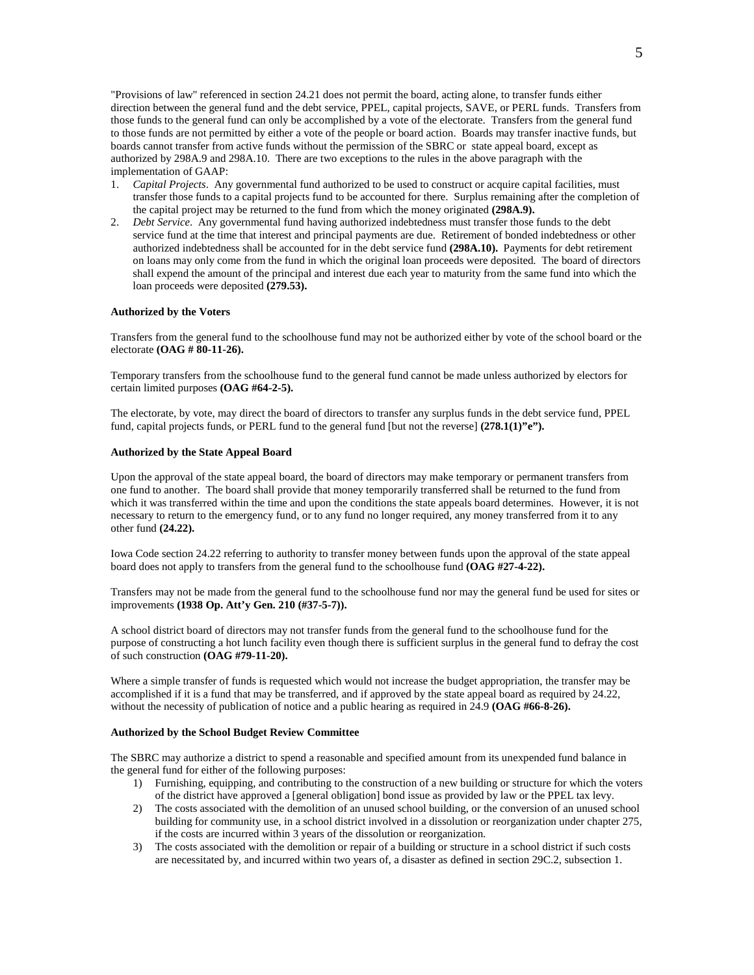"Provisions of law" referenced in section 24.21 does not permit the board, acting alone, to transfer funds either direction between the general fund and the debt service, PPEL, capital projects, SAVE, or PERL funds. Transfers from those funds to the general fund can only be accomplished by a vote of the electorate. Transfers from the general fund to those funds are not permitted by either a vote of the people or board action. Boards may transfer inactive funds, but boards cannot transfer from active funds without the permission of the SBRC or state appeal board, except as authorized by 298A.9 and 298A.10. There are two exceptions to the rules in the above paragraph with the implementation of GAAP:

- 1. *Capital Projects*. Any governmental fund authorized to be used to construct or acquire capital facilities, must transfer those funds to a capital projects fund to be accounted for there. Surplus remaining after the completion of the capital project may be returned to the fund from which the money originated **(298A.9).**
- 2. *Debt Service*. Any governmental fund having authorized indebtedness must transfer those funds to the debt service fund at the time that interest and principal payments are due. Retirement of bonded indebtedness or other authorized indebtedness shall be accounted for in the debt service fund **(298A.10).** Payments for debt retirement on loans may only come from the fund in which the original loan proceeds were deposited. The board of directors shall expend the amount of the principal and interest due each year to maturity from the same fund into which the loan proceeds were deposited **(279.53).**

### **Authorized by the Voters**

Transfers from the general fund to the schoolhouse fund may not be authorized either by vote of the school board or the electorate **(OAG # 80-11-26).**

Temporary transfers from the schoolhouse fund to the general fund cannot be made unless authorized by electors for certain limited purposes **(OAG #64-2-5).**

The electorate, by vote, may direct the board of directors to transfer any surplus funds in the debt service fund, PPEL fund, capital projects funds, or PERL fund to the general fund [but not the reverse] **(278.1(1)"e").**

### **Authorized by the State Appeal Board**

Upon the approval of the state appeal board, the board of directors may make temporary or permanent transfers from one fund to another. The board shall provide that money temporarily transferred shall be returned to the fund from which it was transferred within the time and upon the conditions the state appeals board determines. However, it is not necessary to return to the emergency fund, or to any fund no longer required, any money transferred from it to any other fund **(24.22).**

Iowa Code section 24.22 referring to authority to transfer money between funds upon the approval of the state appeal board does not apply to transfers from the general fund to the schoolhouse fund **(OAG #27-4-22).**

Transfers may not be made from the general fund to the schoolhouse fund nor may the general fund be used for sites or improvements **(1938 Op. Att'y Gen. 210 (#37-5-7)).**

A school district board of directors may not transfer funds from the general fund to the schoolhouse fund for the purpose of constructing a hot lunch facility even though there is sufficient surplus in the general fund to defray the cost of such construction **(OAG #79-11-20).**

Where a simple transfer of funds is requested which would not increase the budget appropriation, the transfer may be accomplished if it is a fund that may be transferred, and if approved by the state appeal board as required by 24.22, without the necessity of publication of notice and a public hearing as required in 24.9 **(OAG #66-8-26).** 

### **Authorized by the School Budget Review Committee**

The SBRC may authorize a district to spend a reasonable and specified amount from its unexpended fund balance in the general fund for either of the following purposes:

- 1) Furnishing, equipping, and contributing to the construction of a new building or structure for which the voters of the district have approved a [general obligation] bond issue as provided by law or the PPEL tax levy.
- 2) The costs associated with the demolition of an unused school building, or the conversion of an unused school building for community use, in a school district involved in a dissolution or reorganization under chapter 275, if the costs are incurred within 3 years of the dissolution or reorganization.
- 3) The costs associated with the demolition or repair of a building or structure in a school district if such costs are necessitated by, and incurred within two years of, a disaster as defined in section 29C.2, subsection 1.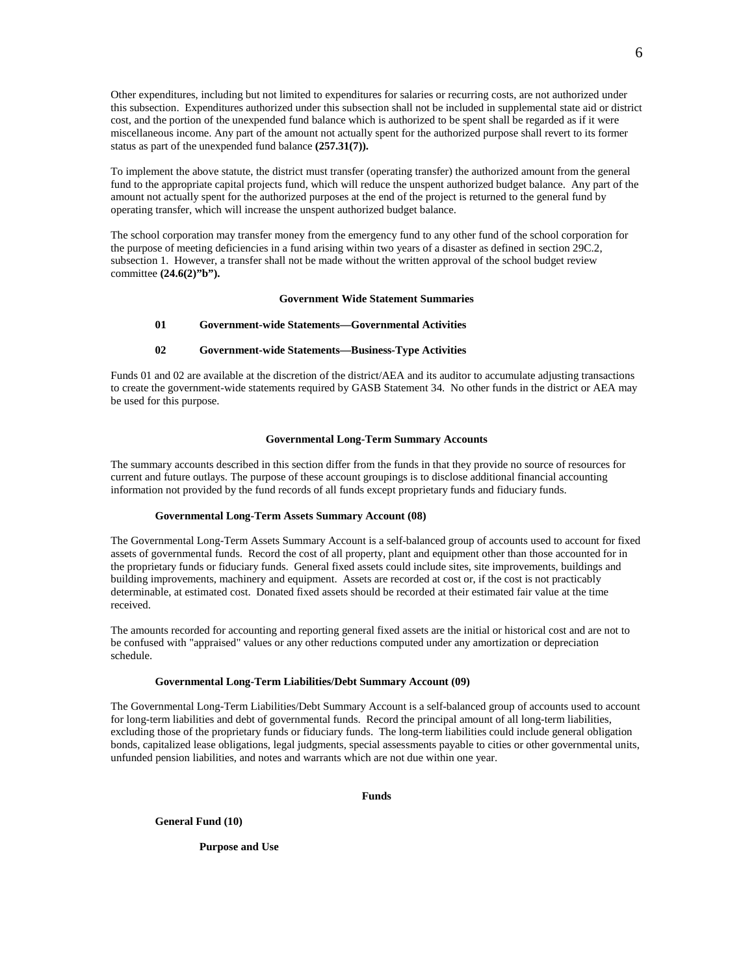Other expenditures, including but not limited to expenditures for salaries or recurring costs, are not authorized under this subsection. Expenditures authorized under this subsection shall not be included in supplemental state aid or district cost, and the portion of the unexpended fund balance which is authorized to be spent shall be regarded as if it were miscellaneous income. Any part of the amount not actually spent for the authorized purpose shall revert to its former status as part of the unexpended fund balance **(257.31(7)).**

To implement the above statute, the district must transfer (operating transfer) the authorized amount from the general fund to the appropriate capital projects fund, which will reduce the unspent authorized budget balance. Any part of the amount not actually spent for the authorized purposes at the end of the project is returned to the general fund by operating transfer, which will increase the unspent authorized budget balance.

The school corporation may transfer money from the emergency fund to any other fund of the school corporation for the purpose of meeting deficiencies in a fund arising within two years of a disaster as defined in section 29C.2, subsection 1. However, a transfer shall not be made without the written approval of the school budget review committee **(24.6(2)"b").**

### **Government Wide Statement Summaries**

### **01 Government-wide Statements—Governmental Activities**

#### **02 Government-wide Statements—Business-Type Activities**

Funds 01 and 02 are available at the discretion of the district/AEA and its auditor to accumulate adjusting transactions to create the government-wide statements required by GASB Statement 34. No other funds in the district or AEA may be used for this purpose.

### **Governmental Long-Term Summary Accounts**

The summary accounts described in this section differ from the funds in that they provide no source of resources for current and future outlays. The purpose of these account groupings is to disclose additional financial accounting information not provided by the fund records of all funds except proprietary funds and fiduciary funds.

#### **Governmental Long-Term Assets Summary Account (08)**

The Governmental Long-Term Assets Summary Account is a self-balanced group of accounts used to account for fixed assets of governmental funds. Record the cost of all property, plant and equipment other than those accounted for in the proprietary funds or fiduciary funds. General fixed assets could include sites, site improvements, buildings and building improvements, machinery and equipment. Assets are recorded at cost or, if the cost is not practicably determinable, at estimated cost. Donated fixed assets should be recorded at their estimated fair value at the time received.

The amounts recorded for accounting and reporting general fixed assets are the initial or historical cost and are not to be confused with "appraised" values or any other reductions computed under any amortization or depreciation schedule.

#### **Governmental Long-Term Liabilities/Debt Summary Account (09)**

The Governmental Long-Term Liabilities/Debt Summary Account is a self-balanced group of accounts used to account for long-term liabilities and debt of governmental funds. Record the principal amount of all long-term liabilities, excluding those of the proprietary funds or fiduciary funds. The long-term liabilities could include general obligation bonds, capitalized lease obligations, legal judgments, special assessments payable to cities or other governmental units, unfunded pension liabilities, and notes and warrants which are not due within one year.

#### **Funds**

**General Fund (10)**

**Purpose and Use**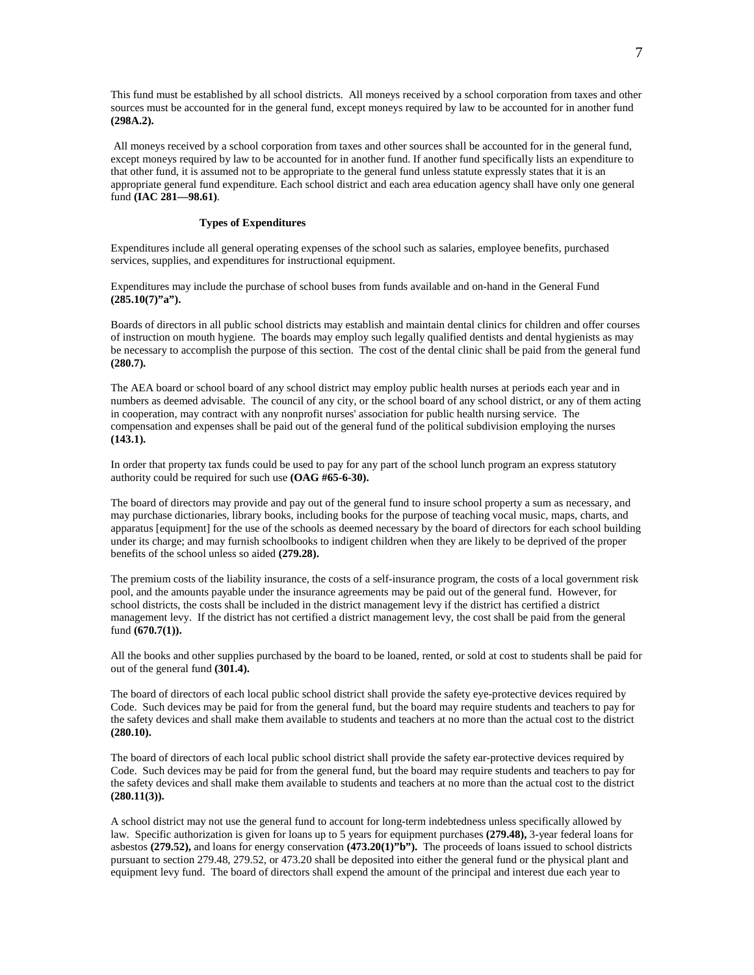This fund must be established by all school districts. All moneys received by a school corporation from taxes and other sources must be accounted for in the general fund, except moneys required by law to be accounted for in another fund **(298A.2).**

All moneys received by a school corporation from taxes and other sources shall be accounted for in the general fund, except moneys required by law to be accounted for in another fund. If another fund specifically lists an expenditure to that other fund, it is assumed not to be appropriate to the general fund unless statute expressly states that it is an appropriate general fund expenditure. Each school district and each area education agency shall have only one general fund **(IAC 281—98.61)**.

### **Types of Expenditures**

Expenditures include all general operating expenses of the school such as salaries, employee benefits, purchased services, supplies, and expenditures for instructional equipment.

Expenditures may include the purchase of school buses from funds available and on-hand in the General Fund **(285.10(7)"a").**

Boards of directors in all public school districts may establish and maintain dental clinics for children and offer courses of instruction on mouth hygiene. The boards may employ such legally qualified dentists and dental hygienists as may be necessary to accomplish the purpose of this section. The cost of the dental clinic shall be paid from the general fund **(280.7).**

The AEA board or school board of any school district may employ public health nurses at periods each year and in numbers as deemed advisable. The council of any city, or the school board of any school district, or any of them acting in cooperation, may contract with any nonprofit nurses' association for public health nursing service. The compensation and expenses shall be paid out of the general fund of the political subdivision employing the nurses **(143.1).**

In order that property tax funds could be used to pay for any part of the school lunch program an express statutory authority could be required for such use **(OAG #65-6-30).**

The board of directors may provide and pay out of the general fund to insure school property a sum as necessary, and may purchase dictionaries, library books, including books for the purpose of teaching vocal music, maps, charts, and apparatus [equipment] for the use of the schools as deemed necessary by the board of directors for each school building under its charge; and may furnish schoolbooks to indigent children when they are likely to be deprived of the proper benefits of the school unless so aided **(279.28).**

The premium costs of the liability insurance, the costs of a self-insurance program, the costs of a local government risk pool, and the amounts payable under the insurance agreements may be paid out of the general fund. However, for school districts, the costs shall be included in the district management levy if the district has certified a district management levy. If the district has not certified a district management levy, the cost shall be paid from the general fund **(670.7(1)).**

All the books and other supplies purchased by the board to be loaned, rented, or sold at cost to students shall be paid for out of the general fund **(301.4).**

The board of directors of each local public school district shall provide the safety eye-protective devices required by Code. Such devices may be paid for from the general fund, but the board may require students and teachers to pay for the safety devices and shall make them available to students and teachers at no more than the actual cost to the district **(280.10).**

The board of directors of each local public school district shall provide the safety ear-protective devices required by Code. Such devices may be paid for from the general fund, but the board may require students and teachers to pay for the safety devices and shall make them available to students and teachers at no more than the actual cost to the district **(280.11(3)).**

A school district may not use the general fund to account for long-term indebtedness unless specifically allowed by law. Specific authorization is given for loans up to 5 years for equipment purchases **(279.48),** 3-year federal loans for asbestos **(279.52),** and loans for energy conservation **(473.20(1)"b").** The proceeds of loans issued to school districts pursuant to section 279.48, 279.52, or 473.20 shall be deposited into either the general fund or the physical plant and equipment levy fund. The board of directors shall expend the amount of the principal and interest due each year to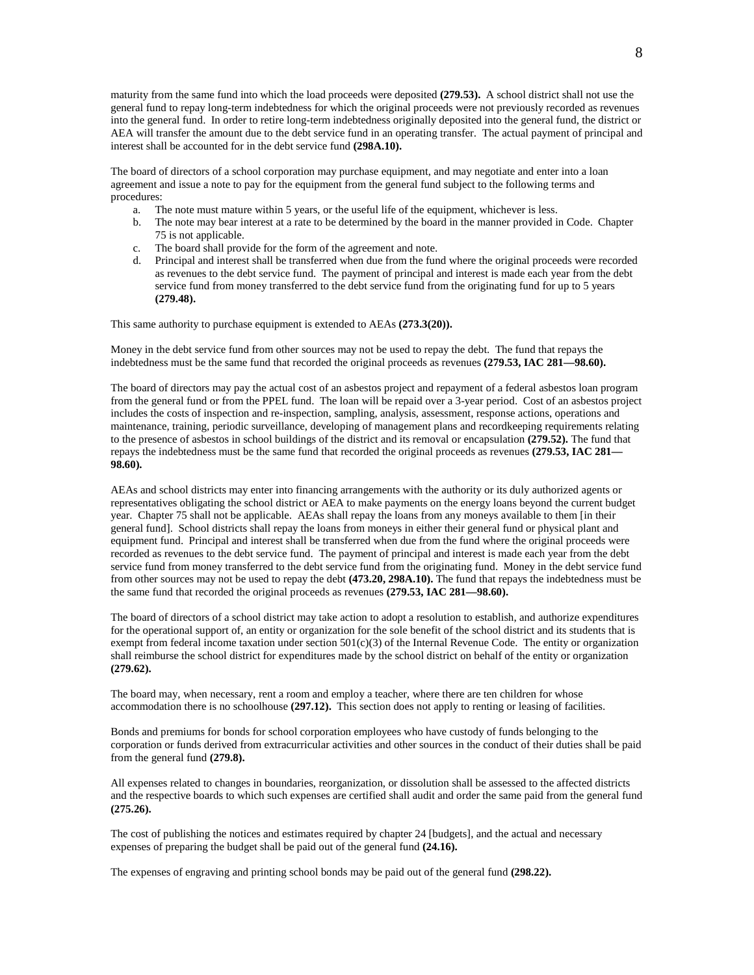maturity from the same fund into which the load proceeds were deposited **(279.53).** A school district shall not use the general fund to repay long-term indebtedness for which the original proceeds were not previously recorded as revenues into the general fund. In order to retire long-term indebtedness originally deposited into the general fund, the district or AEA will transfer the amount due to the debt service fund in an operating transfer. The actual payment of principal and interest shall be accounted for in the debt service fund **(298A.10).**

The board of directors of a school corporation may purchase equipment, and may negotiate and enter into a loan agreement and issue a note to pay for the equipment from the general fund subject to the following terms and procedures:

- a. The note must mature within 5 years, or the useful life of the equipment, whichever is less.
- b. The note may bear interest at a rate to be determined by the board in the manner provided in Code. Chapter 75 is not applicable.
- c. The board shall provide for the form of the agreement and note.
- d. Principal and interest shall be transferred when due from the fund where the original proceeds were recorded as revenues to the debt service fund. The payment of principal and interest is made each year from the debt service fund from money transferred to the debt service fund from the originating fund for up to 5 years **(279.48).**

This same authority to purchase equipment is extended to AEAs **(273.3(20)).**

Money in the debt service fund from other sources may not be used to repay the debt. The fund that repays the indebtedness must be the same fund that recorded the original proceeds as revenues **(279.53, IAC 281—98.60).**

The board of directors may pay the actual cost of an asbestos project and repayment of a federal asbestos loan program from the general fund or from the PPEL fund. The loan will be repaid over a 3-year period. Cost of an asbestos project includes the costs of inspection and re-inspection, sampling, analysis, assessment, response actions, operations and maintenance, training, periodic surveillance, developing of management plans and recordkeeping requirements relating to the presence of asbestos in school buildings of the district and its removal or encapsulation **(279.52).** The fund that repays the indebtedness must be the same fund that recorded the original proceeds as revenues **(279.53, IAC 281— 98.60).**

AEAs and school districts may enter into financing arrangements with the authority or its duly authorized agents or representatives obligating the school district or AEA to make payments on the energy loans beyond the current budget year. Chapter 75 shall not be applicable. AEAs shall repay the loans from any moneys available to them [in their general fund]. School districts shall repay the loans from moneys in either their general fund or physical plant and equipment fund. Principal and interest shall be transferred when due from the fund where the original proceeds were recorded as revenues to the debt service fund. The payment of principal and interest is made each year from the debt service fund from money transferred to the debt service fund from the originating fund. Money in the debt service fund from other sources may not be used to repay the debt **(473.20, 298A.10).** The fund that repays the indebtedness must be the same fund that recorded the original proceeds as revenues **(279.53, IAC 281—98.60).**

The board of directors of a school district may take action to adopt a resolution to establish, and authorize expenditures for the operational support of, an entity or organization for the sole benefit of the school district and its students that is exempt from federal income taxation under section  $501(c)(3)$  of the Internal Revenue Code. The entity or organization shall reimburse the school district for expenditures made by the school district on behalf of the entity or organization **(279.62).**

The board may, when necessary, rent a room and employ a teacher, where there are ten children for whose accommodation there is no schoolhouse **(297.12).** This section does not apply to renting or leasing of facilities.

Bonds and premiums for bonds for school corporation employees who have custody of funds belonging to the corporation or funds derived from extracurricular activities and other sources in the conduct of their duties shall be paid from the general fund **(279.8).**

All expenses related to changes in boundaries, reorganization, or dissolution shall be assessed to the affected districts and the respective boards to which such expenses are certified shall audit and order the same paid from the general fund **(275.26).**

The cost of publishing the notices and estimates required by chapter 24 [budgets], and the actual and necessary expenses of preparing the budget shall be paid out of the general fund **(24.16).**

The expenses of engraving and printing school bonds may be paid out of the general fund **(298.22).**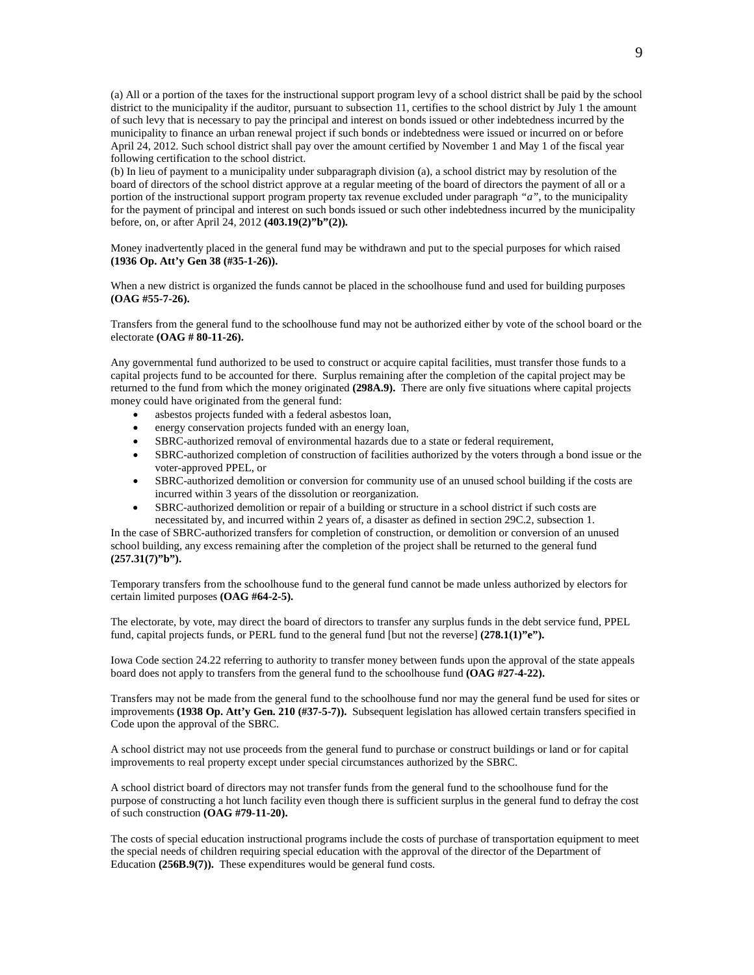(a) All or a portion of the taxes for the instructional support program levy of a school district shall be paid by the school district to the municipality if the auditor, pursuant to subsection 11, certifies to the school district by July 1 the amount of such levy that is necessary to pay the principal and interest on bonds issued or other indebtedness incurred by the municipality to finance an urban renewal project if such bonds or indebtedness were issued or incurred on or before April 24, 2012. Such school district shall pay over the amount certified by November 1 and May 1 of the fiscal year following certification to the school district.

(b) In lieu of payment to a municipality under subparagraph division (a), a school district may by resolution of the board of directors of the school district approve at a regular meeting of the board of directors the payment of all or a portion of the instructional support program property tax revenue excluded under paragraph *"a"*, to the municipality for the payment of principal and interest on such bonds issued or such other indebtedness incurred by the municipality before, on, or after April 24, 2012 **(403.19(2)"b"(2)).**

Money inadvertently placed in the general fund may be withdrawn and put to the special purposes for which raised **(1936 Op. Att'y Gen 38 (#35-1-26)).**

When a new district is organized the funds cannot be placed in the schoolhouse fund and used for building purposes **(OAG #55-7-26).**

Transfers from the general fund to the schoolhouse fund may not be authorized either by vote of the school board or the electorate **(OAG # 80-11-26).**

Any governmental fund authorized to be used to construct or acquire capital facilities, must transfer those funds to a capital projects fund to be accounted for there. Surplus remaining after the completion of the capital project may be returned to the fund from which the money originated **(298A.9).** There are only five situations where capital projects money could have originated from the general fund:

- asbestos projects funded with a federal asbestos loan,
- energy conservation projects funded with an energy loan,
- SBRC-authorized removal of environmental hazards due to a state or federal requirement,
- SBRC-authorized completion of construction of facilities authorized by the voters through a bond issue or the voter-approved PPEL, or
- SBRC-authorized demolition or conversion for community use of an unused school building if the costs are incurred within 3 years of the dissolution or reorganization.
- SBRC-authorized demolition or repair of a building or structure in a school district if such costs are necessitated by, and incurred within 2 years of, a disaster as defined in section 29C.2, subsection 1.

In the case of SBRC-authorized transfers for completion of construction, or demolition or conversion of an unused school building, any excess remaining after the completion of the project shall be returned to the general fund **(257.31(7)"b").**

Temporary transfers from the schoolhouse fund to the general fund cannot be made unless authorized by electors for certain limited purposes **(OAG #64-2-5).**

The electorate, by vote, may direct the board of directors to transfer any surplus funds in the debt service fund, PPEL fund, capital projects funds, or PERL fund to the general fund [but not the reverse] **(278.1(1)"e").**

Iowa Code section 24.22 referring to authority to transfer money between funds upon the approval of the state appeals board does not apply to transfers from the general fund to the schoolhouse fund **(OAG #27-4-22).**

Transfers may not be made from the general fund to the schoolhouse fund nor may the general fund be used for sites or improvements **(1938 Op. Att'y Gen. 210 (#37-5-7)).** Subsequent legislation has allowed certain transfers specified in Code upon the approval of the SBRC.

A school district may not use proceeds from the general fund to purchase or construct buildings or land or for capital improvements to real property except under special circumstances authorized by the SBRC.

A school district board of directors may not transfer funds from the general fund to the schoolhouse fund for the purpose of constructing a hot lunch facility even though there is sufficient surplus in the general fund to defray the cost of such construction **(OAG #79-11-20).**

The costs of special education instructional programs include the costs of purchase of transportation equipment to meet the special needs of children requiring special education with the approval of the director of the Department of Education **(256B.9(7)).** These expenditures would be general fund costs.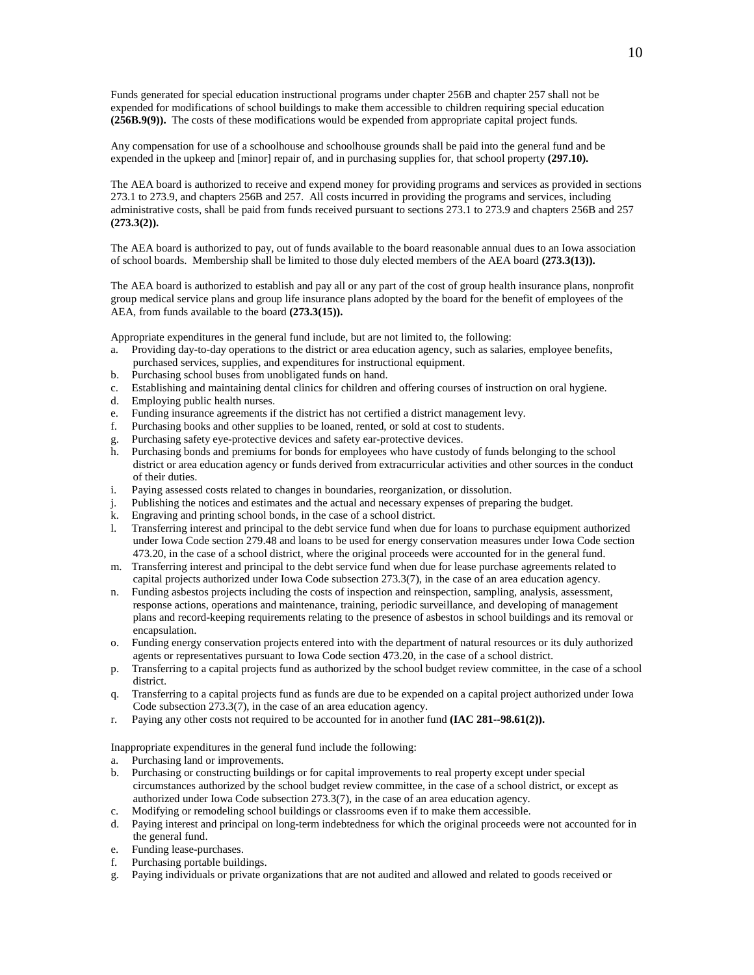Funds generated for special education instructional programs under chapter 256B and chapter 257 shall not be expended for modifications of school buildings to make them accessible to children requiring special education **(256B.9(9)).** The costs of these modifications would be expended from appropriate capital project funds.

Any compensation for use of a schoolhouse and schoolhouse grounds shall be paid into the general fund and be expended in the upkeep and [minor] repair of, and in purchasing supplies for, that school property **(297.10).**

The AEA board is authorized to receive and expend money for providing programs and services as provided in sections 273.1 to 273.9, and chapters 256B and 257. All costs incurred in providing the programs and services, including administrative costs, shall be paid from funds received pursuant to sections 273.1 to 273.9 and chapters 256B and 257 **(273.3(2)).**

The AEA board is authorized to pay, out of funds available to the board reasonable annual dues to an Iowa association of school boards. Membership shall be limited to those duly elected members of the AEA board **(273.3(13)).**

The AEA board is authorized to establish and pay all or any part of the cost of group health insurance plans, nonprofit group medical service plans and group life insurance plans adopted by the board for the benefit of employees of the AEA, from funds available to the board **(273.3(15)).**

Appropriate expenditures in the general fund include, but are not limited to, the following:

- a. Providing day-to-day operations to the district or area education agency, such as salaries, employee benefits, purchased services, supplies, and expenditures for instructional equipment.
- b. Purchasing school buses from unobligated funds on hand.
- c. Establishing and maintaining dental clinics for children and offering courses of instruction on oral hygiene.
- d. Employing public health nurses.
- e. Funding insurance agreements if the district has not certified a district management levy.
- f. Purchasing books and other supplies to be loaned, rented, or sold at cost to students.
- g. Purchasing safety eye-protective devices and safety ear-protective devices.
- h. Purchasing bonds and premiums for bonds for employees who have custody of funds belonging to the school district or area education agency or funds derived from extracurricular activities and other sources in the conduct of their duties.
- i. Paying assessed costs related to changes in boundaries, reorganization, or dissolution.
- j. Publishing the notices and estimates and the actual and necessary expenses of preparing the budget.
- k. Engraving and printing school bonds, in the case of a school district.
- l. Transferring interest and principal to the debt service fund when due for loans to purchase equipment authorized under Iowa Code section 279.48 and loans to be used for energy conservation measures under Iowa Code section 473.20, in the case of a school district, where the original proceeds were accounted for in the general fund.
- m. Transferring interest and principal to the debt service fund when due for lease purchase agreements related to capital projects authorized under Iowa Code subsection 273.3(7), in the case of an area education agency.
- n. Funding asbestos projects including the costs of inspection and reinspection, sampling, analysis, assessment, response actions, operations and maintenance, training, periodic surveillance, and developing of management plans and record-keeping requirements relating to the presence of asbestos in school buildings and its removal or encapsulation.
- o. Funding energy conservation projects entered into with the department of natural resources or its duly authorized agents or representatives pursuant to Iowa Code section 473.20, in the case of a school district.
- p. Transferring to a capital projects fund as authorized by the school budget review committee, in the case of a school district.
- q. Transferring to a capital projects fund as funds are due to be expended on a capital project authorized under Iowa Code subsection 273.3(7), in the case of an area education agency.
- r. Paying any other costs not required to be accounted for in another fund **(IAC 281--98.61(2)).**

Inappropriate expenditures in the general fund include the following:

- a. Purchasing land or improvements.
- b. Purchasing or constructing buildings or for capital improvements to real property except under special circumstances authorized by the school budget review committee, in the case of a school district, or except as authorized under Iowa Code subsection 273.3(7), in the case of an area education agency.
- c. Modifying or remodeling school buildings or classrooms even if to make them accessible.
- d. Paying interest and principal on long-term indebtedness for which the original proceeds were not accounted for in the general fund.
- e. Funding lease-purchases.
- f. Purchasing portable buildings.
- g. Paying individuals or private organizations that are not audited and allowed and related to goods received or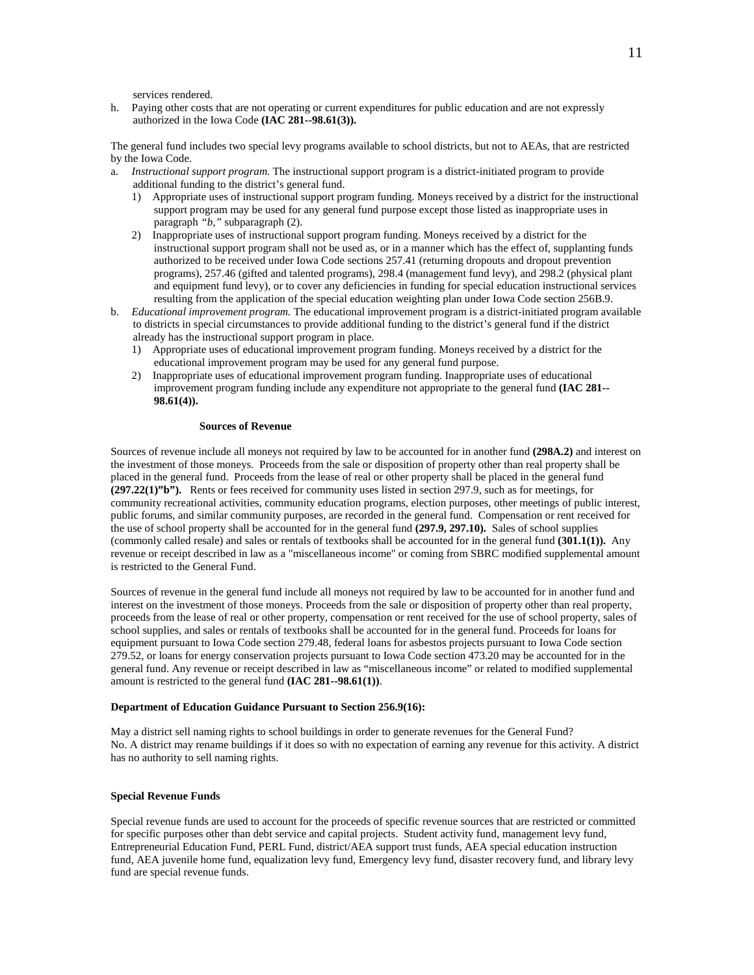services rendered.

h. Paying other costs that are not operating or current expenditures for public education and are not expressly authorized in the Iowa Code **(IAC 281--98.61(3)).**

The general fund includes two special levy programs available to school districts, but not to AEAs, that are restricted by the Iowa Code.

- a. *Instructional support program.* The instructional support program is a district-initiated program to provide additional funding to the district's general fund.
	- 1) Appropriate uses of instructional support program funding. Moneys received by a district for the instructional support program may be used for any general fund purpose except those listed as inappropriate uses in paragraph *"b,"* subparagraph (2).
	- 2) Inappropriate uses of instructional support program funding. Moneys received by a district for the instructional support program shall not be used as, or in a manner which has the effect of, supplanting funds authorized to be received under Iowa Code sections 257.41 (returning dropouts and dropout prevention programs), 257.46 (gifted and talented programs), 298.4 (management fund levy), and 298.2 (physical plant and equipment fund levy), or to cover any deficiencies in funding for special education instructional services resulting from the application of the special education weighting plan under Iowa Code section 256B.9.
- b. *Educational improvement program.* The educational improvement program is a district-initiated program available to districts in special circumstances to provide additional funding to the district's general fund if the district already has the instructional support program in place.
	- 1) Appropriate uses of educational improvement program funding. Moneys received by a district for the educational improvement program may be used for any general fund purpose.
	- 2) Inappropriate uses of educational improvement program funding. Inappropriate uses of educational improvement program funding include any expenditure not appropriate to the general fund **(IAC 281-- 98.61(4)).**

### **Sources of Revenue**

Sources of revenue include all moneys not required by law to be accounted for in another fund **(298A.2)** and interest on the investment of those moneys. Proceeds from the sale or disposition of property other than real property shall be placed in the general fund. Proceeds from the lease of real or other property shall be placed in the general fund **(297.22(1)"b").** Rents or fees received for community uses listed in section 297.9, such as for meetings, for community recreational activities, community education programs, election purposes, other meetings of public interest, public forums, and similar community purposes, are recorded in the general fund. Compensation or rent received for the use of school property shall be accounted for in the general fund **(297.9, 297.10).** Sales of school supplies (commonly called resale) and sales or rentals of textbooks shall be accounted for in the general fund **(301.1(1)).** Any revenue or receipt described in law as a "miscellaneous income" or coming from SBRC modified supplemental amount is restricted to the General Fund.

Sources of revenue in the general fund include all moneys not required by law to be accounted for in another fund and interest on the investment of those moneys. Proceeds from the sale or disposition of property other than real property, proceeds from the lease of real or other property, compensation or rent received for the use of school property, sales of school supplies, and sales or rentals of textbooks shall be accounted for in the general fund. Proceeds for loans for equipment pursuant to Iowa Code section 279.48, federal loans for asbestos projects pursuant to Iowa Code section 279.52, or loans for energy conservation projects pursuant to Iowa Code section 473.20 may be accounted for in the general fund. Any revenue or receipt described in law as "miscellaneous income" or related to modified supplemental amount is restricted to the general fund **(IAC 281--98.61(1))**.

#### **Department of Education Guidance Pursuant to Section 256.9(16):**

May a district sell naming rights to school buildings in order to generate revenues for the General Fund? No. A district may rename buildings if it does so with no expectation of earning any revenue for this activity. A district has no authority to sell naming rights.

#### **Special Revenue Funds**

Special revenue funds are used to account for the proceeds of specific revenue sources that are restricted or committed for specific purposes other than debt service and capital projects. Student activity fund, management levy fund, Entrepreneurial Education Fund, PERL Fund, district/AEA support trust funds, AEA special education instruction fund, AEA juvenile home fund, equalization levy fund, Emergency levy fund, disaster recovery fund, and library levy fund are special revenue funds.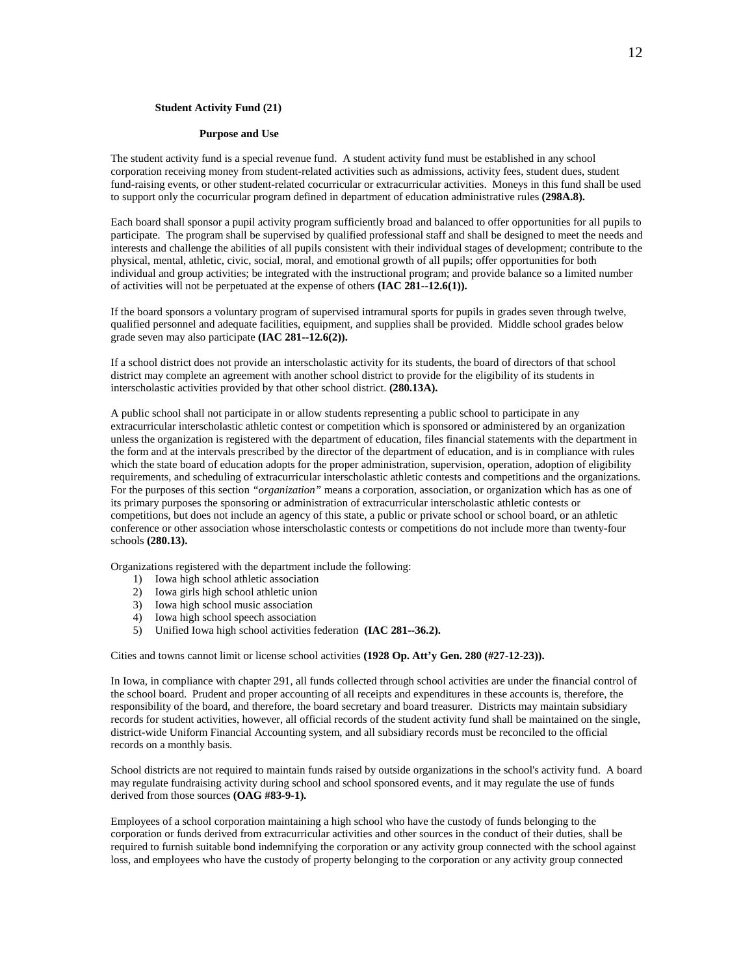### **Student Activity Fund (21)**

### **Purpose and Use**

The student activity fund is a special revenue fund. A student activity fund must be established in any school corporation receiving money from student-related activities such as admissions, activity fees, student dues, student fund-raising events, or other student-related cocurricular or extracurricular activities. Moneys in this fund shall be used to support only the cocurricular program defined in department of education administrative rules **(298A.8).**

Each board shall sponsor a pupil activity program sufficiently broad and balanced to offer opportunities for all pupils to participate. The program shall be supervised by qualified professional staff and shall be designed to meet the needs and interests and challenge the abilities of all pupils consistent with their individual stages of development; contribute to the physical, mental, athletic, civic, social, moral, and emotional growth of all pupils; offer opportunities for both individual and group activities; be integrated with the instructional program; and provide balance so a limited number of activities will not be perpetuated at the expense of others **(IAC 281--12.6(1)).**

If the board sponsors a voluntary program of supervised intramural sports for pupils in grades seven through twelve, qualified personnel and adequate facilities, equipment, and supplies shall be provided. Middle school grades below grade seven may also participate **(IAC 281--12.6(2)).**

If a school district does not provide an interscholastic activity for its students, the board of directors of that school district may complete an agreement with another school district to provide for the eligibility of its students in interscholastic activities provided by that other school district. **(280.13A).**

A public school shall not participate in or allow students representing a public school to participate in any extracurricular interscholastic athletic contest or competition which is sponsored or administered by an organization unless the organization is registered with the department of education, files financial statements with the department in the form and at the intervals prescribed by the director of the department of education, and is in compliance with rules which the state board of education adopts for the proper administration, supervision, operation, adoption of eligibility requirements, and scheduling of extracurricular interscholastic athletic contests and competitions and the organizations. For the purposes of this section *"organization"* means a corporation, association, or organization which has as one of its primary purposes the sponsoring or administration of extracurricular interscholastic athletic contests or competitions, but does not include an agency of this state, a public or private school or school board, or an athletic conference or other association whose interscholastic contests or competitions do not include more than twenty-four schools **(280.13).**

Organizations registered with the department include the following:

- 1) Iowa high school athletic association
- 2) Iowa girls high school athletic union
- 3) Iowa high school music association
- 4) Iowa high school speech association
- 5) Unified Iowa high school activities federation **(IAC 281--36.2).**

Cities and towns cannot limit or license school activities **(1928 Op. Att'y Gen. 280 (#27-12-23)).**

In Iowa, in compliance with chapter 291, all funds collected through school activities are under the financial control of the school board. Prudent and proper accounting of all receipts and expenditures in these accounts is, therefore, the responsibility of the board, and therefore, the board secretary and board treasurer. Districts may maintain subsidiary records for student activities, however, all official records of the student activity fund shall be maintained on the single, district-wide Uniform Financial Accounting system, and all subsidiary records must be reconciled to the official records on a monthly basis.

School districts are not required to maintain funds raised by outside organizations in the school's activity fund. A board may regulate fundraising activity during school and school sponsored events, and it may regulate the use of funds derived from those sources **(OAG #83-9-1).**

Employees of a school corporation maintaining a high school who have the custody of funds belonging to the corporation or funds derived from extracurricular activities and other sources in the conduct of their duties, shall be required to furnish suitable bond indemnifying the corporation or any activity group connected with the school against loss, and employees who have the custody of property belonging to the corporation or any activity group connected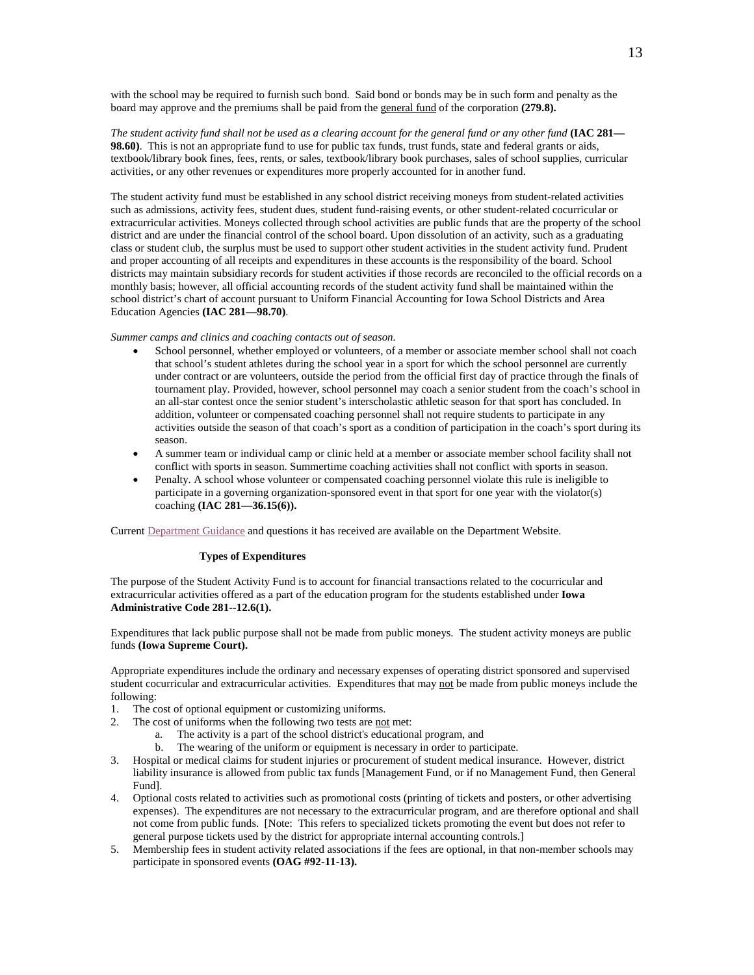with the school may be required to furnish such bond. Said bond or bonds may be in such form and penalty as the board may approve and the premiums shall be paid from the general fund of the corporation **(279.8).**

*The student activity fund shall not be used as a clearing account for the general fund or any other fund* **(IAC 281— 98.60)**. This is not an appropriate fund to use for public tax funds, trust funds, state and federal grants or aids, textbook/library book fines, fees, rents, or sales, textbook/library book purchases, sales of school supplies, curricular activities, or any other revenues or expenditures more properly accounted for in another fund.

The student activity fund must be established in any school district receiving moneys from student-related activities such as admissions, activity fees, student dues, student fund-raising events, or other student-related cocurricular or extracurricular activities. Moneys collected through school activities are public funds that are the property of the school district and are under the financial control of the school board. Upon dissolution of an activity, such as a graduating class or student club, the surplus must be used to support other student activities in the student activity fund. Prudent and proper accounting of all receipts and expenditures in these accounts is the responsibility of the board. School districts may maintain subsidiary records for student activities if those records are reconciled to the official records on a monthly basis; however, all official accounting records of the student activity fund shall be maintained within the school district's chart of account pursuant to Uniform Financial Accounting for Iowa School Districts and Area Education Agencies **(IAC 281—98.70)**.

#### *Summer camps and clinics and coaching contacts out of season.*

- School personnel, whether employed or volunteers, of a member or associate member school shall not coach that school's student athletes during the school year in a sport for which the school personnel are currently under contract or are volunteers, outside the period from the official first day of practice through the finals of tournament play. Provided, however, school personnel may coach a senior student from the coach's school in an all-star contest once the senior student's interscholastic athletic season for that sport has concluded. In addition, volunteer or compensated coaching personnel shall not require students to participate in any activities outside the season of that coach's sport as a condition of participation in the coach's sport during its season.
- A summer team or individual camp or clinic held at a member or associate member school facility shall not conflict with sports in season. Summertime coaching activities shall not conflict with sports in season.
- Penalty. A school whose volunteer or compensated coaching personnel violate this rule is ineligible to participate in a governing organization-sponsored event in that sport for one year with the violator(s) coaching **(IAC 281—36.15(6)).**

Curren[t Department Guidance](https://educateiowa.gov/pk-12/school-business-finance/levies-funds/student-activity-fund) and questions it has received are available on the Department Website.

### **Types of Expenditures**

The purpose of the Student Activity Fund is to account for financial transactions related to the cocurricular and extracurricular activities offered as a part of the education program for the students established under **Iowa Administrative Code 281--12.6(1).**

Expenditures that lack public purpose shall not be made from public moneys. The student activity moneys are public funds **(Iowa Supreme Court).**

Appropriate expenditures include the ordinary and necessary expenses of operating district sponsored and supervised student cocurricular and extracurricular activities. Expenditures that may not be made from public moneys include the following:

- 1. The cost of optional equipment or customizing uniforms.
- 2. The cost of uniforms when the following two tests are not met:
	- a. The activity is a part of the school district's educational program, and
	- The wearing of the uniform or equipment is necessary in order to participate.
- 3. Hospital or medical claims for student injuries or procurement of student medical insurance. However, district liability insurance is allowed from public tax funds [Management Fund, or if no Management Fund, then General Fund].
- 4. Optional costs related to activities such as promotional costs (printing of tickets and posters, or other advertising expenses). The expenditures are not necessary to the extracurricular program, and are therefore optional and shall not come from public funds. [Note: This refers to specialized tickets promoting the event but does not refer to general purpose tickets used by the district for appropriate internal accounting controls.]
- 5. Membership fees in student activity related associations if the fees are optional, in that non-member schools may participate in sponsored events **(OAG #92-11-13).**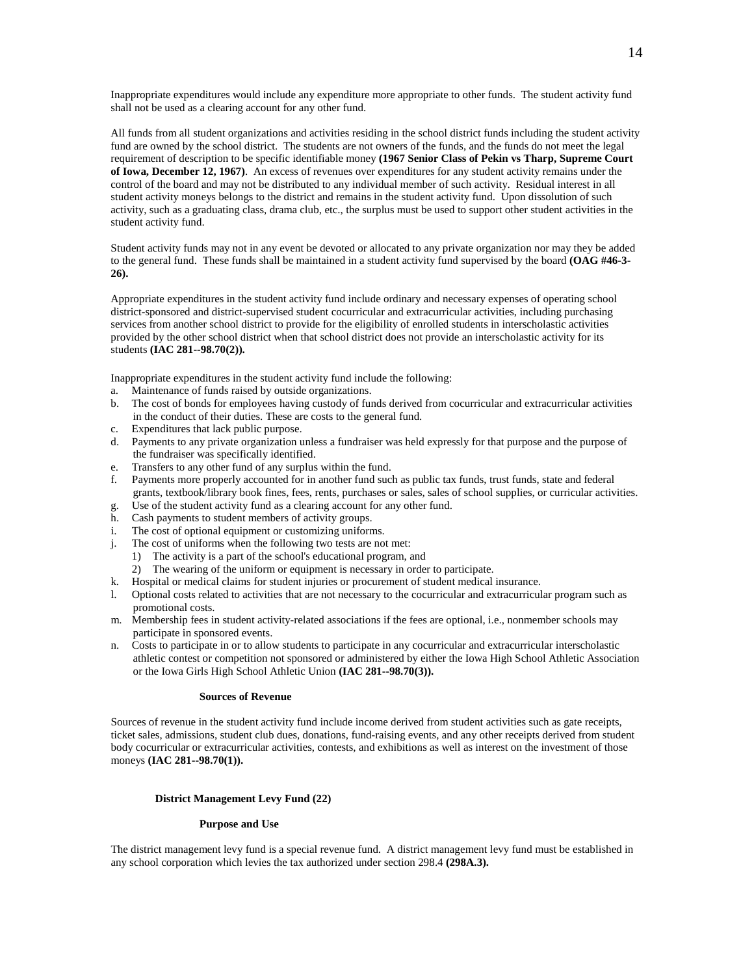Inappropriate expenditures would include any expenditure more appropriate to other funds. The student activity fund shall not be used as a clearing account for any other fund.

All funds from all student organizations and activities residing in the school district funds including the student activity fund are owned by the school district. The students are not owners of the funds, and the funds do not meet the legal requirement of description to be specific identifiable money **(1967 Senior Class of Pekin vs Tharp, Supreme Court of Iowa, December 12, 1967)**. An excess of revenues over expenditures for any student activity remains under the control of the board and may not be distributed to any individual member of such activity. Residual interest in all student activity moneys belongs to the district and remains in the student activity fund. Upon dissolution of such activity, such as a graduating class, drama club, etc., the surplus must be used to support other student activities in the student activity fund.

Student activity funds may not in any event be devoted or allocated to any private organization nor may they be added to the general fund. These funds shall be maintained in a student activity fund supervised by the board **(OAG #46-3- 26).**

Appropriate expenditures in the student activity fund include ordinary and necessary expenses of operating school district-sponsored and district-supervised student cocurricular and extracurricular activities, including purchasing services from another school district to provide for the eligibility of enrolled students in interscholastic activities provided by the other school district when that school district does not provide an interscholastic activity for its students **(IAC 281--98.70(2)).**

Inappropriate expenditures in the student activity fund include the following:

- a. Maintenance of funds raised by outside organizations.
- b. The cost of bonds for employees having custody of funds derived from cocurricular and extracurricular activities in the conduct of their duties. These are costs to the general fund.
- c. Expenditures that lack public purpose.
- d. Payments to any private organization unless a fundraiser was held expressly for that purpose and the purpose of the fundraiser was specifically identified.
- e. Transfers to any other fund of any surplus within the fund.
- f. Payments more properly accounted for in another fund such as public tax funds, trust funds, state and federal grants, textbook/library book fines, fees, rents, purchases or sales, sales of school supplies, or curricular activities.
- g. Use of the student activity fund as a clearing account for any other fund.
- h. Cash payments to student members of activity groups.
- i. The cost of optional equipment or customizing uniforms.
- j. The cost of uniforms when the following two tests are not met:
	- 1) The activity is a part of the school's educational program, and
	- 2) The wearing of the uniform or equipment is necessary in order to participate.
- k. Hospital or medical claims for student injuries or procurement of student medical insurance.
- l. Optional costs related to activities that are not necessary to the cocurricular and extracurricular program such as promotional costs.
- m. Membership fees in student activity-related associations if the fees are optional, i.e., nonmember schools may participate in sponsored events.
- n. Costs to participate in or to allow students to participate in any cocurricular and extracurricular interscholastic athletic contest or competition not sponsored or administered by either the Iowa High School Athletic Association or the Iowa Girls High School Athletic Union **(IAC 281--98.70(3)).**

### **Sources of Revenue**

Sources of revenue in the student activity fund include income derived from student activities such as gate receipts, ticket sales, admissions, student club dues, donations, fund-raising events, and any other receipts derived from student body cocurricular or extracurricular activities, contests, and exhibitions as well as interest on the investment of those moneys **(IAC 281--98.70(1)).**

#### **District Management Levy Fund (22)**

#### **Purpose and Use**

The district management levy fund is a special revenue fund. A district management levy fund must be established in any school corporation which levies the tax authorized under section 298.4 **(298A.3).**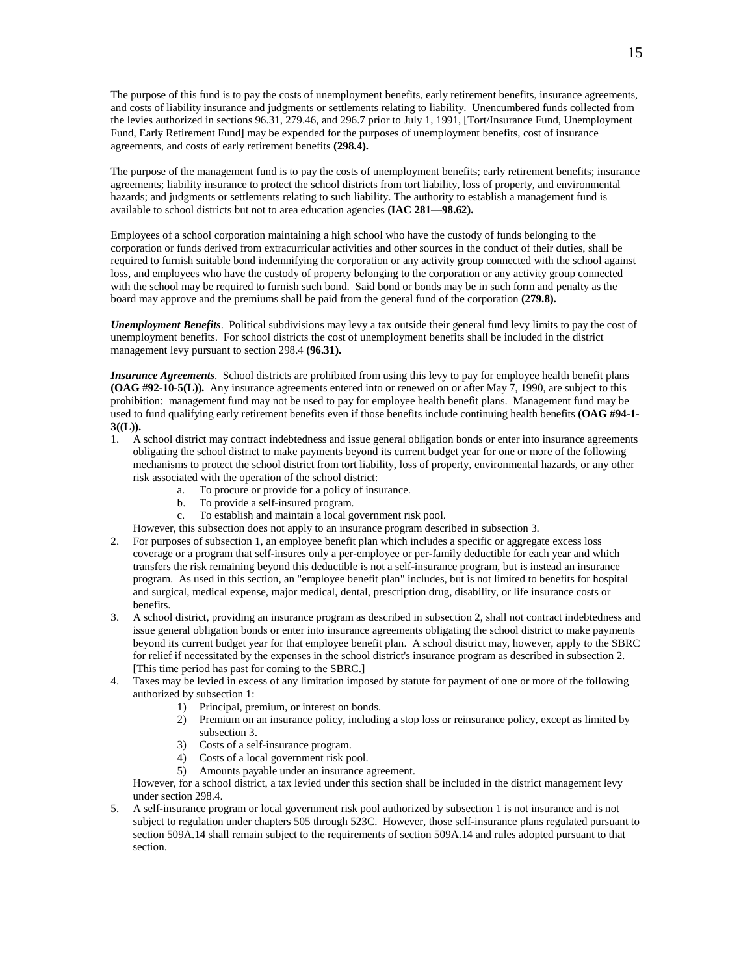The purpose of this fund is to pay the costs of unemployment benefits, early retirement benefits, insurance agreements, and costs of liability insurance and judgments or settlements relating to liability. Unencumbered funds collected from the levies authorized in sections 96.31, 279.46, and 296.7 prior to July 1, 1991, [Tort/Insurance Fund, Unemployment Fund, Early Retirement Fund] may be expended for the purposes of unemployment benefits, cost of insurance agreements, and costs of early retirement benefits **(298.4).**

The purpose of the management fund is to pay the costs of unemployment benefits; early retirement benefits; insurance agreements; liability insurance to protect the school districts from tort liability, loss of property, and environmental hazards; and judgments or settlements relating to such liability. The authority to establish a management fund is available to school districts but not to area education agencies **(IAC 281—98.62).**

Employees of a school corporation maintaining a high school who have the custody of funds belonging to the corporation or funds derived from extracurricular activities and other sources in the conduct of their duties, shall be required to furnish suitable bond indemnifying the corporation or any activity group connected with the school against loss, and employees who have the custody of property belonging to the corporation or any activity group connected with the school may be required to furnish such bond. Said bond or bonds may be in such form and penalty as the board may approve and the premiums shall be paid from the general fund of the corporation **(279.8).**

*Unemployment Benefits*. Political subdivisions may levy a tax outside their general fund levy limits to pay the cost of unemployment benefits. For school districts the cost of unemployment benefits shall be included in the district management levy pursuant to section 298.4 **(96.31).**

*Insurance Agreements*. School districts are prohibited from using this levy to pay for employee health benefit plans **(OAG #92-10-5(L)).** Any insurance agreements entered into or renewed on or after May 7, 1990, are subject to this prohibition: management fund may not be used to pay for employee health benefit plans. Management fund may be used to fund qualifying early retirement benefits even if those benefits include continuing health benefits **(OAG #94-1- 3((L)).**

- 1. A school district may contract indebtedness and issue general obligation bonds or enter into insurance agreements obligating the school district to make payments beyond its current budget year for one or more of the following mechanisms to protect the school district from tort liability, loss of property, environmental hazards, or any other risk associated with the operation of the school district:
	- a. To procure or provide for a policy of insurance.
	- b. To provide a self-insured program.
	- c. To establish and maintain a local government risk pool.
	- However, this subsection does not apply to an insurance program described in subsection 3.
- 2. For purposes of subsection 1, an employee benefit plan which includes a specific or aggregate excess loss coverage or a program that self-insures only a per-employee or per-family deductible for each year and which transfers the risk remaining beyond this deductible is not a self-insurance program, but is instead an insurance program. As used in this section, an "employee benefit plan" includes, but is not limited to benefits for hospital and surgical, medical expense, major medical, dental, prescription drug, disability, or life insurance costs or benefits.
- 3. A school district, providing an insurance program as described in subsection 2, shall not contract indebtedness and issue general obligation bonds or enter into insurance agreements obligating the school district to make payments beyond its current budget year for that employee benefit plan. A school district may, however, apply to the SBRC for relief if necessitated by the expenses in the school district's insurance program as described in subsection 2. [This time period has past for coming to the SBRC.]
- 4. Taxes may be levied in excess of any limitation imposed by statute for payment of one or more of the following authorized by subsection 1:
	- 1) Principal, premium, or interest on bonds.
	- 2) Premium on an insurance policy, including a stop loss or reinsurance policy, except as limited by subsection 3.
	- 3) Costs of a self-insurance program.
	- 4) Costs of a local government risk pool.
	- 5) Amounts payable under an insurance agreement.

However, for a school district, a tax levied under this section shall be included in the district management levy under section 298.4.

5. A self-insurance program or local government risk pool authorized by subsection 1 is not insurance and is not subject to regulation under chapters 505 through 523C. However, those self-insurance plans regulated pursuant to section 509A.14 shall remain subject to the requirements of section 509A.14 and rules adopted pursuant to that section.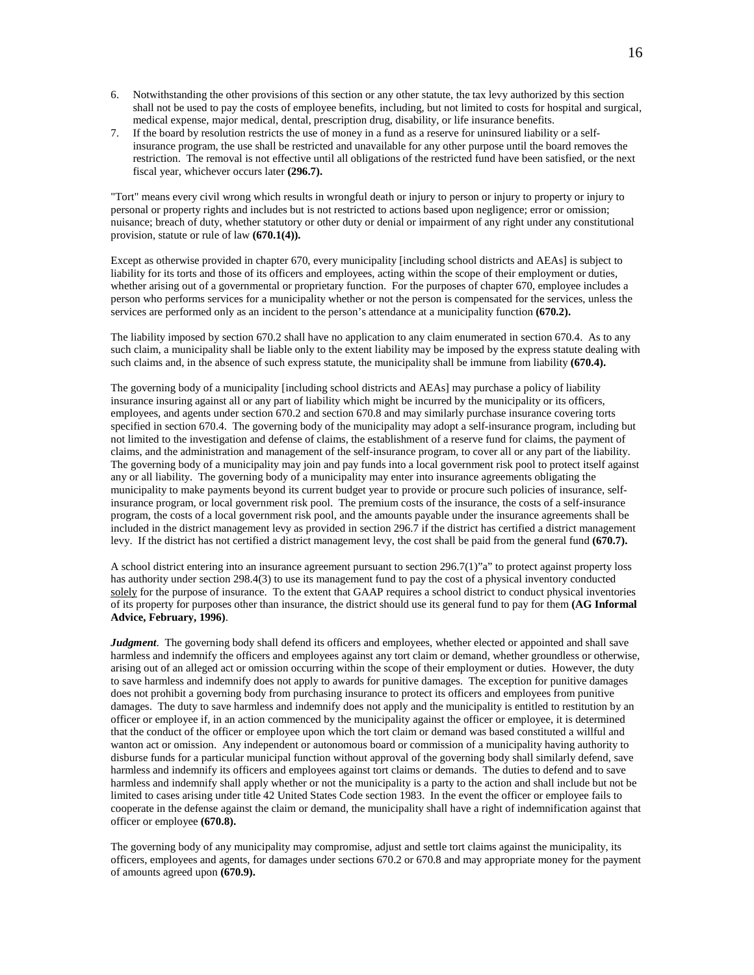- 6. Notwithstanding the other provisions of this section or any other statute, the tax levy authorized by this section shall not be used to pay the costs of employee benefits, including, but not limited to costs for hospital and surgical, medical expense, major medical, dental, prescription drug, disability, or life insurance benefits.
- 7. If the board by resolution restricts the use of money in a fund as a reserve for uninsured liability or a selfinsurance program, the use shall be restricted and unavailable for any other purpose until the board removes the restriction. The removal is not effective until all obligations of the restricted fund have been satisfied, or the next fiscal year, whichever occurs later **(296.7).**

"Tort" means every civil wrong which results in wrongful death or injury to person or injury to property or injury to personal or property rights and includes but is not restricted to actions based upon negligence; error or omission; nuisance; breach of duty, whether statutory or other duty or denial or impairment of any right under any constitutional provision, statute or rule of law **(670.1(4)).**

Except as otherwise provided in chapter 670, every municipality [including school districts and AEAs] is subject to liability for its torts and those of its officers and employees, acting within the scope of their employment or duties, whether arising out of a governmental or proprietary function. For the purposes of chapter 670, employee includes a person who performs services for a municipality whether or not the person is compensated for the services, unless the services are performed only as an incident to the person's attendance at a municipality function **(670.2).**

The liability imposed by section 670.2 shall have no application to any claim enumerated in section 670.4. As to any such claim, a municipality shall be liable only to the extent liability may be imposed by the express statute dealing with such claims and, in the absence of such express statute, the municipality shall be immune from liability **(670.4).** 

The governing body of a municipality [including school districts and AEAs] may purchase a policy of liability insurance insuring against all or any part of liability which might be incurred by the municipality or its officers, employees, and agents under section 670.2 and section 670.8 and may similarly purchase insurance covering torts specified in section 670.4. The governing body of the municipality may adopt a self-insurance program, including but not limited to the investigation and defense of claims, the establishment of a reserve fund for claims, the payment of claims, and the administration and management of the self-insurance program, to cover all or any part of the liability. The governing body of a municipality may join and pay funds into a local government risk pool to protect itself against any or all liability. The governing body of a municipality may enter into insurance agreements obligating the municipality to make payments beyond its current budget year to provide or procure such policies of insurance, selfinsurance program, or local government risk pool. The premium costs of the insurance, the costs of a self-insurance program, the costs of a local government risk pool, and the amounts payable under the insurance agreements shall be included in the district management levy as provided in section 296.7 if the district has certified a district management levy. If the district has not certified a district management levy, the cost shall be paid from the general fund **(670.7).**

A school district entering into an insurance agreement pursuant to section 296.7(1)"a" to protect against property loss has authority under section 298.4(3) to use its management fund to pay the cost of a physical inventory conducted solely for the purpose of insurance. To the extent that GAAP requires a school district to conduct physical inventories of its property for purposes other than insurance, the district should use its general fund to pay for them **(AG Informal Advice, February, 1996)**.

*Judgment*. The governing body shall defend its officers and employees, whether elected or appointed and shall save harmless and indemnify the officers and employees against any tort claim or demand, whether groundless or otherwise, arising out of an alleged act or omission occurring within the scope of their employment or duties. However, the duty to save harmless and indemnify does not apply to awards for punitive damages. The exception for punitive damages does not prohibit a governing body from purchasing insurance to protect its officers and employees from punitive damages. The duty to save harmless and indemnify does not apply and the municipality is entitled to restitution by an officer or employee if, in an action commenced by the municipality against the officer or employee, it is determined that the conduct of the officer or employee upon which the tort claim or demand was based constituted a willful and wanton act or omission. Any independent or autonomous board or commission of a municipality having authority to disburse funds for a particular municipal function without approval of the governing body shall similarly defend, save harmless and indemnify its officers and employees against tort claims or demands. The duties to defend and to save harmless and indemnify shall apply whether or not the municipality is a party to the action and shall include but not be limited to cases arising under title 42 United States Code section 1983. In the event the officer or employee fails to cooperate in the defense against the claim or demand, the municipality shall have a right of indemnification against that officer or employee **(670.8).**

The governing body of any municipality may compromise, adjust and settle tort claims against the municipality, its officers, employees and agents, for damages under sections 670.2 or 670.8 and may appropriate money for the payment of amounts agreed upon **(670.9).**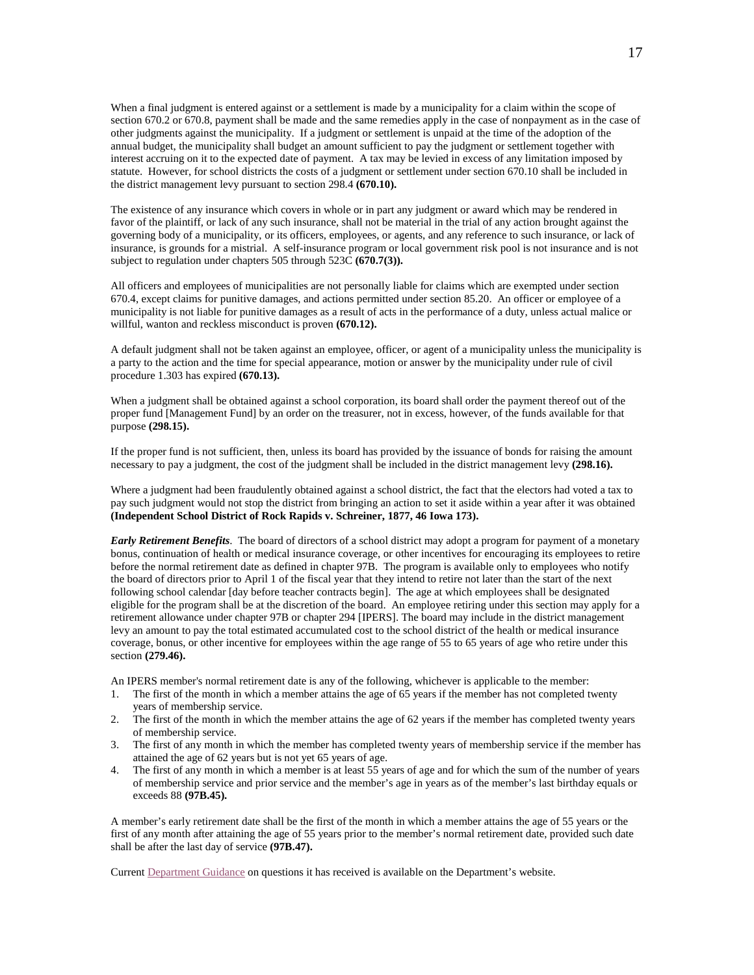When a final judgment is entered against or a settlement is made by a municipality for a claim within the scope of section 670.2 or 670.8, payment shall be made and the same remedies apply in the case of nonpayment as in the case of other judgments against the municipality. If a judgment or settlement is unpaid at the time of the adoption of the annual budget, the municipality shall budget an amount sufficient to pay the judgment or settlement together with interest accruing on it to the expected date of payment. A tax may be levied in excess of any limitation imposed by statute. However, for school districts the costs of a judgment or settlement under section 670.10 shall be included in the district management levy pursuant to section 298.4 **(670.10).**

The existence of any insurance which covers in whole or in part any judgment or award which may be rendered in favor of the plaintiff, or lack of any such insurance, shall not be material in the trial of any action brought against the governing body of a municipality, or its officers, employees, or agents, and any reference to such insurance, or lack of insurance, is grounds for a mistrial. A self-insurance program or local government risk pool is not insurance and is not subject to regulation under chapters 505 through 523C **(670.7(3)).**

All officers and employees of municipalities are not personally liable for claims which are exempted under section 670.4, except claims for punitive damages, and actions permitted under section 85.20. An officer or employee of a municipality is not liable for punitive damages as a result of acts in the performance of a duty, unless actual malice or willful, wanton and reckless misconduct is proven **(670.12).**

A default judgment shall not be taken against an employee, officer, or agent of a municipality unless the municipality is a party to the action and the time for special appearance, motion or answer by the municipality under rule of civil procedure 1.303 has expired **(670.13).**

When a judgment shall be obtained against a school corporation, its board shall order the payment thereof out of the proper fund [Management Fund] by an order on the treasurer, not in excess, however, of the funds available for that purpose **(298.15).**

If the proper fund is not sufficient, then, unless its board has provided by the issuance of bonds for raising the amount necessary to pay a judgment, the cost of the judgment shall be included in the district management levy **(298.16).**

Where a judgment had been fraudulently obtained against a school district, the fact that the electors had voted a tax to pay such judgment would not stop the district from bringing an action to set it aside within a year after it was obtained **(Independent School District of Rock Rapids v. Schreiner, 1877, 46 Iowa 173).**

*Early Retirement Benefits*. The board of directors of a school district may adopt a program for payment of a monetary bonus, continuation of health or medical insurance coverage, or other incentives for encouraging its employees to retire before the normal retirement date as defined in chapter 97B. The program is available only to employees who notify the board of directors prior to April 1 of the fiscal year that they intend to retire not later than the start of the next following school calendar [day before teacher contracts begin]. The age at which employees shall be designated eligible for the program shall be at the discretion of the board. An employee retiring under this section may apply for a retirement allowance under chapter 97B or chapter 294 [IPERS]. The board may include in the district management levy an amount to pay the total estimated accumulated cost to the school district of the health or medical insurance coverage, bonus, or other incentive for employees within the age range of 55 to 65 years of age who retire under this section **(279.46).**

An IPERS member's normal retirement date is any of the following, whichever is applicable to the member:

- 1. The first of the month in which a member attains the age of 65 years if the member has not completed twenty years of membership service.
- 2. The first of the month in which the member attains the age of 62 years if the member has completed twenty years of membership service.
- 3. The first of any month in which the member has completed twenty years of membership service if the member has attained the age of 62 years but is not yet 65 years of age.
- 4. The first of any month in which a member is at least 55 years of age and for which the sum of the number of years of membership service and prior service and the member's age in years as of the member's last birthday equals or exceeds 88 **(97B.45).**

A member's early retirement date shall be the first of the month in which a member attains the age of 55 years or the first of any month after attaining the age of 55 years prior to the member's normal retirement date, provided such date shall be after the last day of service **(97B.47).**

Curren[t Department Guidance](https://educateiowa.gov/pk-12/school-business-finance/levies-funds/management-levy) on questions it has received is available on the Department's website.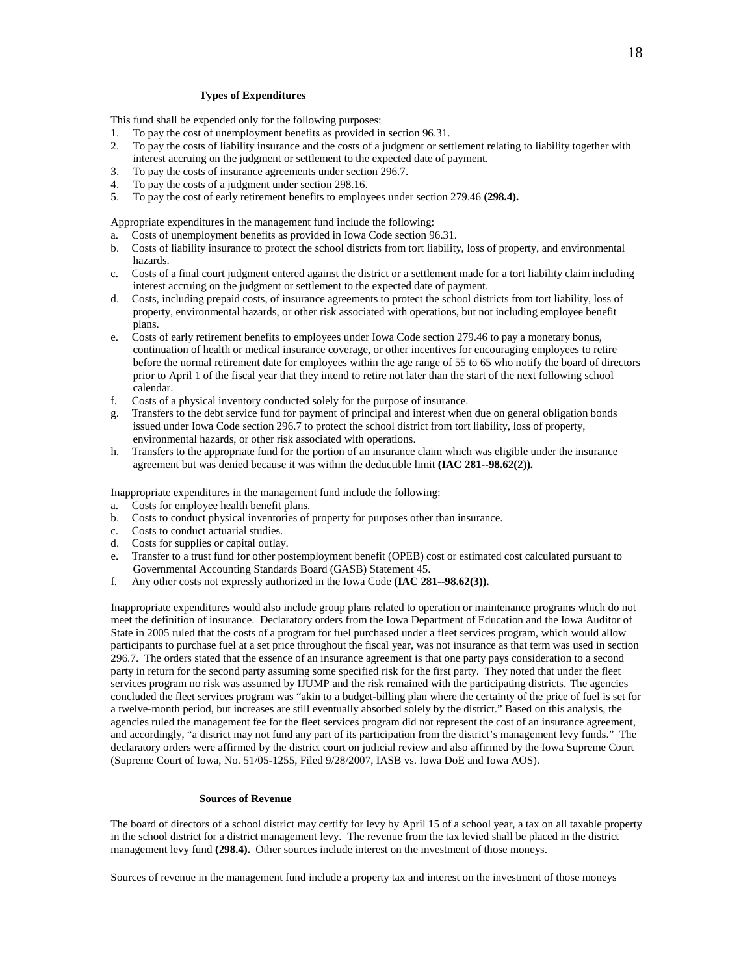### **Types of Expenditures**

This fund shall be expended only for the following purposes:

- 1. To pay the cost of unemployment benefits as provided in section 96.31.
- 2. To pay the costs of liability insurance and the costs of a judgment or settlement relating to liability together with interest accruing on the judgment or settlement to the expected date of payment.
- 3. To pay the costs of insurance agreements under section 296.7.
- 4. To pay the costs of a judgment under section 298.16.
- 5. To pay the cost of early retirement benefits to employees under section 279.46 **(298.4).**

Appropriate expenditures in the management fund include the following:

- a. Costs of unemployment benefits as provided in Iowa Code section 96.31.
- b. Costs of liability insurance to protect the school districts from tort liability, loss of property, and environmental hazards.
- c. Costs of a final court judgment entered against the district or a settlement made for a tort liability claim including interest accruing on the judgment or settlement to the expected date of payment.
- d. Costs, including prepaid costs, of insurance agreements to protect the school districts from tort liability, loss of property, environmental hazards, or other risk associated with operations, but not including employee benefit plans.
- e. Costs of early retirement benefits to employees under Iowa Code section 279.46 to pay a monetary bonus, continuation of health or medical insurance coverage, or other incentives for encouraging employees to retire before the normal retirement date for employees within the age range of 55 to 65 who notify the board of directors prior to April 1 of the fiscal year that they intend to retire not later than the start of the next following school calendar.
- f. Costs of a physical inventory conducted solely for the purpose of insurance.
- g. Transfers to the debt service fund for payment of principal and interest when due on general obligation bonds issued under Iowa Code section 296.7 to protect the school district from tort liability, loss of property, environmental hazards, or other risk associated with operations.
- h. Transfers to the appropriate fund for the portion of an insurance claim which was eligible under the insurance agreement but was denied because it was within the deductible limit **(IAC 281--98.62(2)).**

Inappropriate expenditures in the management fund include the following:

- a. Costs for employee health benefit plans.
- b. Costs to conduct physical inventories of property for purposes other than insurance.
- c. Costs to conduct actuarial studies.
- d. Costs for supplies or capital outlay.
- e. Transfer to a trust fund for other postemployment benefit (OPEB) cost or estimated cost calculated pursuant to Governmental Accounting Standards Board (GASB) Statement 45.
- f. Any other costs not expressly authorized in the Iowa Code **(IAC 281--98.62(3)).**

Inappropriate expenditures would also include group plans related to operation or maintenance programs which do not meet the definition of insurance. Declaratory orders from the Iowa Department of Education and the Iowa Auditor of State in 2005 ruled that the costs of a program for fuel purchased under a fleet services program, which would allow participants to purchase fuel at a set price throughout the fiscal year, was not insurance as that term was used in section 296.7. The orders stated that the essence of an insurance agreement is that one party pays consideration to a second party in return for the second party assuming some specified risk for the first party. They noted that under the fleet services program no risk was assumed by IJUMP and the risk remained with the participating districts. The agencies concluded the fleet services program was "akin to a budget-billing plan where the certainty of the price of fuel is set for a twelve-month period, but increases are still eventually absorbed solely by the district." Based on this analysis, the agencies ruled the management fee for the fleet services program did not represent the cost of an insurance agreement, and accordingly, "a district may not fund any part of its participation from the district's management levy funds." The declaratory orders were affirmed by the district court on judicial review and also affirmed by the Iowa Supreme Court (Supreme Court of Iowa, No. 51/05-1255, Filed 9/28/2007, IASB vs. Iowa DoE and Iowa AOS).

#### **Sources of Revenue**

The board of directors of a school district may certify for levy by April 15 of a school year, a tax on all taxable property in the school district for a district management levy. The revenue from the tax levied shall be placed in the district management levy fund **(298.4).** Other sources include interest on the investment of those moneys.

Sources of revenue in the management fund include a property tax and interest on the investment of those moneys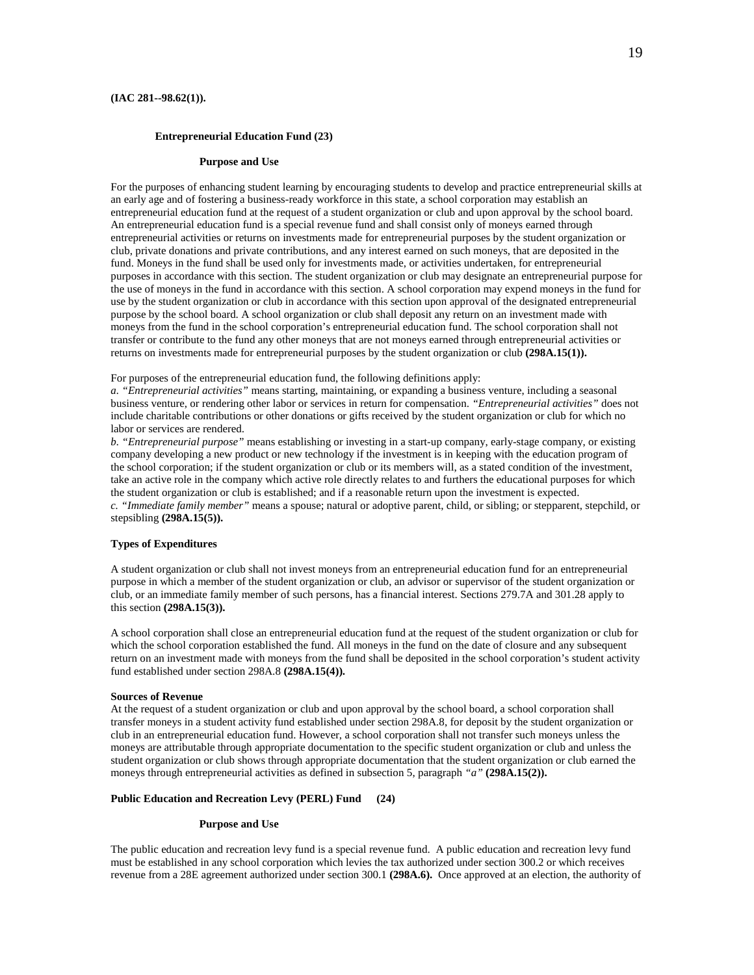#### **(IAC 281--98.62(1)).**

### **Entrepreneurial Education Fund (23)**

#### **Purpose and Use**

For the purposes of enhancing student learning by encouraging students to develop and practice entrepreneurial skills at an early age and of fostering a business-ready workforce in this state, a school corporation may establish an entrepreneurial education fund at the request of a student organization or club and upon approval by the school board. An entrepreneurial education fund is a special revenue fund and shall consist only of moneys earned through entrepreneurial activities or returns on investments made for entrepreneurial purposes by the student organization or club, private donations and private contributions, and any interest earned on such moneys, that are deposited in the fund. Moneys in the fund shall be used only for investments made, or activities undertaken, for entrepreneurial purposes in accordance with this section. The student organization or club may designate an entrepreneurial purpose for the use of moneys in the fund in accordance with this section. A school corporation may expend moneys in the fund for use by the student organization or club in accordance with this section upon approval of the designated entrepreneurial purpose by the school board. A school organization or club shall deposit any return on an investment made with moneys from the fund in the school corporation's entrepreneurial education fund. The school corporation shall not transfer or contribute to the fund any other moneys that are not moneys earned through entrepreneurial activities or returns on investments made for entrepreneurial purposes by the student organization or club **(298A.15(1)).**

For purposes of the entrepreneurial education fund, the following definitions apply:

*a. "Entrepreneurial activities"* means starting, maintaining, or expanding a business venture, including a seasonal business venture, or rendering other labor or services in return for compensation. *"Entrepreneurial activities"* does not include charitable contributions or other donations or gifts received by the student organization or club for which no labor or services are rendered.

*b. "Entrepreneurial purpose"* means establishing or investing in a start-up company, early-stage company, or existing company developing a new product or new technology if the investment is in keeping with the education program of the school corporation; if the student organization or club or its members will, as a stated condition of the investment, take an active role in the company which active role directly relates to and furthers the educational purposes for which the student organization or club is established; and if a reasonable return upon the investment is expected. *c. "Immediate family member"* means a spouse; natural or adoptive parent, child, or sibling; or stepparent, stepchild, or stepsibling **(298A.15(5)).**

### **Types of Expenditures**

A student organization or club shall not invest moneys from an entrepreneurial education fund for an entrepreneurial purpose in which a member of the student organization or club, an advisor or supervisor of the student organization or club, or an immediate family member of such persons, has a financial interest. Sections 279.7A and 301.28 apply to this section **(298A.15(3)).**

A school corporation shall close an entrepreneurial education fund at the request of the student organization or club for which the school corporation established the fund. All moneys in the fund on the date of closure and any subsequent return on an investment made with moneys from the fund shall be deposited in the school corporation's student activity fund established under section 298A.8 **(298A.15(4)).**

#### **Sources of Revenue**

At the request of a student organization or club and upon approval by the school board, a school corporation shall transfer moneys in a student activity fund established under section 298A.8, for deposit by the student organization or club in an entrepreneurial education fund. However, a school corporation shall not transfer such moneys unless the moneys are attributable through appropriate documentation to the specific student organization or club and unless the student organization or club shows through appropriate documentation that the student organization or club earned the moneys through entrepreneurial activities as defined in subsection 5, paragraph *"a"* **(298A.15(2)).**

#### **Public Education and Recreation Levy (PERL) Fund (24)**

#### **Purpose and Use**

The public education and recreation levy fund is a special revenue fund. A public education and recreation levy fund must be established in any school corporation which levies the tax authorized under section 300.2 or which receives revenue from a 28E agreement authorized under section 300.1 **(298A.6).** Once approved at an election, the authority of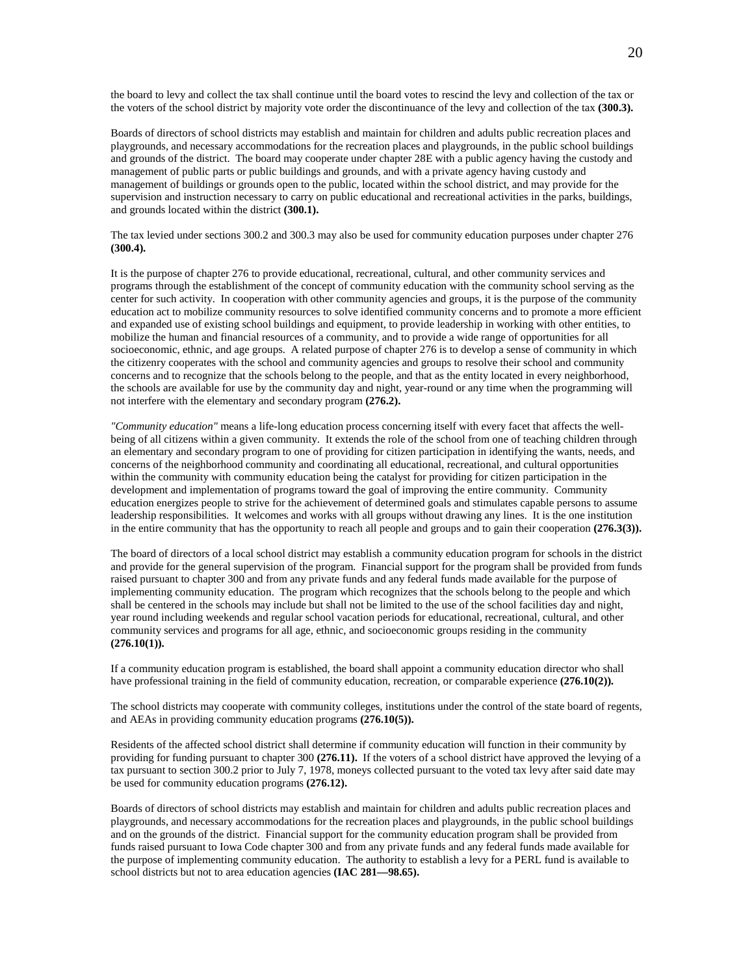the board to levy and collect the tax shall continue until the board votes to rescind the levy and collection of the tax or the voters of the school district by majority vote order the discontinuance of the levy and collection of the tax **(300.3).**

Boards of directors of school districts may establish and maintain for children and adults public recreation places and playgrounds, and necessary accommodations for the recreation places and playgrounds, in the public school buildings and grounds of the district. The board may cooperate under chapter 28E with a public agency having the custody and management of public parts or public buildings and grounds, and with a private agency having custody and management of buildings or grounds open to the public, located within the school district, and may provide for the supervision and instruction necessary to carry on public educational and recreational activities in the parks, buildings, and grounds located within the district **(300.1).**

The tax levied under sections 300.2 and 300.3 may also be used for community education purposes under chapter 276 **(300.4).**

It is the purpose of chapter 276 to provide educational, recreational, cultural, and other community services and programs through the establishment of the concept of community education with the community school serving as the center for such activity. In cooperation with other community agencies and groups, it is the purpose of the community education act to mobilize community resources to solve identified community concerns and to promote a more efficient and expanded use of existing school buildings and equipment, to provide leadership in working with other entities, to mobilize the human and financial resources of a community, and to provide a wide range of opportunities for all socioeconomic, ethnic, and age groups. A related purpose of chapter 276 is to develop a sense of community in which the citizenry cooperates with the school and community agencies and groups to resolve their school and community concerns and to recognize that the schools belong to the people, and that as the entity located in every neighborhood, the schools are available for use by the community day and night, year-round or any time when the programming will not interfere with the elementary and secondary program **(276.2).**

*"Community education"* means a life-long education process concerning itself with every facet that affects the wellbeing of all citizens within a given community. It extends the role of the school from one of teaching children through an elementary and secondary program to one of providing for citizen participation in identifying the wants, needs, and concerns of the neighborhood community and coordinating all educational, recreational, and cultural opportunities within the community with community education being the catalyst for providing for citizen participation in the development and implementation of programs toward the goal of improving the entire community. Community education energizes people to strive for the achievement of determined goals and stimulates capable persons to assume leadership responsibilities. It welcomes and works with all groups without drawing any lines. It is the one institution in the entire community that has the opportunity to reach all people and groups and to gain their cooperation **(276.3(3)).**

The board of directors of a local school district may establish a community education program for schools in the district and provide for the general supervision of the program. Financial support for the program shall be provided from funds raised pursuant to chapter 300 and from any private funds and any federal funds made available for the purpose of implementing community education. The program which recognizes that the schools belong to the people and which shall be centered in the schools may include but shall not be limited to the use of the school facilities day and night, year round including weekends and regular school vacation periods for educational, recreational, cultural, and other community services and programs for all age, ethnic, and socioeconomic groups residing in the community **(276.10(1)).**

If a community education program is established, the board shall appoint a community education director who shall have professional training in the field of community education, recreation, or comparable experience **(276.10(2)).** 

The school districts may cooperate with community colleges, institutions under the control of the state board of regents, and AEAs in providing community education programs **(276.10(5)).**

Residents of the affected school district shall determine if community education will function in their community by providing for funding pursuant to chapter 300 **(276.11).** If the voters of a school district have approved the levying of a tax pursuant to section 300.2 prior to July 7, 1978, moneys collected pursuant to the voted tax levy after said date may be used for community education programs **(276.12).**

Boards of directors of school districts may establish and maintain for children and adults public recreation places and playgrounds, and necessary accommodations for the recreation places and playgrounds, in the public school buildings and on the grounds of the district. Financial support for the community education program shall be provided from funds raised pursuant to Iowa Code chapter 300 and from any private funds and any federal funds made available for the purpose of implementing community education. The authority to establish a levy for a PERL fund is available to school districts but not to area education agencies **(IAC 281—98.65).**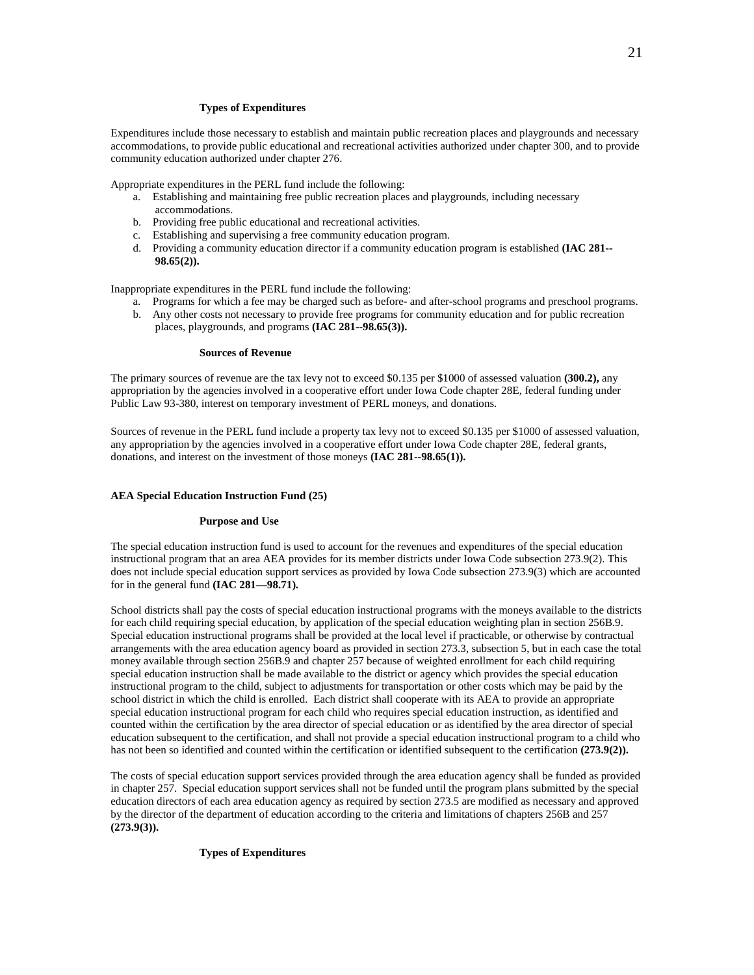### **Types of Expenditures**

Expenditures include those necessary to establish and maintain public recreation places and playgrounds and necessary accommodations, to provide public educational and recreational activities authorized under chapter 300, and to provide community education authorized under chapter 276.

Appropriate expenditures in the PERL fund include the following:

- a. Establishing and maintaining free public recreation places and playgrounds, including necessary accommodations.
- b. Providing free public educational and recreational activities.
- c. Establishing and supervising a free community education program.
- d. Providing a community education director if a community education program is established **(IAC 281-- 98.65(2)).**

Inappropriate expenditures in the PERL fund include the following:

- a. Programs for which a fee may be charged such as before- and after-school programs and preschool programs.
- b. Any other costs not necessary to provide free programs for community education and for public recreation places, playgrounds, and programs **(IAC 281--98.65(3)).**

#### **Sources of Revenue**

The primary sources of revenue are the tax levy not to exceed \$0.135 per \$1000 of assessed valuation **(300.2),** any appropriation by the agencies involved in a cooperative effort under Iowa Code chapter 28E, federal funding under Public Law 93-380, interest on temporary investment of PERL moneys, and donations.

Sources of revenue in the PERL fund include a property tax levy not to exceed \$0.135 per \$1000 of assessed valuation, any appropriation by the agencies involved in a cooperative effort under Iowa Code chapter 28E, federal grants, donations, and interest on the investment of those moneys **(IAC 281--98.65(1)).**

### **AEA Special Education Instruction Fund (25)**

### **Purpose and Use**

The special education instruction fund is used to account for the revenues and expenditures of the special education instructional program that an area AEA provides for its member districts under Iowa Code subsection 273.9(2). This does not include special education support services as provided by Iowa Code subsection 273.9(3) which are accounted for in the general fund **(IAC 281—98.71).**

School districts shall pay the costs of special education instructional programs with the moneys available to the districts for each child requiring special education, by application of the special education weighting plan in section 256B.9. Special education instructional programs shall be provided at the local level if practicable, or otherwise by contractual arrangements with the area education agency board as provided in section 273.3, subsection 5, but in each case the total money available through section 256B.9 and chapter 257 because of weighted enrollment for each child requiring special education instruction shall be made available to the district or agency which provides the special education instructional program to the child, subject to adjustments for transportation or other costs which may be paid by the school district in which the child is enrolled. Each district shall cooperate with its AEA to provide an appropriate special education instructional program for each child who requires special education instruction, as identified and counted within the certification by the area director of special education or as identified by the area director of special education subsequent to the certification, and shall not provide a special education instructional program to a child who has not been so identified and counted within the certification or identified subsequent to the certification  $(273.9(2))$ .

The costs of special education support services provided through the area education agency shall be funded as provided in chapter 257. Special education support services shall not be funded until the program plans submitted by the special education directors of each area education agency as required by section 273.5 are modified as necessary and approved by the director of the department of education according to the criteria and limitations of chapters 256B and 257 **(273.9(3)).**

### **Types of Expenditures**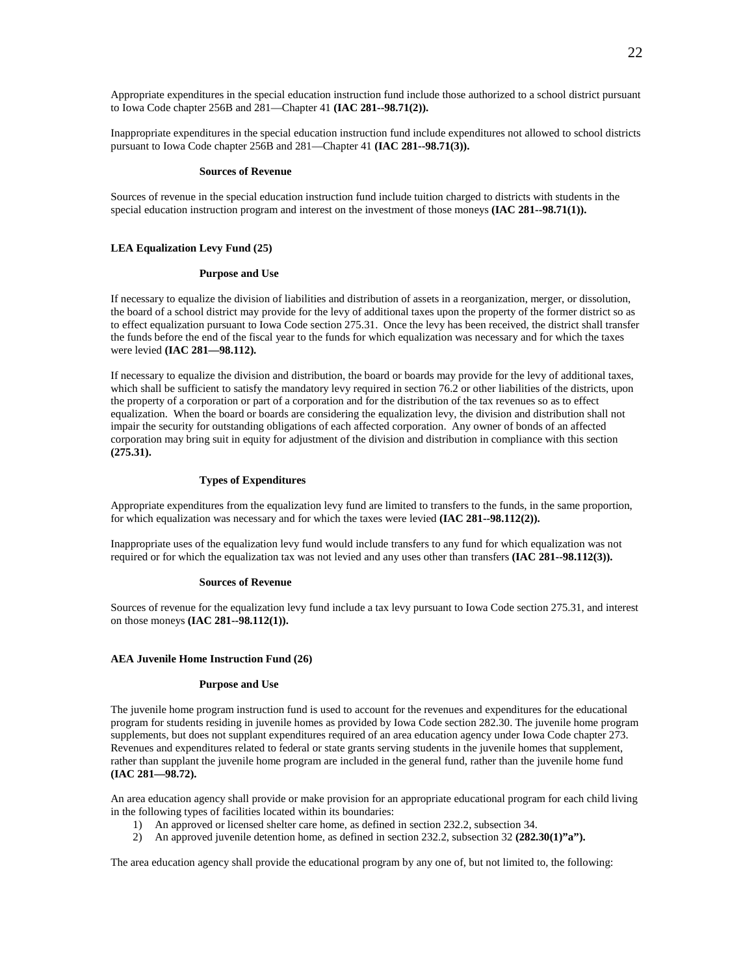Appropriate expenditures in the special education instruction fund include those authorized to a school district pursuant to Iowa Code chapter 256B and 281—Chapter 41 **(IAC 281--98.71(2)).**

Inappropriate expenditures in the special education instruction fund include expenditures not allowed to school districts pursuant to Iowa Code chapter 256B and 281—Chapter 41 **(IAC 281--98.71(3)).**

#### **Sources of Revenue**

Sources of revenue in the special education instruction fund include tuition charged to districts with students in the special education instruction program and interest on the investment of those moneys **(IAC 281--98.71(1)).**

#### **LEA Equalization Levy Fund (25)**

#### **Purpose and Use**

If necessary to equalize the division of liabilities and distribution of assets in a reorganization, merger, or dissolution, the board of a school district may provide for the levy of additional taxes upon the property of the former district so as to effect equalization pursuant to Iowa Code section 275.31. Once the levy has been received, the district shall transfer the funds before the end of the fiscal year to the funds for which equalization was necessary and for which the taxes were levied **(IAC 281—98.112).**

If necessary to equalize the division and distribution, the board or boards may provide for the levy of additional taxes, which shall be sufficient to satisfy the mandatory levy required in section 76.2 or other liabilities of the districts, upon the property of a corporation or part of a corporation and for the distribution of the tax revenues so as to effect equalization. When the board or boards are considering the equalization levy, the division and distribution shall not impair the security for outstanding obligations of each affected corporation. Any owner of bonds of an affected corporation may bring suit in equity for adjustment of the division and distribution in compliance with this section **(275.31).**

### **Types of Expenditures**

Appropriate expenditures from the equalization levy fund are limited to transfers to the funds, in the same proportion, for which equalization was necessary and for which the taxes were levied **(IAC 281--98.112(2)).**

Inappropriate uses of the equalization levy fund would include transfers to any fund for which equalization was not required or for which the equalization tax was not levied and any uses other than transfers **(IAC 281--98.112(3)).**

#### **Sources of Revenue**

Sources of revenue for the equalization levy fund include a tax levy pursuant to Iowa Code section 275.31, and interest on those moneys **(IAC 281--98.112(1)).**

#### **AEA Juvenile Home Instruction Fund (26)**

#### **Purpose and Use**

The juvenile home program instruction fund is used to account for the revenues and expenditures for the educational program for students residing in juvenile homes as provided by Iowa Code section 282.30. The juvenile home program supplements, but does not supplant expenditures required of an area education agency under Iowa Code chapter 273. Revenues and expenditures related to federal or state grants serving students in the juvenile homes that supplement, rather than supplant the juvenile home program are included in the general fund, rather than the juvenile home fund **(IAC 281—98.72).**

An area education agency shall provide or make provision for an appropriate educational program for each child living in the following types of facilities located within its boundaries:

- 1) An approved or licensed shelter care home, as defined in section 232.2, subsection 34.
- 2) An approved juvenile detention home, as defined in section 232.2, subsection 32 **(282.30(1)"a").**

The area education agency shall provide the educational program by any one of, but not limited to, the following: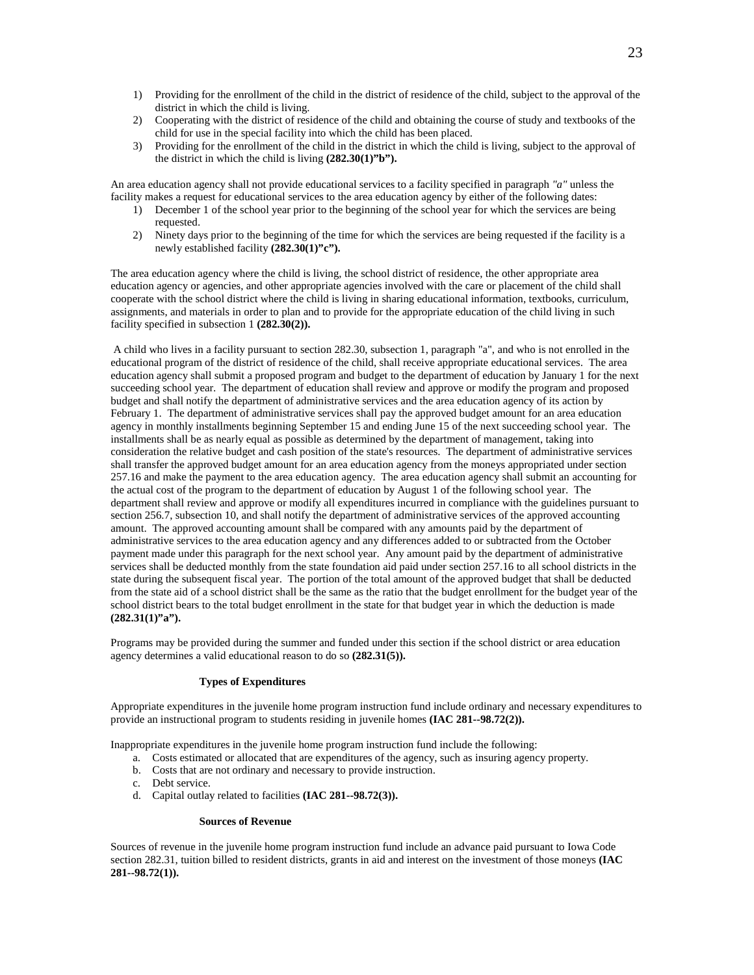- 1) Providing for the enrollment of the child in the district of residence of the child, subject to the approval of the district in which the child is living.
- 2) Cooperating with the district of residence of the child and obtaining the course of study and textbooks of the child for use in the special facility into which the child has been placed.
- 3) Providing for the enrollment of the child in the district in which the child is living, subject to the approval of the district in which the child is living **(282.30(1)"b").**

An area education agency shall not provide educational services to a facility specified in paragraph *"a"* unless the facility makes a request for educational services to the area education agency by either of the following dates:

- 1) December 1 of the school year prior to the beginning of the school year for which the services are being requested.
- 2) Ninety days prior to the beginning of the time for which the services are being requested if the facility is a newly established facility **(282.30(1)"c").**

The area education agency where the child is living, the school district of residence, the other appropriate area education agency or agencies, and other appropriate agencies involved with the care or placement of the child shall cooperate with the school district where the child is living in sharing educational information, textbooks, curriculum, assignments, and materials in order to plan and to provide for the appropriate education of the child living in such facility specified in subsection 1 **(282.30(2)).**

A child who lives in a facility pursuant to section 282.30, subsection 1, paragraph "a", and who is not enrolled in the educational program of the district of residence of the child, shall receive appropriate educational services. The area education agency shall submit a proposed program and budget to the department of education by January 1 for the next succeeding school year. The department of education shall review and approve or modify the program and proposed budget and shall notify the department of administrative services and the area education agency of its action by February 1. The department of administrative services shall pay the approved budget amount for an area education agency in monthly installments beginning September 15 and ending June 15 of the next succeeding school year. The installments shall be as nearly equal as possible as determined by the department of management, taking into consideration the relative budget and cash position of the state's resources. The department of administrative services shall transfer the approved budget amount for an area education agency from the moneys appropriated under section 257.16 and make the payment to the area education agency. The area education agency shall submit an accounting for the actual cost of the program to the department of education by August 1 of the following school year. The department shall review and approve or modify all expenditures incurred in compliance with the guidelines pursuant to section 256.7, subsection 10, and shall notify the department of administrative services of the approved accounting amount. The approved accounting amount shall be compared with any amounts paid by the department of administrative services to the area education agency and any differences added to or subtracted from the October payment made under this paragraph for the next school year. Any amount paid by the department of administrative services shall be deducted monthly from the state foundation aid paid under section 257.16 to all school districts in the state during the subsequent fiscal year. The portion of the total amount of the approved budget that shall be deducted from the state aid of a school district shall be the same as the ratio that the budget enrollment for the budget year of the school district bears to the total budget enrollment in the state for that budget year in which the deduction is made **(282.31(1)"a").**

Programs may be provided during the summer and funded under this section if the school district or area education agency determines a valid educational reason to do so **(282.31(5)).**

### **Types of Expenditures**

Appropriate expenditures in the juvenile home program instruction fund include ordinary and necessary expenditures to provide an instructional program to students residing in juvenile homes **(IAC 281--98.72(2)).**

Inappropriate expenditures in the juvenile home program instruction fund include the following:

- a. Costs estimated or allocated that are expenditures of the agency, such as insuring agency property.
- b. Costs that are not ordinary and necessary to provide instruction.
- c. Debt service.
- d. Capital outlay related to facilities **(IAC 281--98.72(3)).**

#### **Sources of Revenue**

Sources of revenue in the juvenile home program instruction fund include an advance paid pursuant to Iowa Code section 282.31, tuition billed to resident districts, grants in aid and interest on the investment of those moneys **(IAC 281--98.72(1)).**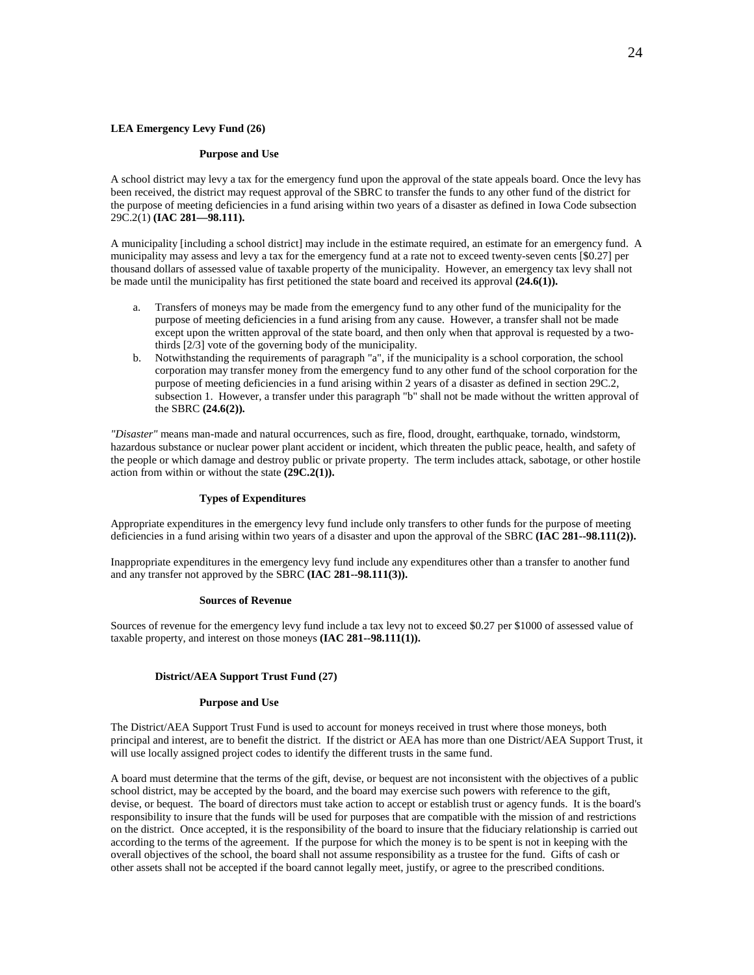### **LEA Emergency Levy Fund (26)**

### **Purpose and Use**

A school district may levy a tax for the emergency fund upon the approval of the state appeals board. Once the levy has been received, the district may request approval of the SBRC to transfer the funds to any other fund of the district for the purpose of meeting deficiencies in a fund arising within two years of a disaster as defined in Iowa Code subsection 29C.2(1) **(IAC 281—98.111).**

A municipality [including a school district] may include in the estimate required, an estimate for an emergency fund. A municipality may assess and levy a tax for the emergency fund at a rate not to exceed twenty-seven cents [\$0.27] per thousand dollars of assessed value of taxable property of the municipality. However, an emergency tax levy shall not be made until the municipality has first petitioned the state board and received its approval **(24.6(1)).**

- a. Transfers of moneys may be made from the emergency fund to any other fund of the municipality for the purpose of meeting deficiencies in a fund arising from any cause. However, a transfer shall not be made except upon the written approval of the state board, and then only when that approval is requested by a twothirds [2/3] vote of the governing body of the municipality.
- b. Notwithstanding the requirements of paragraph "a", if the municipality is a school corporation, the school corporation may transfer money from the emergency fund to any other fund of the school corporation for the purpose of meeting deficiencies in a fund arising within 2 years of a disaster as defined in section 29C.2, subsection 1. However, a transfer under this paragraph "b" shall not be made without the written approval of the SBRC **(24.6(2)).**

*"Disaster"* means man-made and natural occurrences, such as fire, flood, drought, earthquake, tornado, windstorm, hazardous substance or nuclear power plant accident or incident, which threaten the public peace, health, and safety of the people or which damage and destroy public or private property. The term includes attack, sabotage, or other hostile action from within or without the state **(29C.2(1)).**

#### **Types of Expenditures**

Appropriate expenditures in the emergency levy fund include only transfers to other funds for the purpose of meeting deficiencies in a fund arising within two years of a disaster and upon the approval of the SBRC **(IAC 281--98.111(2)).**

Inappropriate expenditures in the emergency levy fund include any expenditures other than a transfer to another fund and any transfer not approved by the SBRC **(IAC 281--98.111(3)).**

#### **Sources of Revenue**

Sources of revenue for the emergency levy fund include a tax levy not to exceed \$0.27 per \$1000 of assessed value of taxable property, and interest on those moneys **(IAC 281--98.111(1)).**

### **District/AEA Support Trust Fund (27)**

#### **Purpose and Use**

The District/AEA Support Trust Fund is used to account for moneys received in trust where those moneys, both principal and interest, are to benefit the district. If the district or AEA has more than one District/AEA Support Trust, it will use locally assigned project codes to identify the different trusts in the same fund.

A board must determine that the terms of the gift, devise, or bequest are not inconsistent with the objectives of a public school district, may be accepted by the board, and the board may exercise such powers with reference to the gift, devise, or bequest. The board of directors must take action to accept or establish trust or agency funds. It is the board's responsibility to insure that the funds will be used for purposes that are compatible with the mission of and restrictions on the district. Once accepted, it is the responsibility of the board to insure that the fiduciary relationship is carried out according to the terms of the agreement. If the purpose for which the money is to be spent is not in keeping with the overall objectives of the school, the board shall not assume responsibility as a trustee for the fund. Gifts of cash or other assets shall not be accepted if the board cannot legally meet, justify, or agree to the prescribed conditions.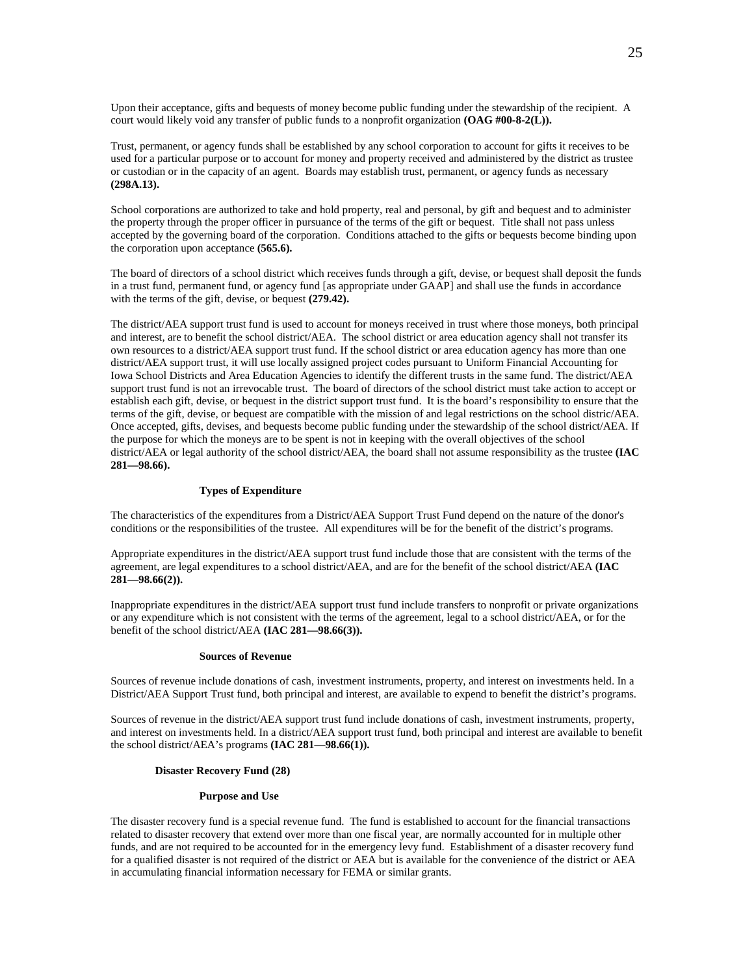Upon their acceptance, gifts and bequests of money become public funding under the stewardship of the recipient. A court would likely void any transfer of public funds to a nonprofit organization **(OAG #00-8-2(L)).**

Trust, permanent, or agency funds shall be established by any school corporation to account for gifts it receives to be used for a particular purpose or to account for money and property received and administered by the district as trustee or custodian or in the capacity of an agent. Boards may establish trust, permanent, or agency funds as necessary **(298A.13).**

School corporations are authorized to take and hold property, real and personal, by gift and bequest and to administer the property through the proper officer in pursuance of the terms of the gift or bequest. Title shall not pass unless accepted by the governing board of the corporation. Conditions attached to the gifts or bequests become binding upon the corporation upon acceptance **(565.6).**

The board of directors of a school district which receives funds through a gift, devise, or bequest shall deposit the funds in a trust fund, permanent fund, or agency fund [as appropriate under GAAP] and shall use the funds in accordance with the terms of the gift, devise, or bequest **(279.42).**

The district/AEA support trust fund is used to account for moneys received in trust where those moneys, both principal and interest, are to benefit the school district/AEA. The school district or area education agency shall not transfer its own resources to a district/AEA support trust fund. If the school district or area education agency has more than one district/AEA support trust, it will use locally assigned project codes pursuant to Uniform Financial Accounting for Iowa School Districts and Area Education Agencies to identify the different trusts in the same fund. The district/AEA support trust fund is not an irrevocable trust. The board of directors of the school district must take action to accept or establish each gift, devise, or bequest in the district support trust fund. It is the board's responsibility to ensure that the terms of the gift, devise, or bequest are compatible with the mission of and legal restrictions on the school distric/AEA. Once accepted, gifts, devises, and bequests become public funding under the stewardship of the school district/AEA. If the purpose for which the moneys are to be spent is not in keeping with the overall objectives of the school district/AEA or legal authority of the school district/AEA, the board shall not assume responsibility as the trustee **(IAC 281—98.66).**

#### **Types of Expenditure**

The characteristics of the expenditures from a District/AEA Support Trust Fund depend on the nature of the donor's conditions or the responsibilities of the trustee. All expenditures will be for the benefit of the district's programs.

Appropriate expenditures in the district/AEA support trust fund include those that are consistent with the terms of the agreement, are legal expenditures to a school district/AEA, and are for the benefit of the school district/AEA **(IAC 281—98.66(2)).**

Inappropriate expenditures in the district/AEA support trust fund include transfers to nonprofit or private organizations or any expenditure which is not consistent with the terms of the agreement, legal to a school district/AEA, or for the benefit of the school district/AEA **(IAC 281—98.66(3)).**

#### **Sources of Revenue**

Sources of revenue include donations of cash, investment instruments, property, and interest on investments held. In a District/AEA Support Trust fund, both principal and interest, are available to expend to benefit the district's programs.

Sources of revenue in the district/AEA support trust fund include donations of cash, investment instruments, property, and interest on investments held. In a district/AEA support trust fund, both principal and interest are available to benefit the school district/AEA's programs **(IAC 281—98.66(1)).**

### **Disaster Recovery Fund (28)**

#### **Purpose and Use**

The disaster recovery fund is a special revenue fund. The fund is established to account for the financial transactions related to disaster recovery that extend over more than one fiscal year, are normally accounted for in multiple other funds, and are not required to be accounted for in the emergency levy fund. Establishment of a disaster recovery fund for a qualified disaster is not required of the district or AEA but is available for the convenience of the district or AEA in accumulating financial information necessary for FEMA or similar grants.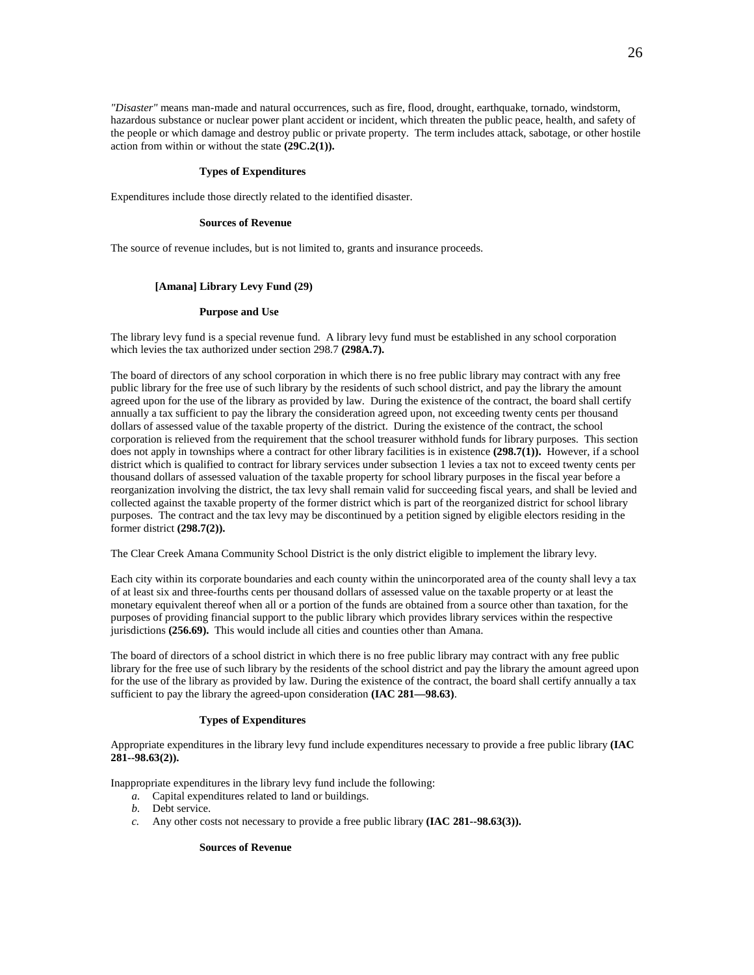*"Disaster"* means man-made and natural occurrences, such as fire, flood, drought, earthquake, tornado, windstorm, hazardous substance or nuclear power plant accident or incident, which threaten the public peace, health, and safety of the people or which damage and destroy public or private property. The term includes attack, sabotage, or other hostile action from within or without the state **(29C.2(1)).**

### **Types of Expenditures**

Expenditures include those directly related to the identified disaster.

#### **Sources of Revenue**

The source of revenue includes, but is not limited to, grants and insurance proceeds.

### **[Amana] Library Levy Fund (29)**

### **Purpose and Use**

The library levy fund is a special revenue fund. A library levy fund must be established in any school corporation which levies the tax authorized under section 298.7 **(298A.7).**

The board of directors of any school corporation in which there is no free public library may contract with any free public library for the free use of such library by the residents of such school district, and pay the library the amount agreed upon for the use of the library as provided by law. During the existence of the contract, the board shall certify annually a tax sufficient to pay the library the consideration agreed upon, not exceeding twenty cents per thousand dollars of assessed value of the taxable property of the district. During the existence of the contract, the school corporation is relieved from the requirement that the school treasurer withhold funds for library purposes. This section does not apply in townships where a contract for other library facilities is in existence **(298.7(1)).** However, if a school district which is qualified to contract for library services under subsection 1 levies a tax not to exceed twenty cents per thousand dollars of assessed valuation of the taxable property for school library purposes in the fiscal year before a reorganization involving the district, the tax levy shall remain valid for succeeding fiscal years, and shall be levied and collected against the taxable property of the former district which is part of the reorganized district for school library purposes. The contract and the tax levy may be discontinued by a petition signed by eligible electors residing in the former district **(298.7(2)).**

The Clear Creek Amana Community School District is the only district eligible to implement the library levy.

Each city within its corporate boundaries and each county within the unincorporated area of the county shall levy a tax of at least six and three-fourths cents per thousand dollars of assessed value on the taxable property or at least the monetary equivalent thereof when all or a portion of the funds are obtained from a source other than taxation, for the purposes of providing financial support to the public library which provides library services within the respective jurisdictions **(256.69).** This would include all cities and counties other than Amana.

The board of directors of a school district in which there is no free public library may contract with any free public library for the free use of such library by the residents of the school district and pay the library the amount agreed upon for the use of the library as provided by law. During the existence of the contract, the board shall certify annually a tax sufficient to pay the library the agreed-upon consideration **(IAC 281—98.63)**.

### **Types of Expenditures**

Appropriate expenditures in the library levy fund include expenditures necessary to provide a free public library **(IAC 281--98.63(2)).**

Inappropriate expenditures in the library levy fund include the following:

- *a.* Capital expenditures related to land or buildings.
- *b.* Debt service.
- *c.* Any other costs not necessary to provide a free public library **(IAC 281--98.63(3)).**

#### **Sources of Revenue**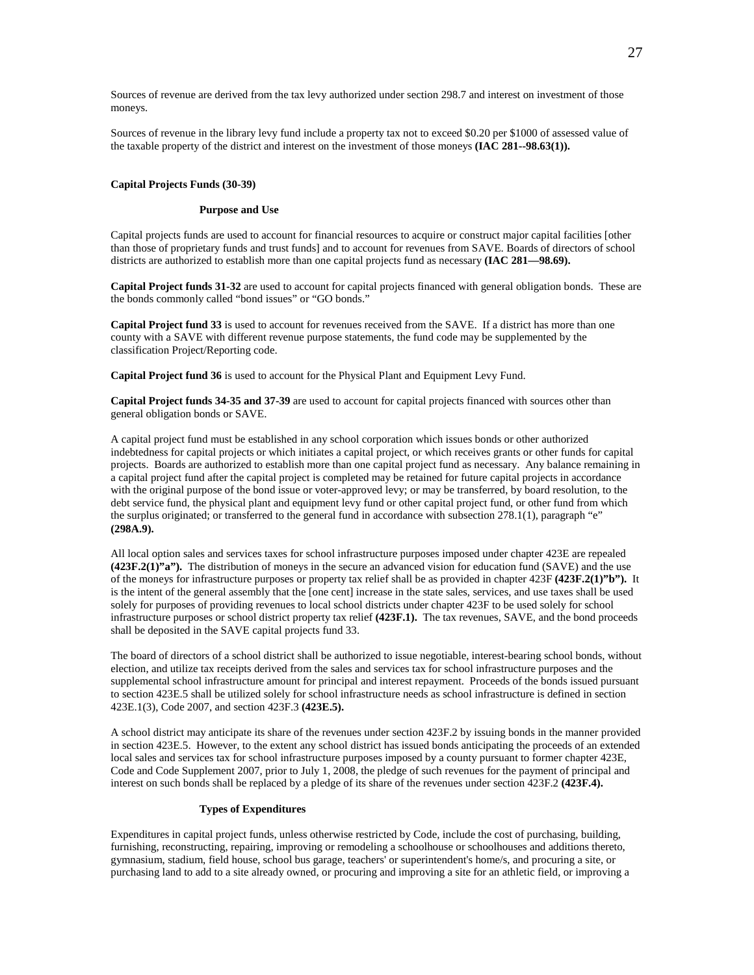Sources of revenue are derived from the tax levy authorized under section 298.7 and interest on investment of those moneys.

Sources of revenue in the library levy fund include a property tax not to exceed \$0.20 per \$1000 of assessed value of the taxable property of the district and interest on the investment of those moneys **(IAC 281--98.63(1)).**

#### **Capital Projects Funds (30-39)**

#### **Purpose and Use**

Capital projects funds are used to account for financial resources to acquire or construct major capital facilities [other than those of proprietary funds and trust funds] and to account for revenues from SAVE. Boards of directors of school districts are authorized to establish more than one capital projects fund as necessary **(IAC 281—98.69).**

**Capital Project funds 31-32** are used to account for capital projects financed with general obligation bonds. These are the bonds commonly called "bond issues" or "GO bonds."

**Capital Project fund 33** is used to account for revenues received from the SAVE. If a district has more than one county with a SAVE with different revenue purpose statements, the fund code may be supplemented by the classification Project/Reporting code.

**Capital Project fund 36** is used to account for the Physical Plant and Equipment Levy Fund.

**Capital Project funds 34-35 and 37-39** are used to account for capital projects financed with sources other than general obligation bonds or SAVE.

A capital project fund must be established in any school corporation which issues bonds or other authorized indebtedness for capital projects or which initiates a capital project, or which receives grants or other funds for capital projects. Boards are authorized to establish more than one capital project fund as necessary. Any balance remaining in a capital project fund after the capital project is completed may be retained for future capital projects in accordance with the original purpose of the bond issue or voter-approved levy; or may be transferred, by board resolution, to the debt service fund, the physical plant and equipment levy fund or other capital project fund, or other fund from which the surplus originated; or transferred to the general fund in accordance with subsection 278.1(1), paragraph "e" **(298A.9).**

All local option sales and services taxes for school infrastructure purposes imposed under chapter 423E are repealed **(423F.2(1)"a").** The distribution of moneys in the secure an advanced vision for education fund (SAVE) and the use of the moneys for infrastructure purposes or property tax relief shall be as provided in chapter 423F **(423F.2(1)"b").** It is the intent of the general assembly that the [one cent] increase in the state sales, services, and use taxes shall be used solely for purposes of providing revenues to local school districts under chapter 423F to be used solely for school infrastructure purposes or school district property tax relief **(423F.1).** The tax revenues, SAVE, and the bond proceeds shall be deposited in the SAVE capital projects fund 33.

The board of directors of a school district shall be authorized to issue negotiable, interest-bearing school bonds, without election, and utilize tax receipts derived from the sales and services tax for school infrastructure purposes and the supplemental school infrastructure amount for principal and interest repayment. Proceeds of the bonds issued pursuant to section 423E.5 shall be utilized solely for school infrastructure needs as school infrastructure is defined in section 423E.1(3), Code 2007, and section 423F.3 **(423E.5).**

A school district may anticipate its share of the revenues under section 423F.2 by issuing bonds in the manner provided in section 423E.5. However, to the extent any school district has issued bonds anticipating the proceeds of an extended local sales and services tax for school infrastructure purposes imposed by a county pursuant to former chapter 423E, Code and Code Supplement 2007, prior to July 1, 2008, the pledge of such revenues for the payment of principal and interest on such bonds shall be replaced by a pledge of its share of the revenues under section 423F.2 **(423F.4).**

### **Types of Expenditures**

Expenditures in capital project funds, unless otherwise restricted by Code, include the cost of purchasing, building, furnishing, reconstructing, repairing, improving or remodeling a schoolhouse or schoolhouses and additions thereto, gymnasium, stadium, field house, school bus garage, teachers' or superintendent's home/s, and procuring a site, or purchasing land to add to a site already owned, or procuring and improving a site for an athletic field, or improving a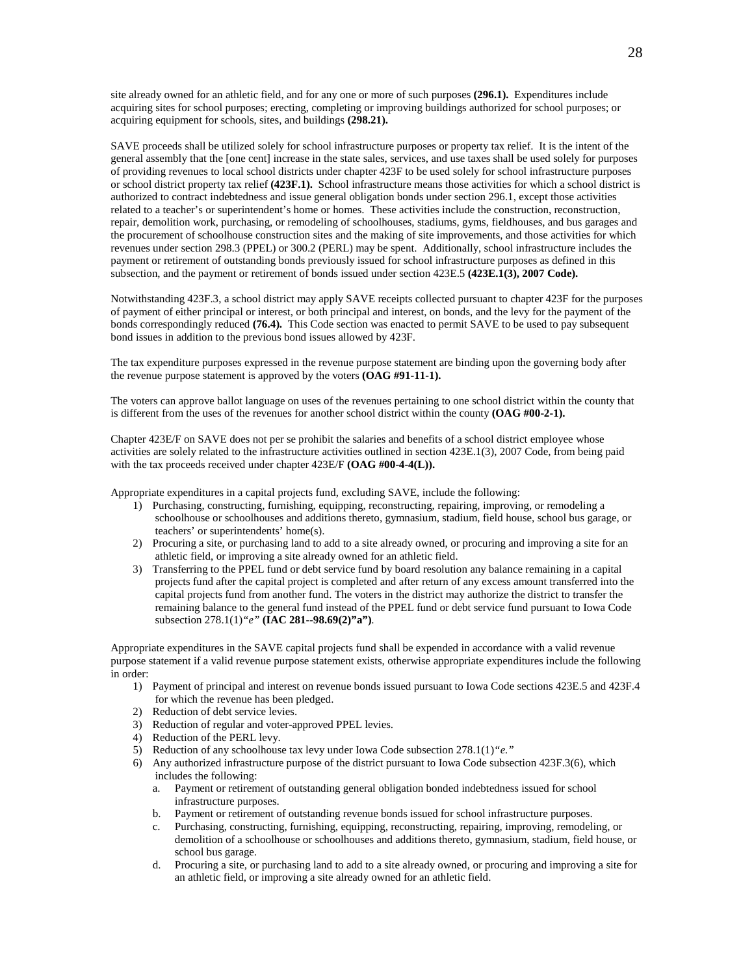site already owned for an athletic field, and for any one or more of such purposes **(296.1).** Expenditures include acquiring sites for school purposes; erecting, completing or improving buildings authorized for school purposes; or acquiring equipment for schools, sites, and buildings **(298.21).**

SAVE proceeds shall be utilized solely for school infrastructure purposes or property tax relief. It is the intent of the general assembly that the [one cent] increase in the state sales, services, and use taxes shall be used solely for purposes of providing revenues to local school districts under chapter 423F to be used solely for school infrastructure purposes or school district property tax relief **(423F.1).** School infrastructure means those activities for which a school district is authorized to contract indebtedness and issue general obligation bonds under section 296.1, except those activities related to a teacher's or superintendent's home or homes. These activities include the construction, reconstruction, repair, demolition work, purchasing, or remodeling of schoolhouses, stadiums, gyms, fieldhouses, and bus garages and the procurement of schoolhouse construction sites and the making of site improvements, and those activities for which revenues under section 298.3 (PPEL) or 300.2 (PERL) may be spent. Additionally, school infrastructure includes the payment or retirement of outstanding bonds previously issued for school infrastructure purposes as defined in this subsection, and the payment or retirement of bonds issued under section 423E.5 **(423E.1(3), 2007 Code).**

Notwithstanding 423F.3, a school district may apply SAVE receipts collected pursuant to chapter 423F for the purposes of payment of either principal or interest, or both principal and interest, on bonds, and the levy for the payment of the bonds correspondingly reduced **(76.4).** This Code section was enacted to permit SAVE to be used to pay subsequent bond issues in addition to the previous bond issues allowed by 423F.

The tax expenditure purposes expressed in the revenue purpose statement are binding upon the governing body after the revenue purpose statement is approved by the voters **(OAG #91-11-1).**

The voters can approve ballot language on uses of the revenues pertaining to one school district within the county that is different from the uses of the revenues for another school district within the county **(OAG #00-2-1).**

Chapter 423E/F on SAVE does not per se prohibit the salaries and benefits of a school district employee whose activities are solely related to the infrastructure activities outlined in section 423E.1(3), 2007 Code, from being paid with the tax proceeds received under chapter 423E/F **(OAG #00-4-4(L)).**

Appropriate expenditures in a capital projects fund, excluding SAVE, include the following:

- 1) Purchasing, constructing, furnishing, equipping, reconstructing, repairing, improving, or remodeling a schoolhouse or schoolhouses and additions thereto, gymnasium, stadium, field house, school bus garage, or teachers' or superintendents' home(s).
- 2) Procuring a site, or purchasing land to add to a site already owned, or procuring and improving a site for an athletic field, or improving a site already owned for an athletic field.
- 3) Transferring to the PPEL fund or debt service fund by board resolution any balance remaining in a capital projects fund after the capital project is completed and after return of any excess amount transferred into the capital projects fund from another fund. The voters in the district may authorize the district to transfer the remaining balance to the general fund instead of the PPEL fund or debt service fund pursuant to Iowa Code subsection 278.1(1)*"e"* **(IAC 281--98.69(2)"a")**.

Appropriate expenditures in the SAVE capital projects fund shall be expended in accordance with a valid revenue purpose statement if a valid revenue purpose statement exists, otherwise appropriate expenditures include the following in order:

- 1) Payment of principal and interest on revenue bonds issued pursuant to Iowa Code sections 423E.5 and 423F.4 for which the revenue has been pledged.
- 2) Reduction of debt service levies.
- 3) Reduction of regular and voter-approved PPEL levies.
- 4) Reduction of the PERL levy.
- 5) Reduction of any schoolhouse tax levy under Iowa Code subsection 278.1(1)*"e."*
- 6) Any authorized infrastructure purpose of the district pursuant to Iowa Code subsection 423F.3(6), which includes the following:
	- a. Payment or retirement of outstanding general obligation bonded indebtedness issued for school infrastructure purposes.
	- b. Payment or retirement of outstanding revenue bonds issued for school infrastructure purposes.
	- c. Purchasing, constructing, furnishing, equipping, reconstructing, repairing, improving, remodeling, or demolition of a schoolhouse or schoolhouses and additions thereto, gymnasium, stadium, field house, or school bus garage.
	- d. Procuring a site, or purchasing land to add to a site already owned, or procuring and improving a site for an athletic field, or improving a site already owned for an athletic field.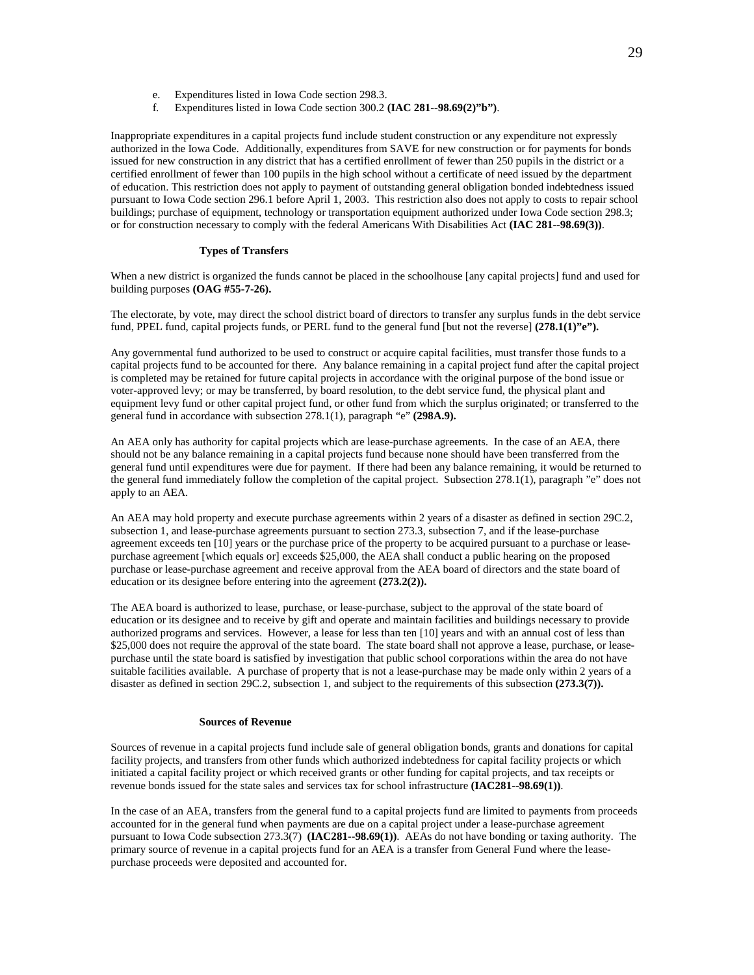- e. Expenditures listed in Iowa Code section 298.3.
- f. Expenditures listed in Iowa Code section 300.2 **(IAC 281--98.69(2)"b")**.

Inappropriate expenditures in a capital projects fund include student construction or any expenditure not expressly authorized in the Iowa Code. Additionally, expenditures from SAVE for new construction or for payments for bonds issued for new construction in any district that has a certified enrollment of fewer than 250 pupils in the district or a certified enrollment of fewer than 100 pupils in the high school without a certificate of need issued by the department of education. This restriction does not apply to payment of outstanding general obligation bonded indebtedness issued pursuant to Iowa Code section 296.1 before April 1, 2003. This restriction also does not apply to costs to repair school buildings; purchase of equipment, technology or transportation equipment authorized under Iowa Code section 298.3; or for construction necessary to comply with the federal Americans With Disabilities Act **(IAC 281--98.69(3))**.

### **Types of Transfers**

When a new district is organized the funds cannot be placed in the schoolhouse [any capital projects] fund and used for building purposes **(OAG #55-7-26).**

The electorate, by vote, may direct the school district board of directors to transfer any surplus funds in the debt service fund, PPEL fund, capital projects funds, or PERL fund to the general fund [but not the reverse] **(278.1(1)"e").**

Any governmental fund authorized to be used to construct or acquire capital facilities, must transfer those funds to a capital projects fund to be accounted for there. Any balance remaining in a capital project fund after the capital project is completed may be retained for future capital projects in accordance with the original purpose of the bond issue or voter-approved levy; or may be transferred, by board resolution, to the debt service fund, the physical plant and equipment levy fund or other capital project fund, or other fund from which the surplus originated; or transferred to the general fund in accordance with subsection 278.1(1), paragraph "e" **(298A.9).**

An AEA only has authority for capital projects which are lease-purchase agreements. In the case of an AEA, there should not be any balance remaining in a capital projects fund because none should have been transferred from the general fund until expenditures were due for payment. If there had been any balance remaining, it would be returned to the general fund immediately follow the completion of the capital project. Subsection 278.1(1), paragraph "e" does not apply to an AEA.

An AEA may hold property and execute purchase agreements within 2 years of a disaster as defined in section 29C.2, subsection 1, and lease-purchase agreements pursuant to section 273.3, subsection 7, and if the lease-purchase agreement exceeds ten [10] years or the purchase price of the property to be acquired pursuant to a purchase or leasepurchase agreement [which equals or] exceeds \$25,000, the AEA shall conduct a public hearing on the proposed purchase or lease-purchase agreement and receive approval from the AEA board of directors and the state board of education or its designee before entering into the agreement **(273.2(2)).**

The AEA board is authorized to lease, purchase, or lease-purchase, subject to the approval of the state board of education or its designee and to receive by gift and operate and maintain facilities and buildings necessary to provide authorized programs and services. However, a lease for less than ten [10] years and with an annual cost of less than \$25,000 does not require the approval of the state board. The state board shall not approve a lease, purchase, or leasepurchase until the state board is satisfied by investigation that public school corporations within the area do not have suitable facilities available. A purchase of property that is not a lease-purchase may be made only within 2 years of a disaster as defined in section 29C.2, subsection 1, and subject to the requirements of this subsection (273.3(7)).

### **Sources of Revenue**

Sources of revenue in a capital projects fund include sale of general obligation bonds, grants and donations for capital facility projects, and transfers from other funds which authorized indebtedness for capital facility projects or which initiated a capital facility project or which received grants or other funding for capital projects, and tax receipts or revenue bonds issued for the state sales and services tax for school infrastructure **(IAC281--98.69(1))**.

In the case of an AEA, transfers from the general fund to a capital projects fund are limited to payments from proceeds accounted for in the general fund when payments are due on a capital project under a lease-purchase agreement pursuant to Iowa Code subsection 273.3(7) **(IAC281--98.69(1))**. AEAs do not have bonding or taxing authority. The primary source of revenue in a capital projects fund for an AEA is a transfer from General Fund where the leasepurchase proceeds were deposited and accounted for.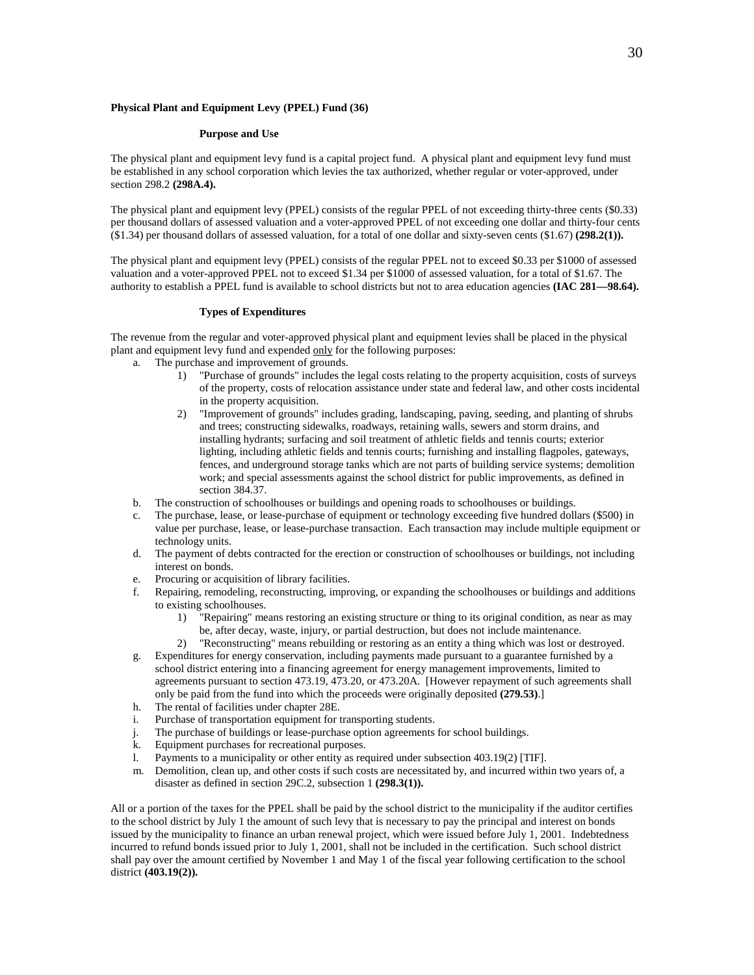### **Physical Plant and Equipment Levy (PPEL) Fund (36)**

### **Purpose and Use**

The physical plant and equipment levy fund is a capital project fund. A physical plant and equipment levy fund must be established in any school corporation which levies the tax authorized, whether regular or voter-approved, under section 298.2 **(298A.4).**

The physical plant and equipment levy (PPEL) consists of the regular PPEL of not exceeding thirty-three cents (\$0.33) per thousand dollars of assessed valuation and a voter-approved PPEL of not exceeding one dollar and thirty-four cents (\$1.34) per thousand dollars of assessed valuation, for a total of one dollar and sixty-seven cents (\$1.67) **(298.2(1)).**

The physical plant and equipment levy (PPEL) consists of the regular PPEL not to exceed \$0.33 per \$1000 of assessed valuation and a voter-approved PPEL not to exceed \$1.34 per \$1000 of assessed valuation, for a total of \$1.67. The authority to establish a PPEL fund is available to school districts but not to area education agencies **(IAC 281—98.64).**

### **Types of Expenditures**

The revenue from the regular and voter-approved physical plant and equipment levies shall be placed in the physical plant and equipment levy fund and expended only for the following purposes:

- a. The purchase and improvement of grounds.
	- 1) "Purchase of grounds" includes the legal costs relating to the property acquisition, costs of surveys of the property, costs of relocation assistance under state and federal law, and other costs incidental in the property acquisition.
	- 2) "Improvement of grounds" includes grading, landscaping, paving, seeding, and planting of shrubs and trees; constructing sidewalks, roadways, retaining walls, sewers and storm drains, and installing hydrants; surfacing and soil treatment of athletic fields and tennis courts; exterior lighting, including athletic fields and tennis courts; furnishing and installing flagpoles, gateways, fences, and underground storage tanks which are not parts of building service systems; demolition work; and special assessments against the school district for public improvements, as defined in section 384.37.
- b. The construction of schoolhouses or buildings and opening roads to schoolhouses or buildings.
- c. The purchase, lease, or lease-purchase of equipment or technology exceeding five hundred dollars (\$500) in value per purchase, lease, or lease-purchase transaction. Each transaction may include multiple equipment or technology units.
- d. The payment of debts contracted for the erection or construction of schoolhouses or buildings, not including interest on bonds.
- e. Procuring or acquisition of library facilities.
- f. Repairing, remodeling, reconstructing, improving, or expanding the schoolhouses or buildings and additions to existing schoolhouses.
	- 1) "Repairing" means restoring an existing structure or thing to its original condition, as near as may be, after decay, waste, injury, or partial destruction, but does not include maintenance.
	- 2) "Reconstructing" means rebuilding or restoring as an entity a thing which was lost or destroyed.
- g. Expenditures for energy conservation, including payments made pursuant to a guarantee furnished by a school district entering into a financing agreement for energy management improvements, limited to agreements pursuant to section 473.19, 473.20, or 473.20A. [However repayment of such agreements shall only be paid from the fund into which the proceeds were originally deposited **(279.53)**.]
- h. The rental of facilities under chapter 28E.<br>i. Purchase of transportation equipment for t
- Purchase of transportation equipment for transporting students.
- j. The purchase of buildings or lease-purchase option agreements for school buildings.
- k. Equipment purchases for recreational purposes.
- l. Payments to a municipality or other entity as required under subsection 403.19(2) [TIF].
- m. Demolition, clean up, and other costs if such costs are necessitated by, and incurred within two years of, a disaster as defined in section 29C.2, subsection 1 **(298.3(1)).**

All or a portion of the taxes for the PPEL shall be paid by the school district to the municipality if the auditor certifies to the school district by July 1 the amount of such levy that is necessary to pay the principal and interest on bonds issued by the municipality to finance an urban renewal project, which were issued before July 1, 2001. Indebtedness incurred to refund bonds issued prior to July 1, 2001, shall not be included in the certification. Such school district shall pay over the amount certified by November 1 and May 1 of the fiscal year following certification to the school district **(403.19(2)).**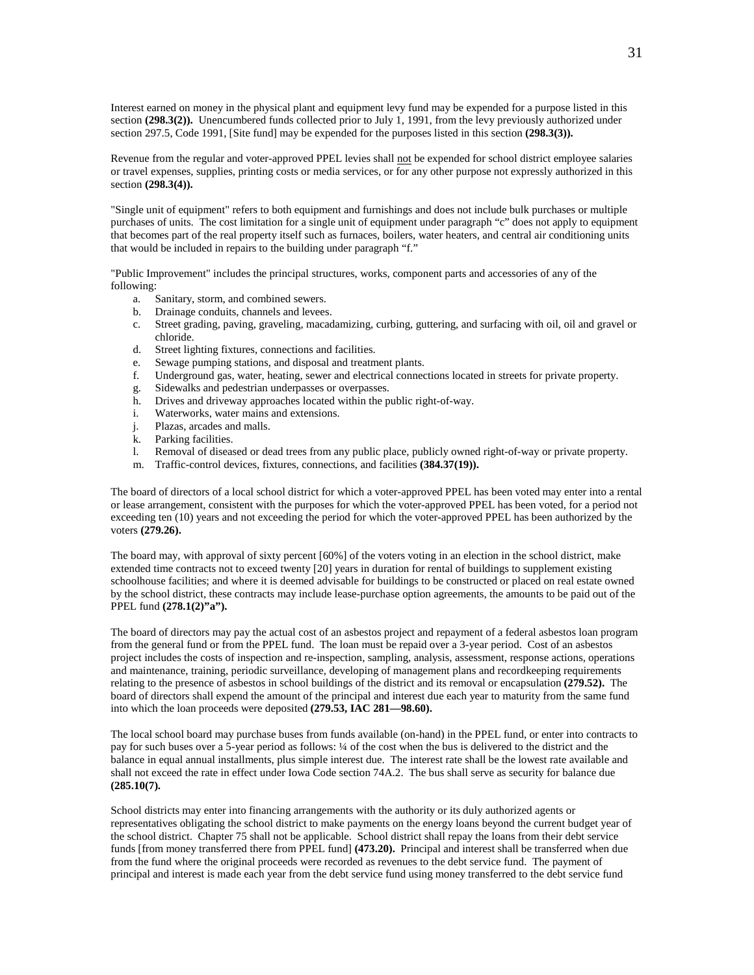Interest earned on money in the physical plant and equipment levy fund may be expended for a purpose listed in this section (298.3(2)). Unencumbered funds collected prior to July 1, 1991, from the levy previously authorized under section 297.5, Code 1991, [Site fund] may be expended for the purposes listed in this section **(298.3(3)).**

Revenue from the regular and voter-approved PPEL levies shall not be expended for school district employee salaries or travel expenses, supplies, printing costs or media services, or for any other purpose not expressly authorized in this section **(298.3(4)).**

"Single unit of equipment" refers to both equipment and furnishings and does not include bulk purchases or multiple purchases of units. The cost limitation for a single unit of equipment under paragraph "c" does not apply to equipment that becomes part of the real property itself such as furnaces, boilers, water heaters, and central air conditioning units that would be included in repairs to the building under paragraph "f."

"Public Improvement" includes the principal structures, works, component parts and accessories of any of the following:

- a. Sanitary, storm, and combined sewers.
- b. Drainage conduits, channels and levees.
- c. Street grading, paving, graveling, macadamizing, curbing, guttering, and surfacing with oil, oil and gravel or chloride.
- d. Street lighting fixtures, connections and facilities.
- e. Sewage pumping stations, and disposal and treatment plants.
- f. Underground gas, water, heating, sewer and electrical connections located in streets for private property.
- g. Sidewalks and pedestrian underpasses or overpasses.
- h. Drives and driveway approaches located within the public right-of-way.
- i. Waterworks, water mains and extensions.
- j. Plazas, arcades and malls.
- k. Parking facilities.
- l. Removal of diseased or dead trees from any public place, publicly owned right-of-way or private property.
- m. Traffic-control devices, fixtures, connections, and facilities **(384.37(19)).**

The board of directors of a local school district for which a voter-approved PPEL has been voted may enter into a rental or lease arrangement, consistent with the purposes for which the voter-approved PPEL has been voted, for a period not exceeding ten (10) years and not exceeding the period for which the voter-approved PPEL has been authorized by the voters **(279.26).**

The board may, with approval of sixty percent [60%] of the voters voting in an election in the school district, make extended time contracts not to exceed twenty [20] years in duration for rental of buildings to supplement existing schoolhouse facilities; and where it is deemed advisable for buildings to be constructed or placed on real estate owned by the school district, these contracts may include lease-purchase option agreements, the amounts to be paid out of the PPEL fund **(278.1(2)"a").**

The board of directors may pay the actual cost of an asbestos project and repayment of a federal asbestos loan program from the general fund or from the PPEL fund. The loan must be repaid over a 3-year period. Cost of an asbestos project includes the costs of inspection and re-inspection, sampling, analysis, assessment, response actions, operations and maintenance, training, periodic surveillance, developing of management plans and recordkeeping requirements relating to the presence of asbestos in school buildings of the district and its removal or encapsulation **(279.52).** The board of directors shall expend the amount of the principal and interest due each year to maturity from the same fund into which the loan proceeds were deposited **(279.53, IAC 281—98.60).**

The local school board may purchase buses from funds available (on-hand) in the PPEL fund, or enter into contracts to pay for such buses over a 5-year period as follows: ¼ of the cost when the bus is delivered to the district and the balance in equal annual installments, plus simple interest due. The interest rate shall be the lowest rate available and shall not exceed the rate in effect under Iowa Code section 74A.2. The bus shall serve as security for balance due **(285.10(7).**

School districts may enter into financing arrangements with the authority or its duly authorized agents or representatives obligating the school district to make payments on the energy loans beyond the current budget year of the school district. Chapter 75 shall not be applicable. School district shall repay the loans from their debt service funds [from money transferred there from PPEL fund] **(473.20).** Principal and interest shall be transferred when due from the fund where the original proceeds were recorded as revenues to the debt service fund. The payment of principal and interest is made each year from the debt service fund using money transferred to the debt service fund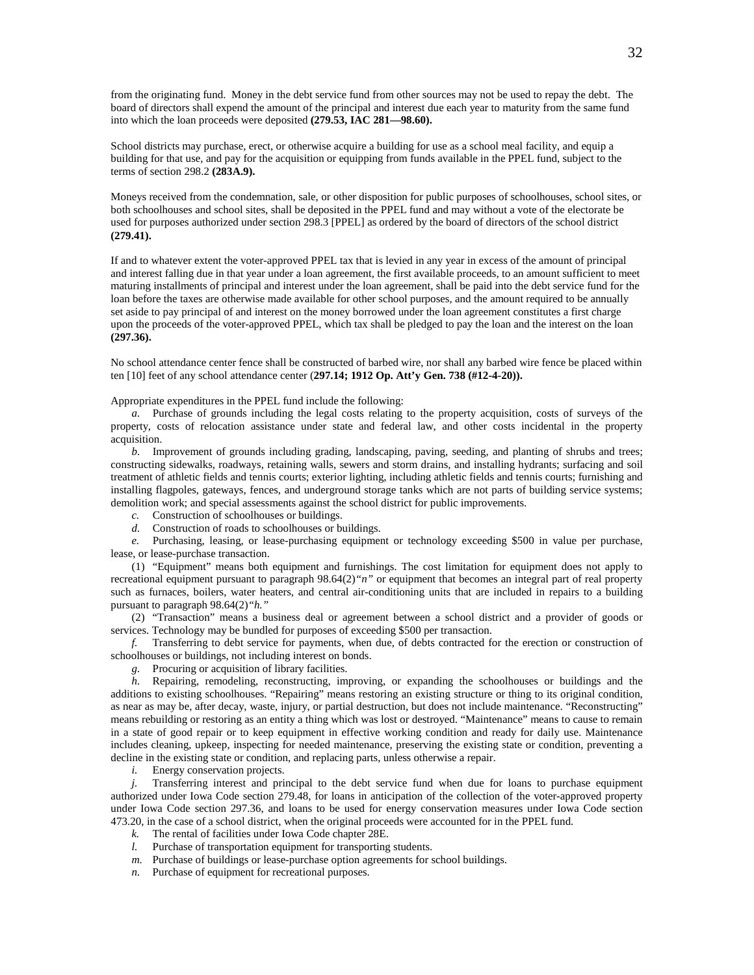from the originating fund. Money in the debt service fund from other sources may not be used to repay the debt. The board of directors shall expend the amount of the principal and interest due each year to maturity from the same fund into which the loan proceeds were deposited **(279.53, IAC 281—98.60).**

School districts may purchase, erect, or otherwise acquire a building for use as a school meal facility, and equip a building for that use, and pay for the acquisition or equipping from funds available in the PPEL fund, subject to the terms of section 298.2 **(283A.9).**

Moneys received from the condemnation, sale, or other disposition for public purposes of schoolhouses, school sites, or both schoolhouses and school sites, shall be deposited in the PPEL fund and may without a vote of the electorate be used for purposes authorized under section 298.3 [PPEL] as ordered by the board of directors of the school district **(279.41).**

If and to whatever extent the voter-approved PPEL tax that is levied in any year in excess of the amount of principal and interest falling due in that year under a loan agreement, the first available proceeds, to an amount sufficient to meet maturing installments of principal and interest under the loan agreement, shall be paid into the debt service fund for the loan before the taxes are otherwise made available for other school purposes, and the amount required to be annually set aside to pay principal of and interest on the money borrowed under the loan agreement constitutes a first charge upon the proceeds of the voter-approved PPEL, which tax shall be pledged to pay the loan and the interest on the loan **(297.36).**

No school attendance center fence shall be constructed of barbed wire, nor shall any barbed wire fence be placed within ten [10] feet of any school attendance center (**297.14; 1912 Op. Att'y Gen. 738 (#12-4-20)).**

Appropriate expenditures in the PPEL fund include the following:

*a.* Purchase of grounds including the legal costs relating to the property acquisition, costs of surveys of the property, costs of relocation assistance under state and federal law, and other costs incidental in the property acquisition.

*b.* Improvement of grounds including grading, landscaping, paving, seeding, and planting of shrubs and trees; constructing sidewalks, roadways, retaining walls, sewers and storm drains, and installing hydrants; surfacing and soil treatment of athletic fields and tennis courts; exterior lighting, including athletic fields and tennis courts; furnishing and installing flagpoles, gateways, fences, and underground storage tanks which are not parts of building service systems; demolition work; and special assessments against the school district for public improvements.

- *c.* Construction of schoolhouses or buildings.
- *d.* Construction of roads to schoolhouses or buildings.

*e.* Purchasing, leasing, or lease-purchasing equipment or technology exceeding \$500 in value per purchase, lease, or lease-purchase transaction.

(1) "Equipment" means both equipment and furnishings. The cost limitation for equipment does not apply to recreational equipment pursuant to paragraph 98.64(2)*"n"* or equipment that becomes an integral part of real property such as furnaces, boilers, water heaters, and central air-conditioning units that are included in repairs to a building pursuant to paragraph 98.64(2)*"h."*

(2) "Transaction" means a business deal or agreement between a school district and a provider of goods or services. Technology may be bundled for purposes of exceeding \$500 per transaction.

*f.* Transferring to debt service for payments, when due, of debts contracted for the erection or construction of schoolhouses or buildings, not including interest on bonds.

*g.* Procuring or acquisition of library facilities.

*h.* Repairing, remodeling, reconstructing, improving, or expanding the schoolhouses or buildings and the additions to existing schoolhouses. "Repairing" means restoring an existing structure or thing to its original condition, as near as may be, after decay, waste, injury, or partial destruction, but does not include maintenance. "Reconstructing" means rebuilding or restoring as an entity a thing which was lost or destroyed. "Maintenance" means to cause to remain in a state of good repair or to keep equipment in effective working condition and ready for daily use. Maintenance includes cleaning, upkeep, inspecting for needed maintenance, preserving the existing state or condition, preventing a decline in the existing state or condition, and replacing parts, unless otherwise a repair.

*i.* Energy conservation projects.

*j.* Transferring interest and principal to the debt service fund when due for loans to purchase equipment authorized under Iowa Code section 279.48, for loans in anticipation of the collection of the voter-approved property under Iowa Code section 297.36, and loans to be used for energy conservation measures under Iowa Code section 473.20, in the case of a school district, when the original proceeds were accounted for in the PPEL fund.

- *k.* The rental of facilities under Iowa Code chapter 28E.
- *l.* Purchase of transportation equipment for transporting students.
- *m.* Purchase of buildings or lease-purchase option agreements for school buildings.
- *n.* Purchase of equipment for recreational purposes.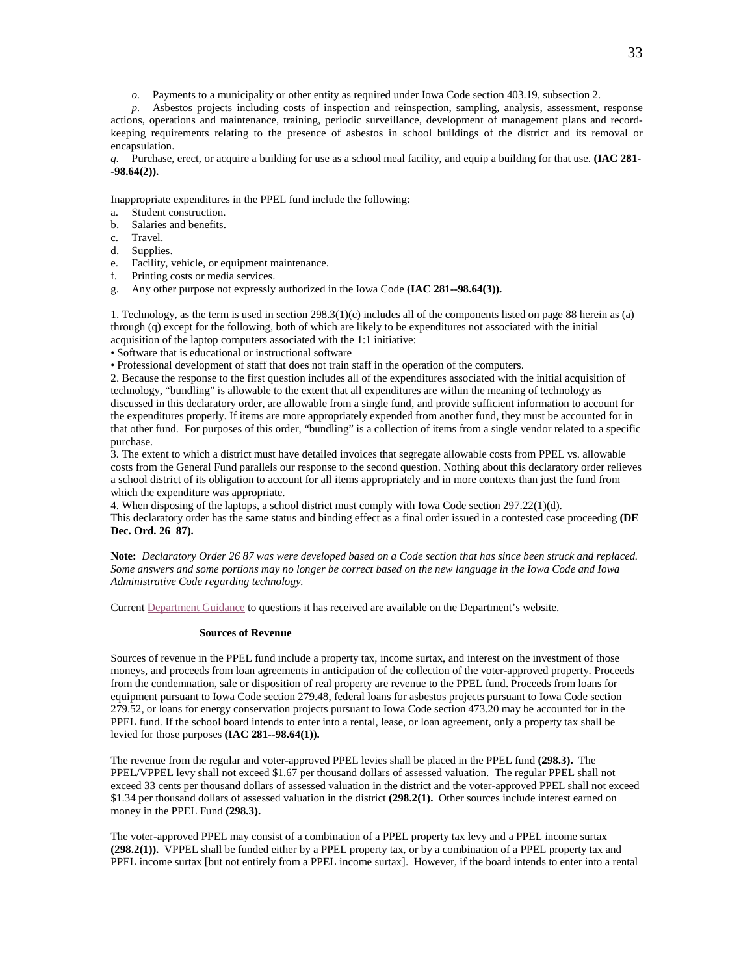*o.* Payments to a municipality or other entity as required under Iowa Code section 403.19, subsection 2.

*p.* Asbestos projects including costs of inspection and reinspection, sampling, analysis, assessment, response actions, operations and maintenance, training, periodic surveillance, development of management plans and recordkeeping requirements relating to the presence of asbestos in school buildings of the district and its removal or encapsulation.

*q.* Purchase, erect, or acquire a building for use as a school meal facility, and equip a building for that use. **(IAC 281- -98.64(2)).**

Inappropriate expenditures in the PPEL fund include the following:

- a. Student construction.
- b. Salaries and benefits.
- c. Travel.
- d. Supplies.
- e. Facility, vehicle, or equipment maintenance.
- f. Printing costs or media services.
- g. Any other purpose not expressly authorized in the Iowa Code **(IAC 281--98.64(3)).**

1. Technology, as the term is used in section 298.3(1)(c) includes all of the components listed on page 88 herein as (a) through (q) except for the following, both of which are likely to be expenditures not associated with the initial acquisition of the laptop computers associated with the 1:1 initiative:

• Software that is educational or instructional software

• Professional development of staff that does not train staff in the operation of the computers.

2. Because the response to the first question includes all of the expenditures associated with the initial acquisition of technology, "bundling" is allowable to the extent that all expenditures are within the meaning of technology as discussed in this declaratory order, are allowable from a single fund, and provide sufficient information to account for the expenditures properly. If items are more appropriately expended from another fund, they must be accounted for in that other fund. For purposes of this order, "bundling" is a collection of items from a single vendor related to a specific purchase.

3. The extent to which a district must have detailed invoices that segregate allowable costs from PPEL vs. allowable costs from the General Fund parallels our response to the second question. Nothing about this declaratory order relieves a school district of its obligation to account for all items appropriately and in more contexts than just the fund from which the expenditure was appropriate.

4. When disposing of the laptops, a school district must comply with Iowa Code section 297.22(1)(d).

This declaratory order has the same status and binding effect as a final order issued in a contested case proceeding **(DE Dec. Ord. 26 87).**

**Note:** *Declaratory Order 26 87 was were developed based on a Code section that has since been struck and replaced. Some answers and some portions may no longer be correct based on the new language in the Iowa Code and Iowa Administrative Code regarding technology.*

Curren[t Department Guidance](https://educateiowa.gov/pk-12/school-facilities/funding/physical-plant-and-equipment-levy-ppel) to questions it has received are available on the Department's website.

#### **Sources of Revenue**

Sources of revenue in the PPEL fund include a property tax, income surtax, and interest on the investment of those moneys, and proceeds from loan agreements in anticipation of the collection of the voter-approved property. Proceeds from the condemnation, sale or disposition of real property are revenue to the PPEL fund. Proceeds from loans for equipment pursuant to Iowa Code section 279.48, federal loans for asbestos projects pursuant to Iowa Code section 279.52, or loans for energy conservation projects pursuant to Iowa Code section 473.20 may be accounted for in the PPEL fund. If the school board intends to enter into a rental, lease, or loan agreement, only a property tax shall be levied for those purposes **(IAC 281--98.64(1)).**

The revenue from the regular and voter-approved PPEL levies shall be placed in the PPEL fund **(298.3).** The PPEL/VPPEL levy shall not exceed \$1.67 per thousand dollars of assessed valuation. The regular PPEL shall not exceed 33 cents per thousand dollars of assessed valuation in the district and the voter-approved PPEL shall not exceed \$1.34 per thousand dollars of assessed valuation in the district **(298.2(1).** Other sources include interest earned on money in the PPEL Fund **(298.3).**

The voter-approved PPEL may consist of a combination of a PPEL property tax levy and a PPEL income surtax **(298.2(1)).** VPPEL shall be funded either by a PPEL property tax, or by a combination of a PPEL property tax and PPEL income surtax [but not entirely from a PPEL income surtax]. However, if the board intends to enter into a rental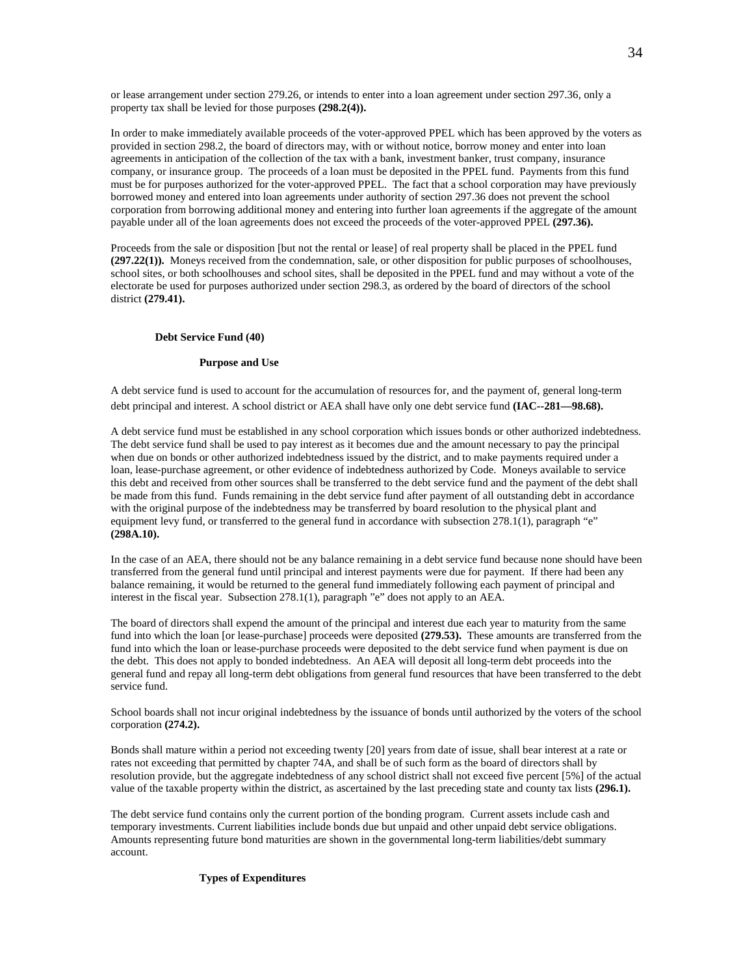or lease arrangement under section 279.26, or intends to enter into a loan agreement under section 297.36, only a property tax shall be levied for those purposes **(298.2(4)).**

In order to make immediately available proceeds of the voter-approved PPEL which has been approved by the voters as provided in section 298.2, the board of directors may, with or without notice, borrow money and enter into loan agreements in anticipation of the collection of the tax with a bank, investment banker, trust company, insurance company, or insurance group. The proceeds of a loan must be deposited in the PPEL fund. Payments from this fund must be for purposes authorized for the voter-approved PPEL. The fact that a school corporation may have previously borrowed money and entered into loan agreements under authority of section 297.36 does not prevent the school corporation from borrowing additional money and entering into further loan agreements if the aggregate of the amount payable under all of the loan agreements does not exceed the proceeds of the voter-approved PPEL **(297.36).**

Proceeds from the sale or disposition [but not the rental or lease] of real property shall be placed in the PPEL fund **(297.22(1)).** Moneys received from the condemnation, sale, or other disposition for public purposes of schoolhouses, school sites, or both schoolhouses and school sites, shall be deposited in the PPEL fund and may without a vote of the electorate be used for purposes authorized under section 298.3, as ordered by the board of directors of the school district **(279.41).**

### **Debt Service Fund (40)**

### **Purpose and Use**

A debt service fund is used to account for the accumulation of resources for, and the payment of, general long-term debt principal and interest. A school district or AEA shall have only one debt service fund **(IAC--281—98.68).**

A debt service fund must be established in any school corporation which issues bonds or other authorized indebtedness. The debt service fund shall be used to pay interest as it becomes due and the amount necessary to pay the principal when due on bonds or other authorized indebtedness issued by the district, and to make payments required under a loan, lease-purchase agreement, or other evidence of indebtedness authorized by Code. Moneys available to service this debt and received from other sources shall be transferred to the debt service fund and the payment of the debt shall be made from this fund. Funds remaining in the debt service fund after payment of all outstanding debt in accordance with the original purpose of the indebtedness may be transferred by board resolution to the physical plant and equipment levy fund, or transferred to the general fund in accordance with subsection 278.1(1), paragraph "e" **(298A.10).**

In the case of an AEA, there should not be any balance remaining in a debt service fund because none should have been transferred from the general fund until principal and interest payments were due for payment. If there had been any balance remaining, it would be returned to the general fund immediately following each payment of principal and interest in the fiscal year. Subsection 278.1(1), paragraph "e" does not apply to an AEA.

The board of directors shall expend the amount of the principal and interest due each year to maturity from the same fund into which the loan [or lease-purchase] proceeds were deposited **(279.53).** These amounts are transferred from the fund into which the loan or lease-purchase proceeds were deposited to the debt service fund when payment is due on the debt. This does not apply to bonded indebtedness. An AEA will deposit all long-term debt proceeds into the general fund and repay all long-term debt obligations from general fund resources that have been transferred to the debt service fund.

School boards shall not incur original indebtedness by the issuance of bonds until authorized by the voters of the school corporation **(274.2).**

Bonds shall mature within a period not exceeding twenty [20] years from date of issue, shall bear interest at a rate or rates not exceeding that permitted by chapter 74A, and shall be of such form as the board of directors shall by resolution provide, but the aggregate indebtedness of any school district shall not exceed five percent [5%] of the actual value of the taxable property within the district, as ascertained by the last preceding state and county tax lists **(296.1).**

The debt service fund contains only the current portion of the bonding program. Current assets include cash and temporary investments. Current liabilities include bonds due but unpaid and other unpaid debt service obligations. Amounts representing future bond maturities are shown in the governmental long-term liabilities/debt summary account.

### **Types of Expenditures**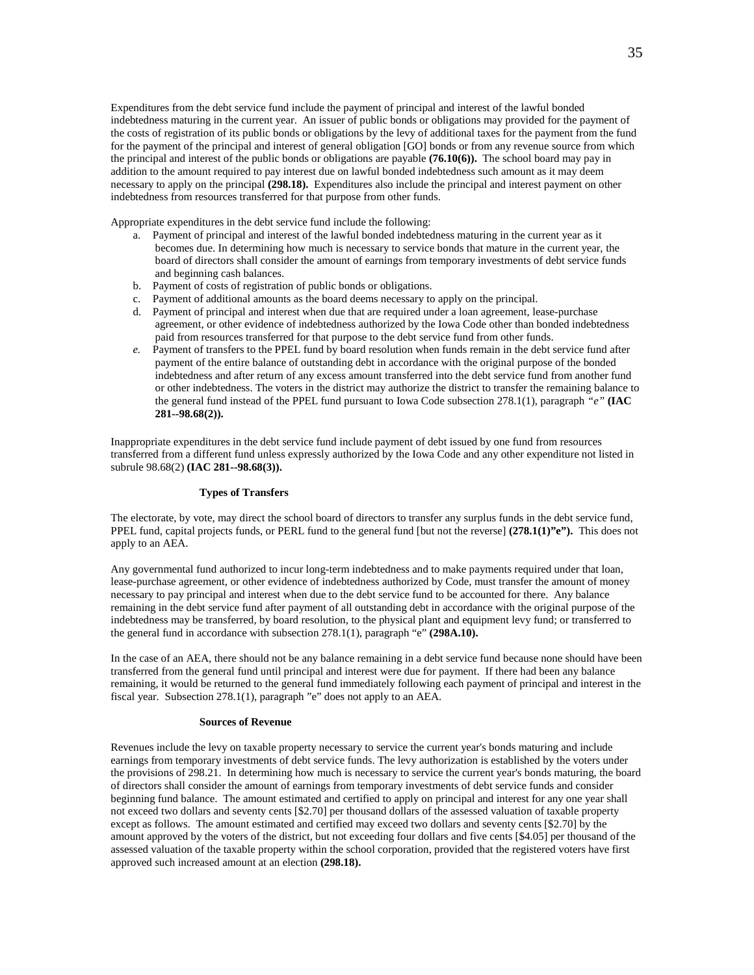Expenditures from the debt service fund include the payment of principal and interest of the lawful bonded indebtedness maturing in the current year. An issuer of public bonds or obligations may provided for the payment of the costs of registration of its public bonds or obligations by the levy of additional taxes for the payment from the fund for the payment of the principal and interest of general obligation [GO] bonds or from any revenue source from which the principal and interest of the public bonds or obligations are payable **(76.10(6)).** The school board may pay in addition to the amount required to pay interest due on lawful bonded indebtedness such amount as it may deem necessary to apply on the principal **(298.18).** Expenditures also include the principal and interest payment on other indebtedness from resources transferred for that purpose from other funds.

Appropriate expenditures in the debt service fund include the following:

- a. Payment of principal and interest of the lawful bonded indebtedness maturing in the current year as it becomes due. In determining how much is necessary to service bonds that mature in the current year, the board of directors shall consider the amount of earnings from temporary investments of debt service funds and beginning cash balances.
- b. Payment of costs of registration of public bonds or obligations.
- c. Payment of additional amounts as the board deems necessary to apply on the principal.
- d. Payment of principal and interest when due that are required under a loan agreement, lease-purchase agreement, or other evidence of indebtedness authorized by the Iowa Code other than bonded indebtedness paid from resources transferred for that purpose to the debt service fund from other funds.
- *e.* Payment of transfers to the PPEL fund by board resolution when funds remain in the debt service fund after payment of the entire balance of outstanding debt in accordance with the original purpose of the bonded indebtedness and after return of any excess amount transferred into the debt service fund from another fund or other indebtedness. The voters in the district may authorize the district to transfer the remaining balance to the general fund instead of the PPEL fund pursuant to Iowa Code subsection 278.1(1), paragraph *"e"* **(IAC 281--98.68(2)).**

Inappropriate expenditures in the debt service fund include payment of debt issued by one fund from resources transferred from a different fund unless expressly authorized by the Iowa Code and any other expenditure not listed in subrule 98.68(2) **(IAC 281--98.68(3)).**

### **Types of Transfers**

The electorate, by vote, may direct the school board of directors to transfer any surplus funds in the debt service fund, PPEL fund, capital projects funds, or PERL fund to the general fund [but not the reverse] **(278.1(1)"e").** This does not apply to an AEA.

Any governmental fund authorized to incur long-term indebtedness and to make payments required under that loan, lease-purchase agreement, or other evidence of indebtedness authorized by Code, must transfer the amount of money necessary to pay principal and interest when due to the debt service fund to be accounted for there. Any balance remaining in the debt service fund after payment of all outstanding debt in accordance with the original purpose of the indebtedness may be transferred, by board resolution, to the physical plant and equipment levy fund; or transferred to the general fund in accordance with subsection 278.1(1), paragraph "e" **(298A.10).**

In the case of an AEA, there should not be any balance remaining in a debt service fund because none should have been transferred from the general fund until principal and interest were due for payment. If there had been any balance remaining, it would be returned to the general fund immediately following each payment of principal and interest in the fiscal year. Subsection 278.1(1), paragraph "e" does not apply to an AEA.

#### **Sources of Revenue**

Revenues include the levy on taxable property necessary to service the current year's bonds maturing and include earnings from temporary investments of debt service funds. The levy authorization is established by the voters under the provisions of 298.21. In determining how much is necessary to service the current year's bonds maturing, the board of directors shall consider the amount of earnings from temporary investments of debt service funds and consider beginning fund balance. The amount estimated and certified to apply on principal and interest for any one year shall not exceed two dollars and seventy cents [\$2.70] per thousand dollars of the assessed valuation of taxable property except as follows. The amount estimated and certified may exceed two dollars and seventy cents [\$2.70] by the amount approved by the voters of the district, but not exceeding four dollars and five cents [\$4.05] per thousand of the assessed valuation of the taxable property within the school corporation, provided that the registered voters have first approved such increased amount at an election **(298.18).**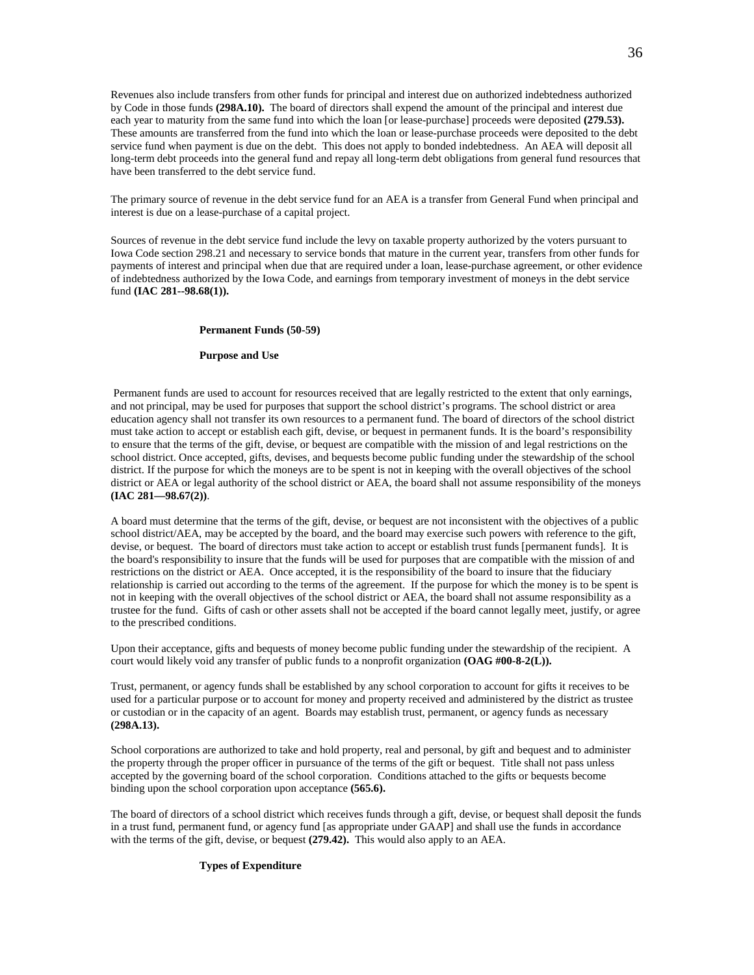Revenues also include transfers from other funds for principal and interest due on authorized indebtedness authorized by Code in those funds **(298A.10).** The board of directors shall expend the amount of the principal and interest due each year to maturity from the same fund into which the loan [or lease-purchase] proceeds were deposited (279.53). These amounts are transferred from the fund into which the loan or lease-purchase proceeds were deposited to the debt service fund when payment is due on the debt. This does not apply to bonded indebtedness. An AEA will deposit all long-term debt proceeds into the general fund and repay all long-term debt obligations from general fund resources that have been transferred to the debt service fund.

The primary source of revenue in the debt service fund for an AEA is a transfer from General Fund when principal and interest is due on a lease-purchase of a capital project.

Sources of revenue in the debt service fund include the levy on taxable property authorized by the voters pursuant to Iowa Code section 298.21 and necessary to service bonds that mature in the current year, transfers from other funds for payments of interest and principal when due that are required under a loan, lease-purchase agreement, or other evidence of indebtedness authorized by the Iowa Code, and earnings from temporary investment of moneys in the debt service fund **(IAC 281--98.68(1)).**

#### **Permanent Funds (50-59)**

#### **Purpose and Use**

Permanent funds are used to account for resources received that are legally restricted to the extent that only earnings, and not principal, may be used for purposes that support the school district's programs. The school district or area education agency shall not transfer its own resources to a permanent fund. The board of directors of the school district must take action to accept or establish each gift, devise, or bequest in permanent funds. It is the board's responsibility to ensure that the terms of the gift, devise, or bequest are compatible with the mission of and legal restrictions on the school district. Once accepted, gifts, devises, and bequests become public funding under the stewardship of the school district. If the purpose for which the moneys are to be spent is not in keeping with the overall objectives of the school district or AEA or legal authority of the school district or AEA, the board shall not assume responsibility of the moneys **(IAC 281—98.67(2))**.

A board must determine that the terms of the gift, devise, or bequest are not inconsistent with the objectives of a public school district/AEA, may be accepted by the board, and the board may exercise such powers with reference to the gift, devise, or bequest. The board of directors must take action to accept or establish trust funds [permanent funds]. It is the board's responsibility to insure that the funds will be used for purposes that are compatible with the mission of and restrictions on the district or AEA. Once accepted, it is the responsibility of the board to insure that the fiduciary relationship is carried out according to the terms of the agreement. If the purpose for which the money is to be spent is not in keeping with the overall objectives of the school district or AEA, the board shall not assume responsibility as a trustee for the fund. Gifts of cash or other assets shall not be accepted if the board cannot legally meet, justify, or agree to the prescribed conditions.

Upon their acceptance, gifts and bequests of money become public funding under the stewardship of the recipient. A court would likely void any transfer of public funds to a nonprofit organization **(OAG #00-8-2(L)).**

Trust, permanent, or agency funds shall be established by any school corporation to account for gifts it receives to be used for a particular purpose or to account for money and property received and administered by the district as trustee or custodian or in the capacity of an agent. Boards may establish trust, permanent, or agency funds as necessary **(298A.13).**

School corporations are authorized to take and hold property, real and personal, by gift and bequest and to administer the property through the proper officer in pursuance of the terms of the gift or bequest. Title shall not pass unless accepted by the governing board of the school corporation. Conditions attached to the gifts or bequests become binding upon the school corporation upon acceptance **(565.6).**

The board of directors of a school district which receives funds through a gift, devise, or bequest shall deposit the funds in a trust fund, permanent fund, or agency fund [as appropriate under GAAP] and shall use the funds in accordance with the terms of the gift, devise, or bequest **(279.42).** This would also apply to an AEA.

### **Types of Expenditure**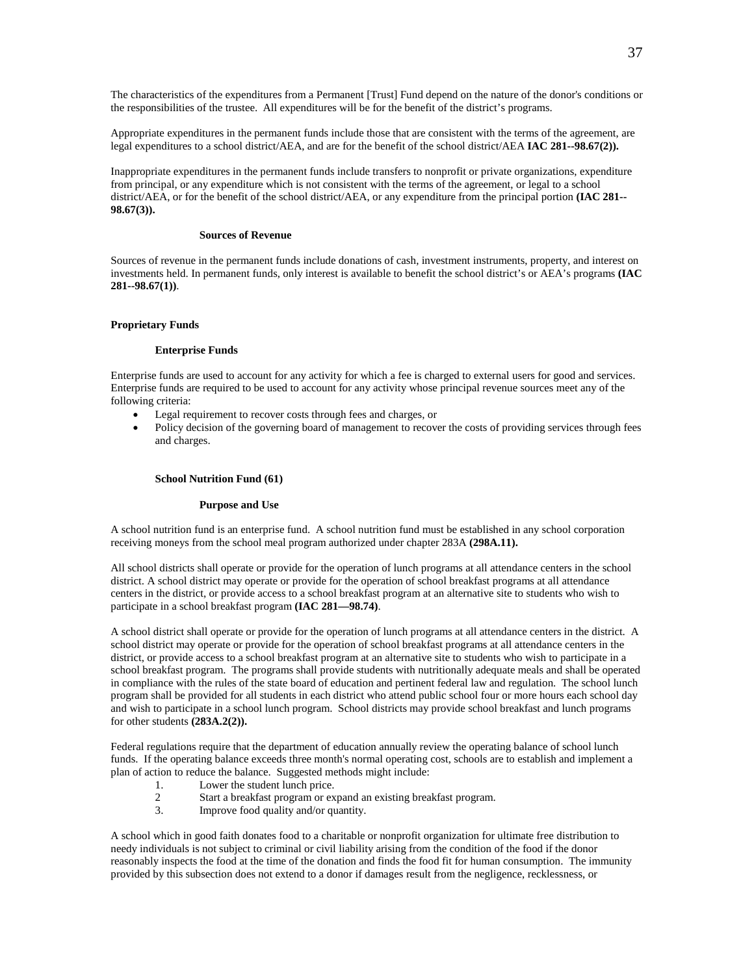The characteristics of the expenditures from a Permanent [Trust] Fund depend on the nature of the donor's conditions or the responsibilities of the trustee. All expenditures will be for the benefit of the district's programs.

Appropriate expenditures in the permanent funds include those that are consistent with the terms of the agreement, are legal expenditures to a school district/AEA, and are for the benefit of the school district/AEA **IAC 281--98.67(2)).**

Inappropriate expenditures in the permanent funds include transfers to nonprofit or private organizations, expenditure from principal, or any expenditure which is not consistent with the terms of the agreement, or legal to a school district/AEA, or for the benefit of the school district/AEA, or any expenditure from the principal portion **(IAC 281-- 98.67(3)).**

### **Sources of Revenue**

Sources of revenue in the permanent funds include donations of cash, investment instruments, property, and interest on investments held. In permanent funds, only interest is available to benefit the school district's or AEA's programs **(IAC 281--98.67(1))**.

### **Proprietary Funds**

#### **Enterprise Funds**

Enterprise funds are used to account for any activity for which a fee is charged to external users for good and services. Enterprise funds are required to be used to account for any activity whose principal revenue sources meet any of the following criteria:

- Legal requirement to recover costs through fees and charges, or
- Policy decision of the governing board of management to recover the costs of providing services through fees and charges.

#### **School Nutrition Fund (61)**

#### **Purpose and Use**

A school nutrition fund is an enterprise fund. A school nutrition fund must be established in any school corporation receiving moneys from the school meal program authorized under chapter 283A **(298A.11).**

All school districts shall operate or provide for the operation of lunch programs at all attendance centers in the school district. A school district may operate or provide for the operation of school breakfast programs at all attendance centers in the district, or provide access to a school breakfast program at an alternative site to students who wish to participate in a school breakfast program **(IAC 281—98.74)**.

A school district shall operate or provide for the operation of lunch programs at all attendance centers in the district. A school district may operate or provide for the operation of school breakfast programs at all attendance centers in the district, or provide access to a school breakfast program at an alternative site to students who wish to participate in a school breakfast program. The programs shall provide students with nutritionally adequate meals and shall be operated in compliance with the rules of the state board of education and pertinent federal law and regulation. The school lunch program shall be provided for all students in each district who attend public school four or more hours each school day and wish to participate in a school lunch program. School districts may provide school breakfast and lunch programs for other students **(283A.2(2)).**

Federal regulations require that the department of education annually review the operating balance of school lunch funds. If the operating balance exceeds three month's normal operating cost, schools are to establish and implement a plan of action to reduce the balance. Suggested methods might include:

- 1. Lower the student lunch price.
- 2 Start a breakfast program or expand an existing breakfast program.
- 3. Improve food quality and/or quantity.

A school which in good faith donates food to a charitable or nonprofit organization for ultimate free distribution to needy individuals is not subject to criminal or civil liability arising from the condition of the food if the donor reasonably inspects the food at the time of the donation and finds the food fit for human consumption. The immunity provided by this subsection does not extend to a donor if damages result from the negligence, recklessness, or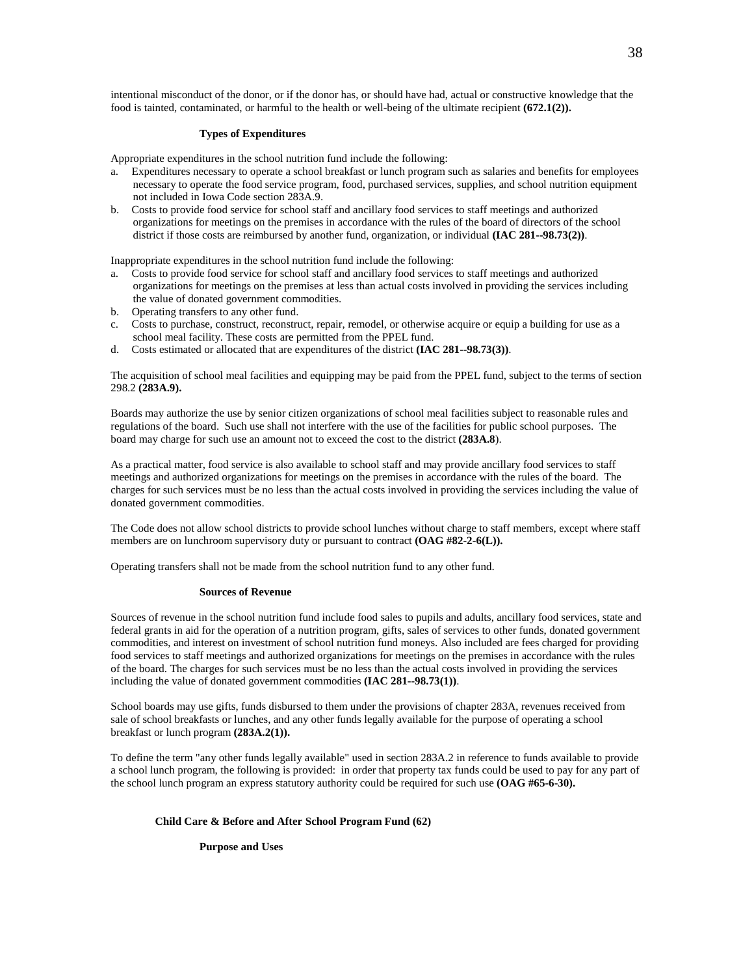intentional misconduct of the donor, or if the donor has, or should have had, actual or constructive knowledge that the food is tainted, contaminated, or harmful to the health or well-being of the ultimate recipient **(672.1(2)).**

### **Types of Expenditures**

Appropriate expenditures in the school nutrition fund include the following:

- a. Expenditures necessary to operate a school breakfast or lunch program such as salaries and benefits for employees necessary to operate the food service program, food, purchased services, supplies, and school nutrition equipment not included in Iowa Code section 283A.9.
- b. Costs to provide food service for school staff and ancillary food services to staff meetings and authorized organizations for meetings on the premises in accordance with the rules of the board of directors of the school district if those costs are reimbursed by another fund, organization, or individual **(IAC 281--98.73(2))**.

Inappropriate expenditures in the school nutrition fund include the following:

- a. Costs to provide food service for school staff and ancillary food services to staff meetings and authorized organizations for meetings on the premises at less than actual costs involved in providing the services including the value of donated government commodities.
- b. Operating transfers to any other fund.
- c. Costs to purchase, construct, reconstruct, repair, remodel, or otherwise acquire or equip a building for use as a school meal facility. These costs are permitted from the PPEL fund.
- d. Costs estimated or allocated that are expenditures of the district **(IAC 281--98.73(3))**.

The acquisition of school meal facilities and equipping may be paid from the PPEL fund, subject to the terms of section 298.2 **(283A.9).**

Boards may authorize the use by senior citizen organizations of school meal facilities subject to reasonable rules and regulations of the board. Such use shall not interfere with the use of the facilities for public school purposes. The board may charge for such use an amount not to exceed the cost to the district **(283A.8**).

As a practical matter, food service is also available to school staff and may provide ancillary food services to staff meetings and authorized organizations for meetings on the premises in accordance with the rules of the board. The charges for such services must be no less than the actual costs involved in providing the services including the value of donated government commodities.

The Code does not allow school districts to provide school lunches without charge to staff members, except where staff members are on lunchroom supervisory duty or pursuant to contract **(OAG #82-2-6(L)).**

Operating transfers shall not be made from the school nutrition fund to any other fund.

#### **Sources of Revenue**

Sources of revenue in the school nutrition fund include food sales to pupils and adults, ancillary food services, state and federal grants in aid for the operation of a nutrition program, gifts, sales of services to other funds, donated government commodities, and interest on investment of school nutrition fund moneys. Also included are fees charged for providing food services to staff meetings and authorized organizations for meetings on the premises in accordance with the rules of the board. The charges for such services must be no less than the actual costs involved in providing the services including the value of donated government commodities **(IAC 281--98.73(1))**.

School boards may use gifts, funds disbursed to them under the provisions of chapter 283A, revenues received from sale of school breakfasts or lunches, and any other funds legally available for the purpose of operating a school breakfast or lunch program **(283A.2(1)).**

To define the term "any other funds legally available" used in section 283A.2 in reference to funds available to provide a school lunch program, the following is provided: in order that property tax funds could be used to pay for any part of the school lunch program an express statutory authority could be required for such use **(OAG #65-6-30).**

#### **Child Care & Before and After School Program Fund (62)**

**Purpose and Uses**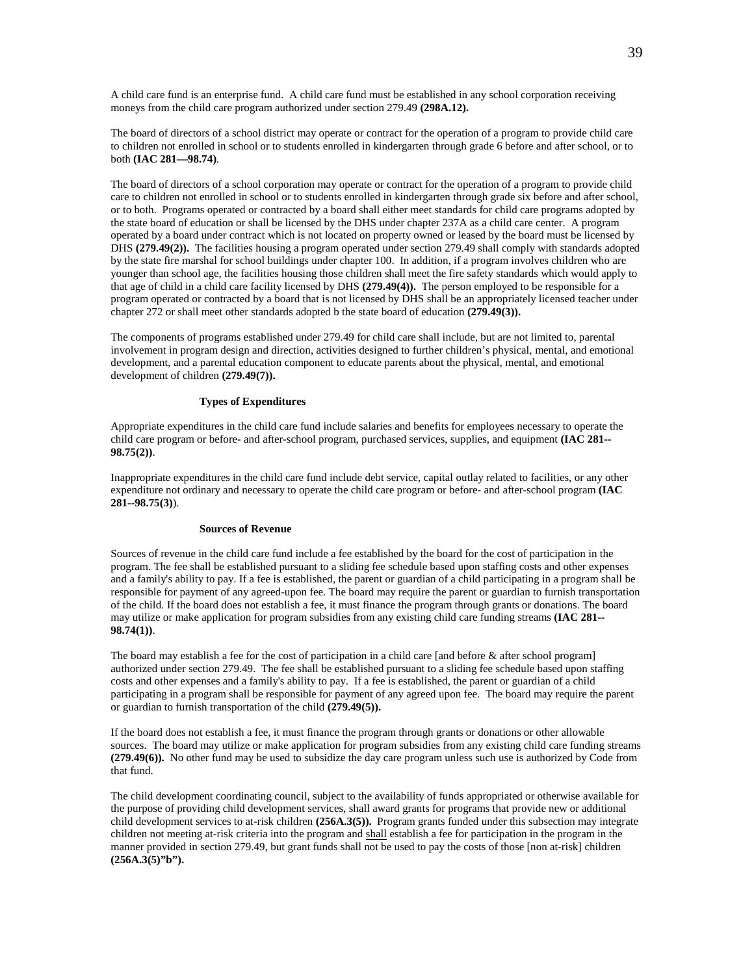A child care fund is an enterprise fund. A child care fund must be established in any school corporation receiving moneys from the child care program authorized under section 279.49 **(298A.12).**

The board of directors of a school district may operate or contract for the operation of a program to provide child care to children not enrolled in school or to students enrolled in kindergarten through grade 6 before and after school, or to both **(IAC 281—98.74)**.

The board of directors of a school corporation may operate or contract for the operation of a program to provide child care to children not enrolled in school or to students enrolled in kindergarten through grade six before and after school, or to both. Programs operated or contracted by a board shall either meet standards for child care programs adopted by the state board of education or shall be licensed by the DHS under chapter 237A as a child care center. A program operated by a board under contract which is not located on property owned or leased by the board must be licensed by DHS **(279.49(2)).** The facilities housing a program operated under section 279.49 shall comply with standards adopted by the state fire marshal for school buildings under chapter 100. In addition, if a program involves children who are younger than school age, the facilities housing those children shall meet the fire safety standards which would apply to that age of child in a child care facility licensed by DHS **(279.49(4)).** The person employed to be responsible for a program operated or contracted by a board that is not licensed by DHS shall be an appropriately licensed teacher under chapter 272 or shall meet other standards adopted b the state board of education **(279.49(3)).**

The components of programs established under 279.49 for child care shall include, but are not limited to, parental involvement in program design and direction, activities designed to further children's physical, mental, and emotional development, and a parental education component to educate parents about the physical, mental, and emotional development of children **(279.49(7)).**

### **Types of Expenditures**

Appropriate expenditures in the child care fund include salaries and benefits for employees necessary to operate the child care program or before- and after-school program, purchased services, supplies, and equipment **(IAC 281-- 98.75(2))**.

Inappropriate expenditures in the child care fund include debt service, capital outlay related to facilities, or any other expenditure not ordinary and necessary to operate the child care program or before- and after-school program **(IAC 281--98.75(3)**).

### **Sources of Revenue**

Sources of revenue in the child care fund include a fee established by the board for the cost of participation in the program. The fee shall be established pursuant to a sliding fee schedule based upon staffing costs and other expenses and a family's ability to pay. If a fee is established, the parent or guardian of a child participating in a program shall be responsible for payment of any agreed-upon fee. The board may require the parent or guardian to furnish transportation of the child. If the board does not establish a fee, it must finance the program through grants or donations. The board may utilize or make application for program subsidies from any existing child care funding streams **(IAC 281-- 98.74(1))**.

The board may establish a fee for the cost of participation in a child care [and before & after school program] authorized under section 279.49. The fee shall be established pursuant to a sliding fee schedule based upon staffing costs and other expenses and a family's ability to pay. If a fee is established, the parent or guardian of a child participating in a program shall be responsible for payment of any agreed upon fee. The board may require the parent or guardian to furnish transportation of the child **(279.49(5)).**

If the board does not establish a fee, it must finance the program through grants or donations or other allowable sources. The board may utilize or make application for program subsidies from any existing child care funding streams **(279.49(6)).** No other fund may be used to subsidize the day care program unless such use is authorized by Code from that fund.

The child development coordinating council, subject to the availability of funds appropriated or otherwise available for the purpose of providing child development services, shall award grants for programs that provide new or additional child development services to at-risk children **(256A.3(5)).** Program grants funded under this subsection may integrate children not meeting at-risk criteria into the program and shall establish a fee for participation in the program in the manner provided in section 279.49, but grant funds shall not be used to pay the costs of those [non at-risk] children  $(256A.3(5)''b'')$ .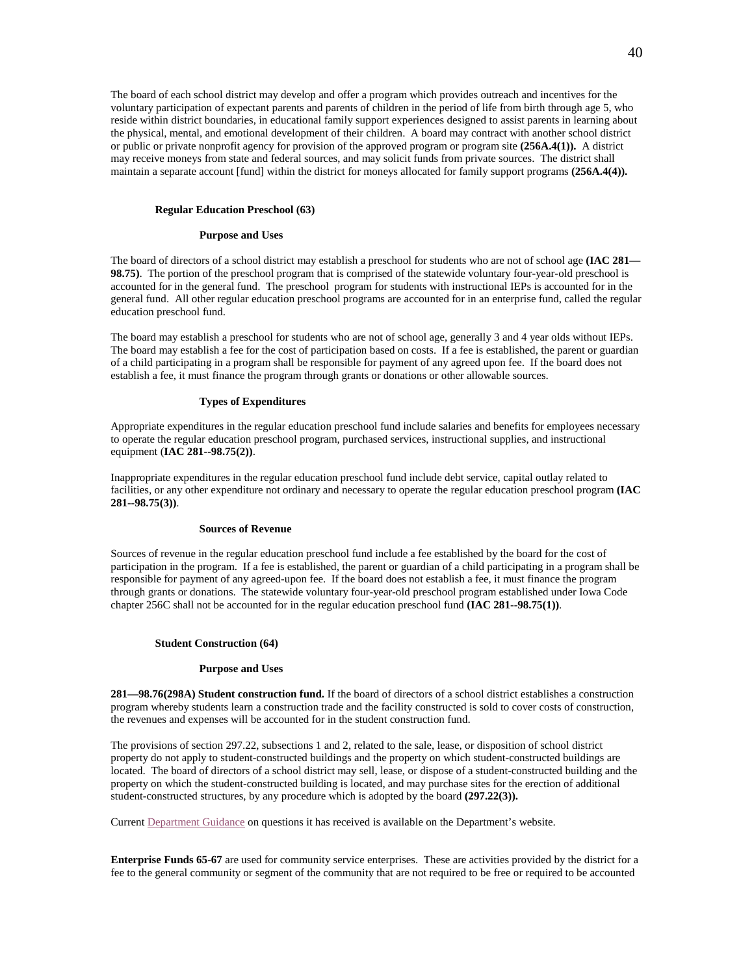The board of each school district may develop and offer a program which provides outreach and incentives for the voluntary participation of expectant parents and parents of children in the period of life from birth through age 5, who reside within district boundaries, in educational family support experiences designed to assist parents in learning about the physical, mental, and emotional development of their children. A board may contract with another school district or public or private nonprofit agency for provision of the approved program or program site **(256A.4(1)).** A district may receive moneys from state and federal sources, and may solicit funds from private sources. The district shall maintain a separate account [fund] within the district for moneys allocated for family support programs **(256A.4(4)).**

#### **Regular Education Preschool (63)**

### **Purpose and Uses**

The board of directors of a school district may establish a preschool for students who are not of school age **(IAC 281— 98.75)**. The portion of the preschool program that is comprised of the statewide voluntary four-year-old preschool is accounted for in the general fund. The preschool program for students with instructional IEPs is accounted for in the general fund. All other regular education preschool programs are accounted for in an enterprise fund, called the regular education preschool fund.

The board may establish a preschool for students who are not of school age, generally 3 and 4 year olds without IEPs. The board may establish a fee for the cost of participation based on costs. If a fee is established, the parent or guardian of a child participating in a program shall be responsible for payment of any agreed upon fee. If the board does not establish a fee, it must finance the program through grants or donations or other allowable sources.

#### **Types of Expenditures**

Appropriate expenditures in the regular education preschool fund include salaries and benefits for employees necessary to operate the regular education preschool program, purchased services, instructional supplies, and instructional equipment (**IAC 281--98.75(2))**.

Inappropriate expenditures in the regular education preschool fund include debt service, capital outlay related to facilities, or any other expenditure not ordinary and necessary to operate the regular education preschool program **(IAC 281--98.75(3))**.

## **Sources of Revenue**

Sources of revenue in the regular education preschool fund include a fee established by the board for the cost of participation in the program. If a fee is established, the parent or guardian of a child participating in a program shall be responsible for payment of any agreed-upon fee. If the board does not establish a fee, it must finance the program through grants or donations. The statewide voluntary four-year-old preschool program established under Iowa Code chapter 256C shall not be accounted for in the regular education preschool fund **(IAC 281--98.75(1))**.

### **Student Construction (64)**

#### **Purpose and Uses**

**281—98.76(298A) Student construction fund.** If the board of directors of a school district establishes a construction program whereby students learn a construction trade and the facility constructed is sold to cover costs of construction, the revenues and expenses will be accounted for in the student construction fund.

The provisions of section 297.22, subsections 1 and 2, related to the sale, lease, or disposition of school district property do not apply to student-constructed buildings and the property on which student-constructed buildings are located. The board of directors of a school district may sell, lease, or dispose of a student-constructed building and the property on which the student-constructed building is located, and may purchase sites for the erection of additional student-constructed structures, by any procedure which is adopted by the board **(297.22(3)).**

Curren[t Department Guidance](https://educateiowa.gov/pk-12/school-facilities/construction/student-construction) on questions it has received is available on the Department's website.

**Enterprise Funds 65-67** are used for community service enterprises. These are activities provided by the district for a fee to the general community or segment of the community that are not required to be free or required to be accounted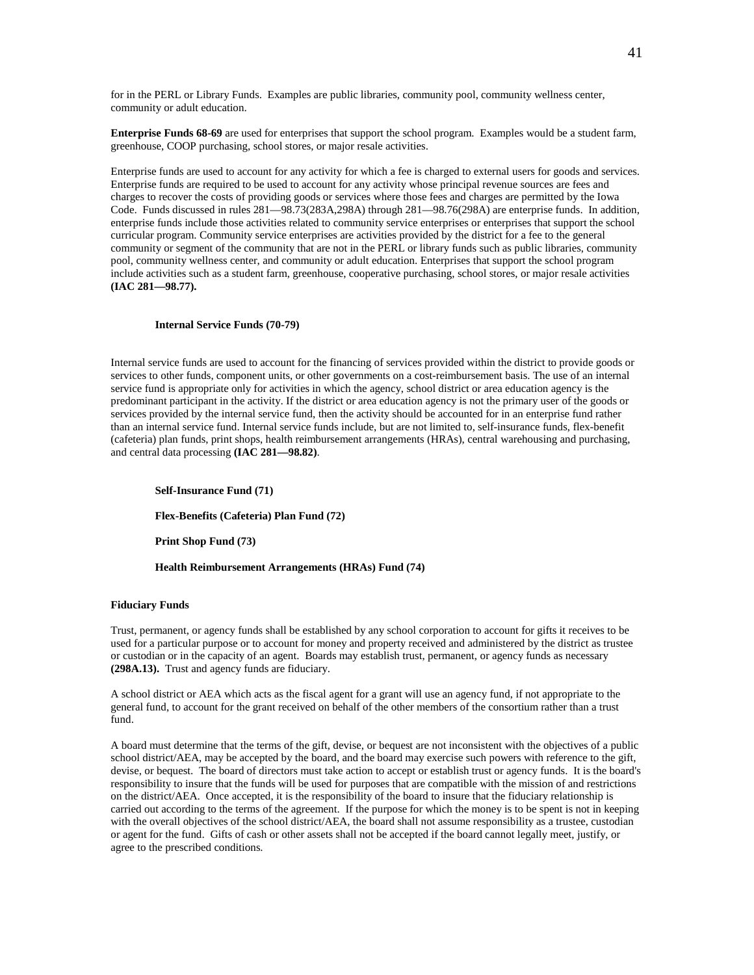for in the PERL or Library Funds. Examples are public libraries, community pool, community wellness center, community or adult education.

**Enterprise Funds 68-69** are used for enterprises that support the school program. Examples would be a student farm, greenhouse, COOP purchasing, school stores, or major resale activities.

Enterprise funds are used to account for any activity for which a fee is charged to external users for goods and services. Enterprise funds are required to be used to account for any activity whose principal revenue sources are fees and charges to recover the costs of providing goods or services where those fees and charges are permitted by the Iowa Code. Funds discussed in rules 281—98.73(283A,298A) through 281—98.76(298A) are enterprise funds. In addition, enterprise funds include those activities related to community service enterprises or enterprises that support the school curricular program. Community service enterprises are activities provided by the district for a fee to the general community or segment of the community that are not in the PERL or library funds such as public libraries, community pool, community wellness center, and community or adult education. Enterprises that support the school program include activities such as a student farm, greenhouse, cooperative purchasing, school stores, or major resale activities **(IAC 281—98.77).**

### **Internal Service Funds (70-79)**

Internal service funds are used to account for the financing of services provided within the district to provide goods or services to other funds, component units, or other governments on a cost-reimbursement basis. The use of an internal service fund is appropriate only for activities in which the agency, school district or area education agency is the predominant participant in the activity. If the district or area education agency is not the primary user of the goods or services provided by the internal service fund, then the activity should be accounted for in an enterprise fund rather than an internal service fund. Internal service funds include, but are not limited to, self-insurance funds, flex-benefit (cafeteria) plan funds, print shops, health reimbursement arrangements (HRAs), central warehousing and purchasing, and central data processing **(IAC 281—98.82)**.

**Self-Insurance Fund (71) Flex-Benefits (Cafeteria) Plan Fund (72) Print Shop Fund (73) Health Reimbursement Arrangements (HRAs) Fund (74)**

### **Fiduciary Funds**

Trust, permanent, or agency funds shall be established by any school corporation to account for gifts it receives to be used for a particular purpose or to account for money and property received and administered by the district as trustee or custodian or in the capacity of an agent. Boards may establish trust, permanent, or agency funds as necessary **(298A.13).** Trust and agency funds are fiduciary.

A school district or AEA which acts as the fiscal agent for a grant will use an agency fund, if not appropriate to the general fund, to account for the grant received on behalf of the other members of the consortium rather than a trust fund.

A board must determine that the terms of the gift, devise, or bequest are not inconsistent with the objectives of a public school district/AEA, may be accepted by the board, and the board may exercise such powers with reference to the gift, devise, or bequest. The board of directors must take action to accept or establish trust or agency funds. It is the board's responsibility to insure that the funds will be used for purposes that are compatible with the mission of and restrictions on the district/AEA. Once accepted, it is the responsibility of the board to insure that the fiduciary relationship is carried out according to the terms of the agreement. If the purpose for which the money is to be spent is not in keeping with the overall objectives of the school district/AEA, the board shall not assume responsibility as a trustee, custodian or agent for the fund. Gifts of cash or other assets shall not be accepted if the board cannot legally meet, justify, or agree to the prescribed conditions.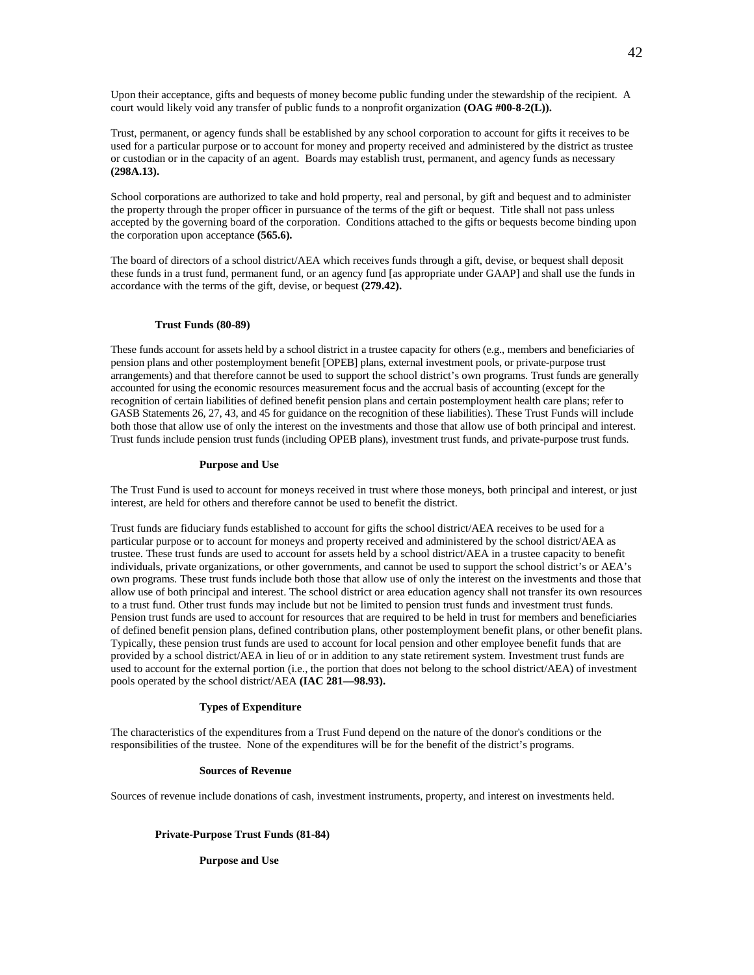Upon their acceptance, gifts and bequests of money become public funding under the stewardship of the recipient. A court would likely void any transfer of public funds to a nonprofit organization **(OAG #00-8-2(L)).**

Trust, permanent, or agency funds shall be established by any school corporation to account for gifts it receives to be used for a particular purpose or to account for money and property received and administered by the district as trustee or custodian or in the capacity of an agent. Boards may establish trust, permanent, and agency funds as necessary **(298A.13).**

School corporations are authorized to take and hold property, real and personal, by gift and bequest and to administer the property through the proper officer in pursuance of the terms of the gift or bequest. Title shall not pass unless accepted by the governing board of the corporation. Conditions attached to the gifts or bequests become binding upon the corporation upon acceptance **(565.6).**

The board of directors of a school district/AEA which receives funds through a gift, devise, or bequest shall deposit these funds in a trust fund, permanent fund, or an agency fund [as appropriate under GAAP] and shall use the funds in accordance with the terms of the gift, devise, or bequest **(279.42).**

### **Trust Funds (80-89)**

These funds account for assets held by a school district in a trustee capacity for others (e.g., members and beneficiaries of pension plans and other postemployment benefit [OPEB] plans, external investment pools, or private-purpose trust arrangements) and that therefore cannot be used to support the school district's own programs. Trust funds are generally accounted for using the economic resources measurement focus and the accrual basis of accounting (except for the recognition of certain liabilities of defined benefit pension plans and certain postemployment health care plans; refer to GASB Statements 26, 27, 43, and 45 for guidance on the recognition of these liabilities). These Trust Funds will include both those that allow use of only the interest on the investments and those that allow use of both principal and interest. Trust funds include pension trust funds (including OPEB plans), investment trust funds, and private-purpose trust funds.

#### **Purpose and Use**

The Trust Fund is used to account for moneys received in trust where those moneys, both principal and interest, or just interest, are held for others and therefore cannot be used to benefit the district.

Trust funds are fiduciary funds established to account for gifts the school district/AEA receives to be used for a particular purpose or to account for moneys and property received and administered by the school district/AEA as trustee. These trust funds are used to account for assets held by a school district/AEA in a trustee capacity to benefit individuals, private organizations, or other governments, and cannot be used to support the school district's or AEA's own programs. These trust funds include both those that allow use of only the interest on the investments and those that allow use of both principal and interest. The school district or area education agency shall not transfer its own resources to a trust fund. Other trust funds may include but not be limited to pension trust funds and investment trust funds. Pension trust funds are used to account for resources that are required to be held in trust for members and beneficiaries of defined benefit pension plans, defined contribution plans, other postemployment benefit plans, or other benefit plans. Typically, these pension trust funds are used to account for local pension and other employee benefit funds that are provided by a school district/AEA in lieu of or in addition to any state retirement system. Investment trust funds are used to account for the external portion (i.e., the portion that does not belong to the school district/AEA) of investment pools operated by the school district/AEA **(IAC 281—98.93).**

#### **Types of Expenditure**

The characteristics of the expenditures from a Trust Fund depend on the nature of the donor's conditions or the responsibilities of the trustee. None of the expenditures will be for the benefit of the district's programs.

### **Sources of Revenue**

Sources of revenue include donations of cash, investment instruments, property, and interest on investments held.

#### **Private-Purpose Trust Funds (81-84)**

**Purpose and Use**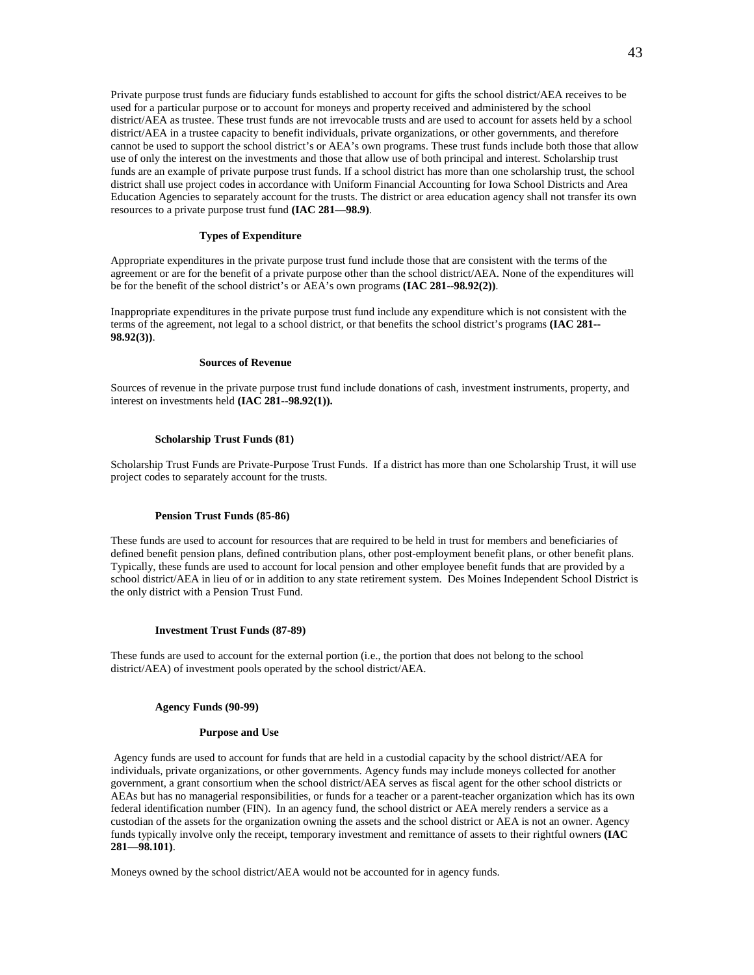Private purpose trust funds are fiduciary funds established to account for gifts the school district/AEA receives to be used for a particular purpose or to account for moneys and property received and administered by the school district/AEA as trustee. These trust funds are not irrevocable trusts and are used to account for assets held by a school district/AEA in a trustee capacity to benefit individuals, private organizations, or other governments, and therefore cannot be used to support the school district's or AEA's own programs. These trust funds include both those that allow use of only the interest on the investments and those that allow use of both principal and interest. Scholarship trust funds are an example of private purpose trust funds. If a school district has more than one scholarship trust, the school district shall use project codes in accordance with Uniform Financial Accounting for Iowa School Districts and Area Education Agencies to separately account for the trusts. The district or area education agency shall not transfer its own resources to a private purpose trust fund **(IAC 281—98.9)**.

### **Types of Expenditure**

Appropriate expenditures in the private purpose trust fund include those that are consistent with the terms of the agreement or are for the benefit of a private purpose other than the school district/AEA. None of the expenditures will be for the benefit of the school district's or AEA's own programs **(IAC 281--98.92(2))**.

Inappropriate expenditures in the private purpose trust fund include any expenditure which is not consistent with the terms of the agreement, not legal to a school district, or that benefits the school district's programs **(IAC 281-- 98.92(3))**.

#### **Sources of Revenue**

Sources of revenue in the private purpose trust fund include donations of cash, investment instruments, property, and interest on investments held **(IAC 281--98.92(1)).**

### **Scholarship Trust Funds (81)**

Scholarship Trust Funds are Private-Purpose Trust Funds. If a district has more than one Scholarship Trust, it will use project codes to separately account for the trusts.

#### **Pension Trust Funds (85-86)**

These funds are used to account for resources that are required to be held in trust for members and beneficiaries of defined benefit pension plans, defined contribution plans, other post-employment benefit plans, or other benefit plans. Typically, these funds are used to account for local pension and other employee benefit funds that are provided by a school district/AEA in lieu of or in addition to any state retirement system. Des Moines Independent School District is the only district with a Pension Trust Fund.

#### **Investment Trust Funds (87-89)**

These funds are used to account for the external portion (i.e., the portion that does not belong to the school district/AEA) of investment pools operated by the school district/AEA.

#### **Agency Funds (90-99)**

#### **Purpose and Use**

Agency funds are used to account for funds that are held in a custodial capacity by the school district/AEA for individuals, private organizations, or other governments. Agency funds may include moneys collected for another government, a grant consortium when the school district/AEA serves as fiscal agent for the other school districts or AEAs but has no managerial responsibilities, or funds for a teacher or a parent-teacher organization which has its own federal identification number (FIN). In an agency fund, the school district or AEA merely renders a service as a custodian of the assets for the organization owning the assets and the school district or AEA is not an owner. Agency funds typically involve only the receipt, temporary investment and remittance of assets to their rightful owners **(IAC 281—98.101)**.

Moneys owned by the school district/AEA would not be accounted for in agency funds.